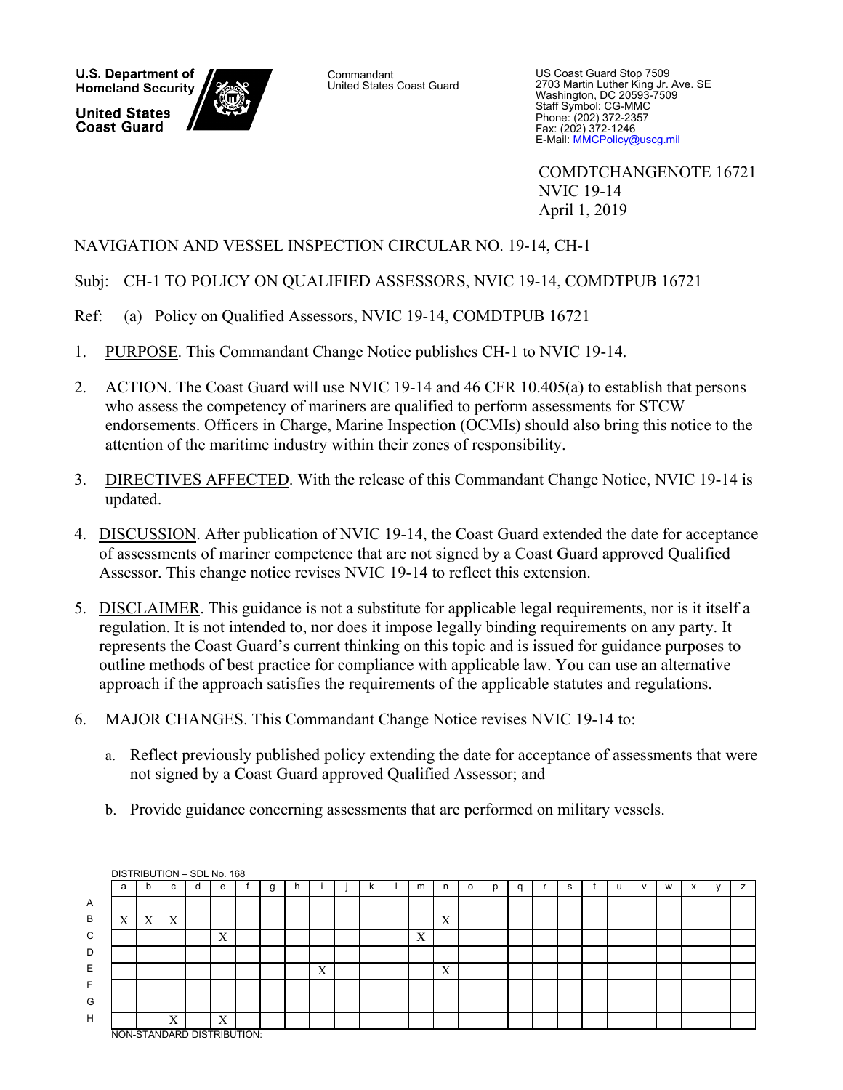**U.S. Department of Homeland Security United States Coast Guard** 

Commandant United States Coast Guard US Coast Guard Stop 7509 2703 Martin Luther King Jr. Ave. SE Washington, DC 20593-7509 Staff Symbol: CG-MMC Phone: (202) 372-2357 Fax: (202) 372-1246 E-Mail: MMCPolicy@uscg.mil

COMDTCHANGENOTE 16721 NVIC 19-14 April 1, 2019

## NAVIGATION AND VESSEL INSPECTION CIRCULAR NO. 19-14, CH-1

Subj: CH-1 TO POLICY ON QUALIFIED ASSESSORS, NVIC 19-14, COMDTPUB 16721

- Ref: (a) Policy on Qualified Assessors, NVIC 19-14, COMDTPUB 16721
- 1. PURPOSE. This Commandant Change Notice publishes CH-1 to NVIC 19-14.
- 2. ACTION. The Coast Guard will use NVIC 19-14 and 46 CFR 10.405(a) to establish that persons who assess the competency of mariners are qualified to perform assessments for STCW endorsements. Officers in Charge, Marine Inspection (OCMIs) should also bring this notice to the attention of the maritime industry within their zones of responsibility.
- 3. DIRECTIVES AFFECTED. With the release of this Commandant Change Notice, NVIC 19-14 is updated.
- 4. DISCUSSION. After publication of NVIC 19-14, the Coast Guard extended the date for acceptance of assessments of mariner competence that are not signed by a Coast Guard approved Qualified Assessor. This change notice revises NVIC 19-14 to reflect this extension.
- 5. DISCLAIMER. This guidance is not a substitute for applicable legal requirements, nor is it itself a regulation. It is not intended to, nor does it impose legally binding requirements on any party. It represents the Coast Guard's current thinking on this topic and is issued for guidance purposes to outline methods of best practice for compliance with applicable law. You can use an alternative approach if the approach satisfies the requirements of the applicable statutes and regulations.
- 6. MAJOR CHANGES. This Commandant Change Notice revises NVIC 19-14 to:
	- a. Reflect previously published policy extending the date for acceptance of assessments that were not signed by a Coast Guard approved Qualified Assessor; and
	- b. Provide guidance concerning assessments that are performed on military vessels.

|                | DISTRIBUTION - SDL No. 168 |   |                  |   |                           |   |   |    |                           |   |   |   |          |   |  |              |   |   |   |
|----------------|----------------------------|---|------------------|---|---------------------------|---|---|----|---------------------------|---|---|---|----------|---|--|--------------|---|---|---|
|                | a                          | b | $\sim$<br>u      | d | e                         | g |   | n. | m                         | n | o | r | $\Omega$ | s |  | $\mathbf{v}$ | W | v | z |
| $\overline{A}$ |                            |   |                  |   |                           |   |   |    |                           |   |   |   |          |   |  |              |   |   |   |
| B              | X                          | Χ | X                |   |                           |   |   |    |                           | X |   |   |          |   |  |              |   |   |   |
| C              |                            |   |                  |   | $\mathbf{v}$<br>$\Lambda$ |   |   |    | $\mathbf{v}$<br>$\Lambda$ |   |   |   |          |   |  |              |   |   |   |
| D              |                            |   |                  |   |                           |   |   |    |                           |   |   |   |          |   |  |              |   |   |   |
| Ε              |                            |   |                  |   |                           |   | X |    |                           | X |   |   |          |   |  |              |   |   |   |
| F              |                            |   |                  |   |                           |   |   |    |                           |   |   |   |          |   |  |              |   |   |   |
| G              |                            |   |                  |   |                           |   |   |    |                           |   |   |   |          |   |  |              |   |   |   |
| H              |                            |   | $\mathbf v$<br>A |   | X                         |   |   |    |                           |   |   |   |          |   |  |              |   |   |   |
|                | NON-STANDARD DISTRIBUTION: |   |                  |   |                           |   |   |    |                           |   |   |   |          |   |  |              |   |   |   |

NON-STANDARD DISTRIBUTION: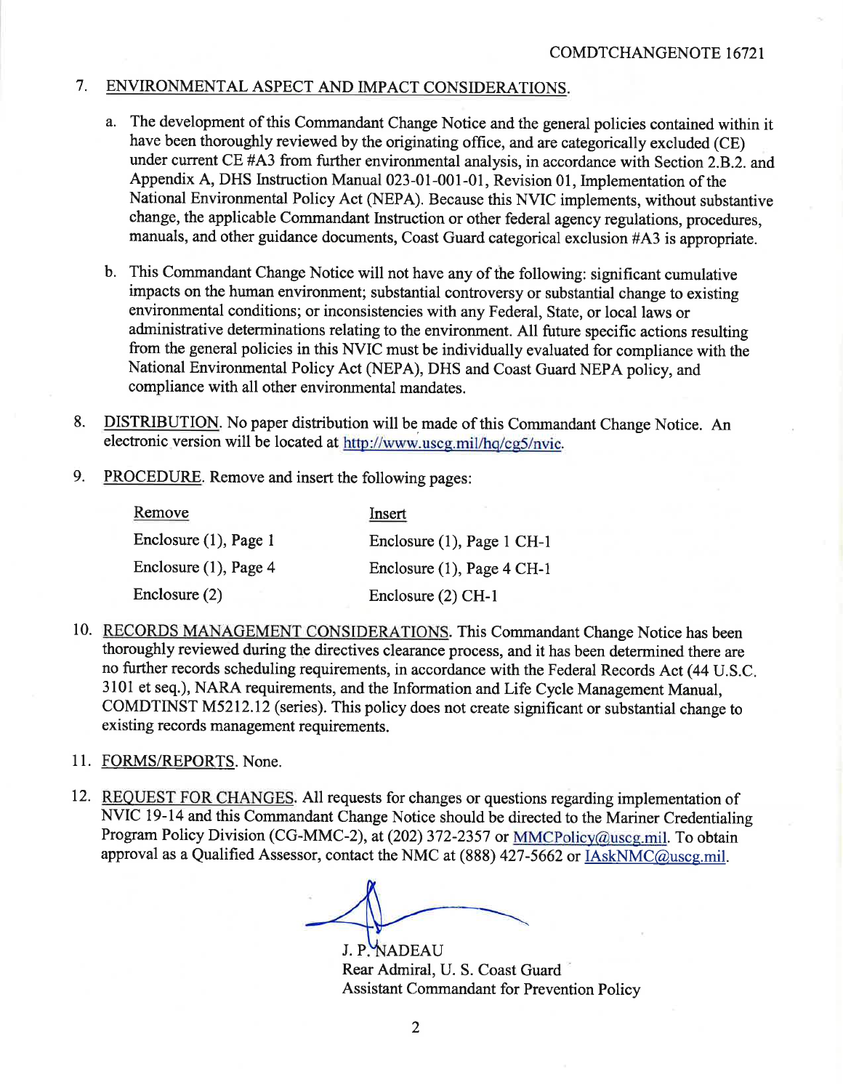#### $7<sub>1</sub>$ ENVIRONMENTAL ASPECT AND IMPACT CONSIDERATIONS.

- a. The development of this Commandant Change Notice and the general policies contained within it have been thoroughly reviewed by the originating office, and are categorically excluded (CE) under current CE #A3 from further environmental analysis, in accordance with Section 2.B.2. and Appendix A, DHS Instruction Manual 023-01-001-01, Revision 01, Implementation of the National Environmental Policy Act (NEPA). Because this NVIC implements, without substantive change, the applicable Commandant Instruction or other federal agency regulations, procedures, manuals, and other guidance documents, Coast Guard categorical exclusion #A3 is appropriate.
- b. This Commandant Change Notice will not have any of the following: significant cumulative impacts on the human environment; substantial controversy or substantial change to existing environmental conditions; or inconsistencies with any Federal, State, or local laws or administrative determinations relating to the environment. All future specific actions resulting from the general policies in this NVIC must be individually evaluated for compliance with the National Environmental Policy Act (NEPA), DHS and Coast Guard NEPA policy, and compliance with all other environmental mandates.
- DISTRIBUTION. No paper distribution will be made of this Commandant Change Notice. An 8. electronic version will be located at http://www.uscg.mil/hq/cg5/nvic.
- 9. PROCEDURE. Remove and insert the following pages:

| Remove                   | Insert                        |
|--------------------------|-------------------------------|
| Enclosure (1), Page 1    | Enclosure $(1)$ , Page 1 CH-1 |
| Enclosure $(1)$ , Page 4 | Enclosure (1), Page 4 CH-1    |
| Enclosure (2)            | Enclosure $(2)$ CH-1          |

- 10. RECORDS MANAGEMENT CONSIDERATIONS. This Commandant Change Notice has been thoroughly reviewed during the directives clearance process, and it has been determined there are no further records scheduling requirements, in accordance with the Federal Records Act (44 U.S.C. 3101 et seq.), NARA requirements, and the Information and Life Cycle Management Manual, COMDTINST M5212.12 (series). This policy does not create significant or substantial change to existing records management requirements.
- 11. FORMS/REPORTS. None.
- 12. REQUEST FOR CHANGES. All requests for changes or questions regarding implementation of NVIC 19-14 and this Commandant Change Notice should be directed to the Mariner Credentialing Program Policy Division (CG-MMC-2), at (202) 372-2357 or MMCPolicy@uscg.mil. To obtain approval as a Qualified Assessor, contact the NMC at (888) 427-5662 or *IAskNMC@uscg.mil.*

J. P. NADEAU Rear Admiral, U. S. Coast Guard **Assistant Commandant for Prevention Policy**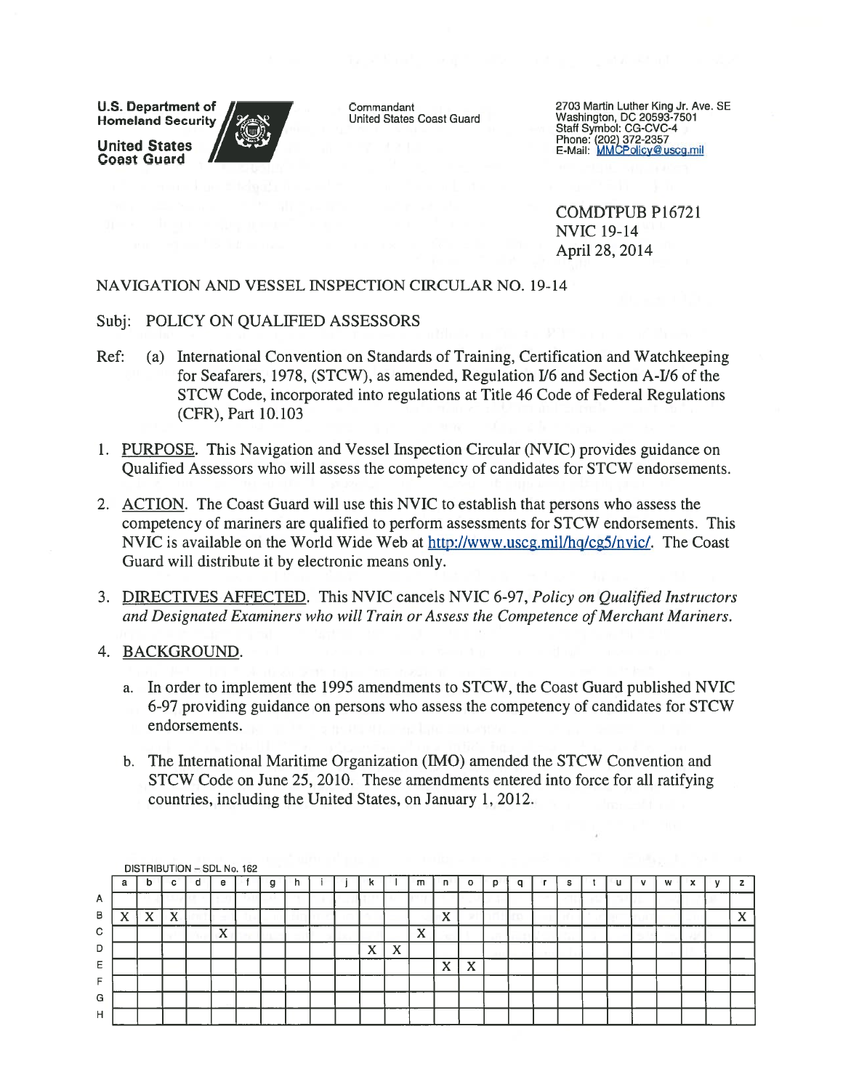**U.S. Department of Homeland Security** 

**United States Coast Guard** 



Commandant **United States Coast Guard** 

2703 Martin Luther King Jr. Ave. SE 2703 waarin Luiden<br>Staff Symbol: CG-CVC-4<br>Staff Symbol: CG-CVC-4<br>Phone: (202) 372-2357<br>E-Mail: MMCPolicy@uscg.mil

**COMDTPUB P16721 NVIC 19-14** April 28, 2014

#### NAVIGATION AND VESSEL INSPECTION CIRCULAR NO. 19-14

Subj: POLICY ON QUALIFIED ASSESSORS

- $Ref:$ (a) International Convention on Standards of Training, Certification and Watchkeeping for Seafarers, 1978, (STCW), as amended, Regulation I/6 and Section A-I/6 of the STCW Code, incorporated into regulations at Title 46 Code of Federal Regulations (CFR), Part 10.103
- 1. PURPOSE. This Navigation and Vessel Inspection Circular (NVIC) provides guidance on Qualified Assessors who will assess the competency of candidates for STCW endorsements.
- 2. ACTION. The Coast Guard will use this NVIC to establish that persons who assess the competency of mariners are qualified to perform assessments for STCW endorsements. This NVIC is available on the World Wide Web at http://www.uscg.mil/hq/cg5/nvic/. The Coast Guard will distribute it by electronic means only.
- 3. DIRECTIVES AFFECTED. This NVIC cancels NVIC 6-97, Policy on Qualified Instructors and Designated Examiners who will Train or Assess the Competence of Merchant Mariners.
- 4. BACKGROUND.
	- a. In order to implement the 1995 amendments to STCW, the Coast Guard published NVIC 6-97 providing guidance on persons who assess the competency of candidates for STCW endorsements.
	- b. The International Maritime Organization (IMO) amended the STCW Convention and STCW Code on June 25, 2010. These amendments entered into force for all ratifying countries, including the United States, on January 1, 2012.

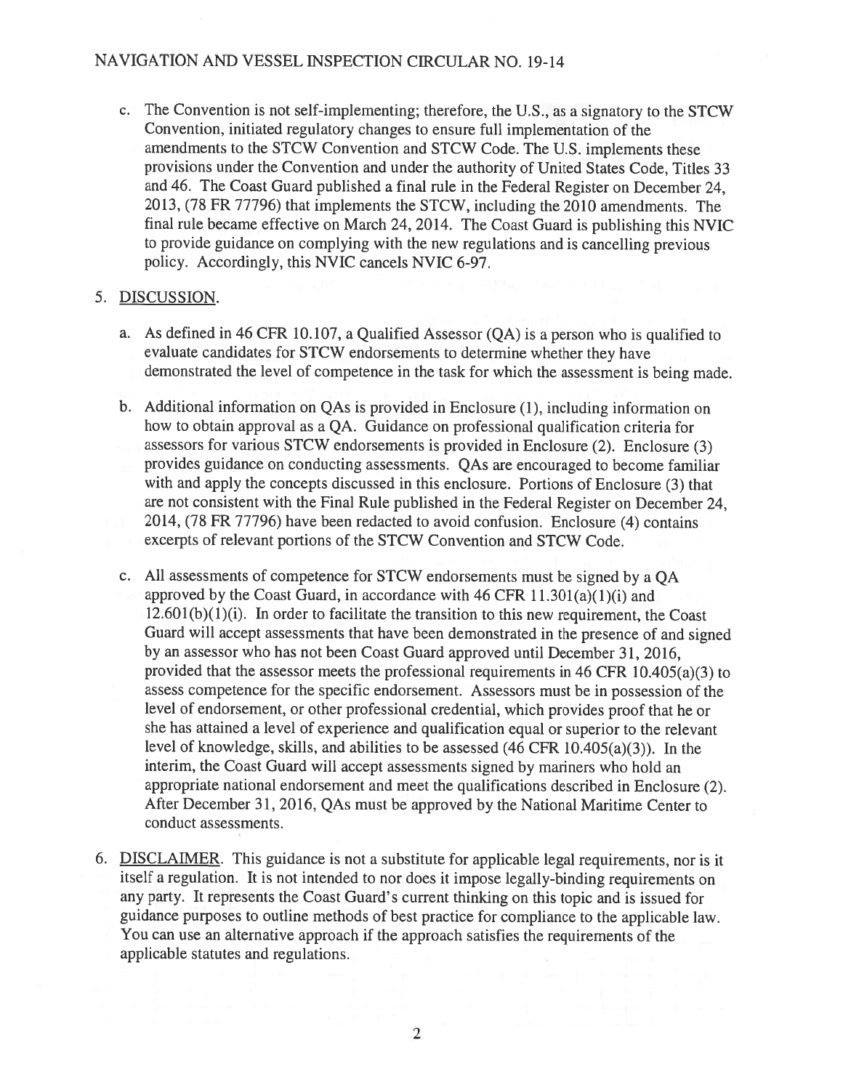#### NAVIGATION AND VESSEL INSPECTION CIRCULAR NO. 19-14

c. The Convention is not self-implementing; therefore, the U.S., as a signatory to the STCW Convention, initiated regulatory changes to ensure full implementation of the amendments to the STCW Convention and STCW Code. The U.S. implements these provisions under the Convention and under the authority of United States Code, Titles 33 and 46. The Coast Guard published a final rule in the Federal Register on December 24, 2013, (78 FR 77796) that implements the STCW, including the 2010 amendments. The final rule became effective on March 24, 2014. The Coast Guard is publishing this NVIC to provide guidance on complying with the new regulations and is cancelling previous policy. Accordingly, this NVIC cancels NVIC 6-97.

#### 5. DISCUSSION.

- a. As defined in 46 CFR 10.107, a Qualified Assessor (QA) is a person who is qualified to evaluate candidates for STCW endorsements to determine whether they have demonstrated the level of competence in the task for which the assessment is being made.
- b. Additional information on QAs is provided in Enclosure (1), including information on how to obtain approval as a QA. Guidance on professional qualification criteria for assessors for various STCW endorsements is provided in Enclosure (2). Enclosure (3) provides guidance on conducting assessments. QAs are encouraged to become familiar with and apply the concepts discussed in this enclosure. Portions of Enclosure (3) that are not consistent with the Final Rule published in the Federal Register on December 24, 2014, (78 FR 77796) have been redacted to avoid confusion. Enclosure (4) contains excerpts of relevant portions of the STCW Convention and STCW Code.
- c. All assessments of competence for STCW endorsements must be signed by a OA approved by the Coast Guard, in accordance with  $46$  CFR  $11.301(a)(1)(i)$  and  $12.601(b)(1)(i)$ . In order to facilitate the transition to this new requirement, the Coast Guard will accept assessments that have been demonstrated in the presence of and signed by an assessor who has not been Coast Guard approved until December 31, 2016, provided that the assessor meets the professional requirements in 46 CFR  $10.405(a)(3)$  to assess competence for the specific endorsement. Assessors must be in possession of the level of endorsement, or other professional credential, which provides proof that he or she has attained a level of experience and qualification equal or superior to the relevant level of knowledge, skills, and abilities to be assessed  $(46 \text{ CFR } 10.405(a)(3))$ . In the interim, the Coast Guard will accept assessments signed by mariners who hold an appropriate national endorsement and meet the qualifications described in Enclosure (2). After December 31, 2016, QAs must be approved by the National Maritime Center to conduct assessments.
- 6. DISCLAIMER. This guidance is not a substitute for applicable legal requirements, nor is it itself a regulation. It is not intended to nor does it impose legally-binding requirements on any party. It represents the Coast Guard's current thinking on this topic and is issued for guidance purposes to outline methods of best practice for compliance to the applicable law. You can use an alternative approach if the approach satisfies the requirements of the applicable statutes and regulations.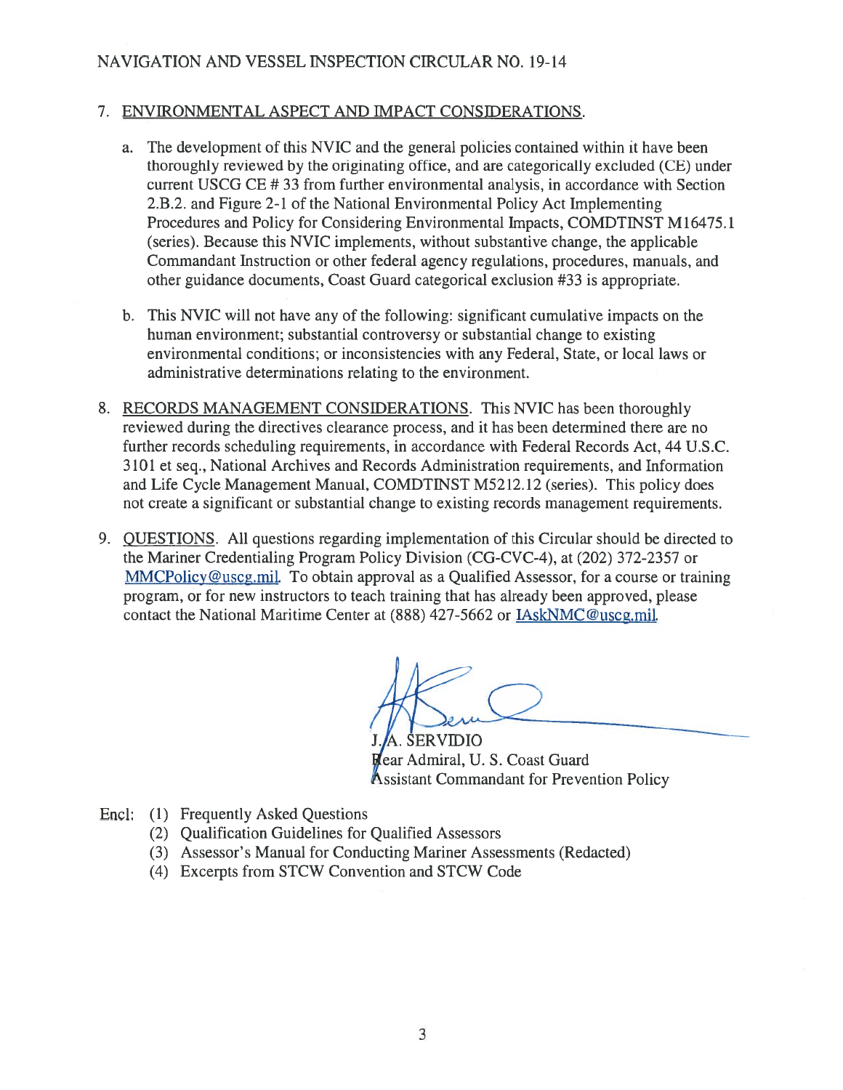## NAVIGATION AND VESSEL INSPECTION CIRCULAR NO. 19-14

#### 7. ENVIRONMENTAL ASPECT AND IMPACT CONSIDERATIONS.

- a. The development of this NVIC and the general policies contained within it have been thoroughly reviewed by the originating office, and are categorically excluded (CE) under current USCG CE #33 from further environmental analysis, in accordance with Section 2.B.2. and Figure 2-1 of the National Environmental Policy Act Implementing Procedures and Policy for Considering Environmental Impacts, COMDTINST M16475.1 (series). Because this NVIC implements, without substantive change, the applicable Commandant Instruction or other federal agency regulations, procedures, manuals, and other guidance documents, Coast Guard categorical exclusion #33 is appropriate.
- b. This NVIC will not have any of the following: significant cumulative impacts on the human environment; substantial controversy or substantial change to existing environmental conditions; or inconsistencies with any Federal, State, or local laws or administrative determinations relating to the environment.
- 8. RECORDS MANAGEMENT CONSIDERATIONS. This NVIC has been thoroughly reviewed during the directives clearance process, and it has been determined there are no further records scheduling requirements, in accordance with Federal Records Act, 44 U.S.C. 3101 et seq., National Archives and Records Administration requirements, and Information and Life Cycle Management Manual, COMDTINST M5212.12 (series). This policy does not create a significant or substantial change to existing records management requirements.
- 9. QUESTIONS. All questions regarding implementation of this Circular should be directed to the Mariner Credentialing Program Policy Division (CG-CVC-4), at (202) 372-2357 or MMCPolicy@uscg.mil. To obtain approval as a Qualified Assessor, for a course or training program, or for new instructors to teach training that has already been approved, please contact the National Maritime Center at (888) 427-5662 or IAskNMC@uscg.mil.

**SERVIDIO** ear Admiral, U. S. Coast Guard **Assistant Commandant for Prevention Policy** 

- Encl: (1) Frequently Asked Questions
	- (2) Qualification Guidelines for Qualified Assessors
	- (3) Assessor's Manual for Conducting Mariner Assessments (Redacted)
	- (4) Excerpts from STCW Convention and STCW Code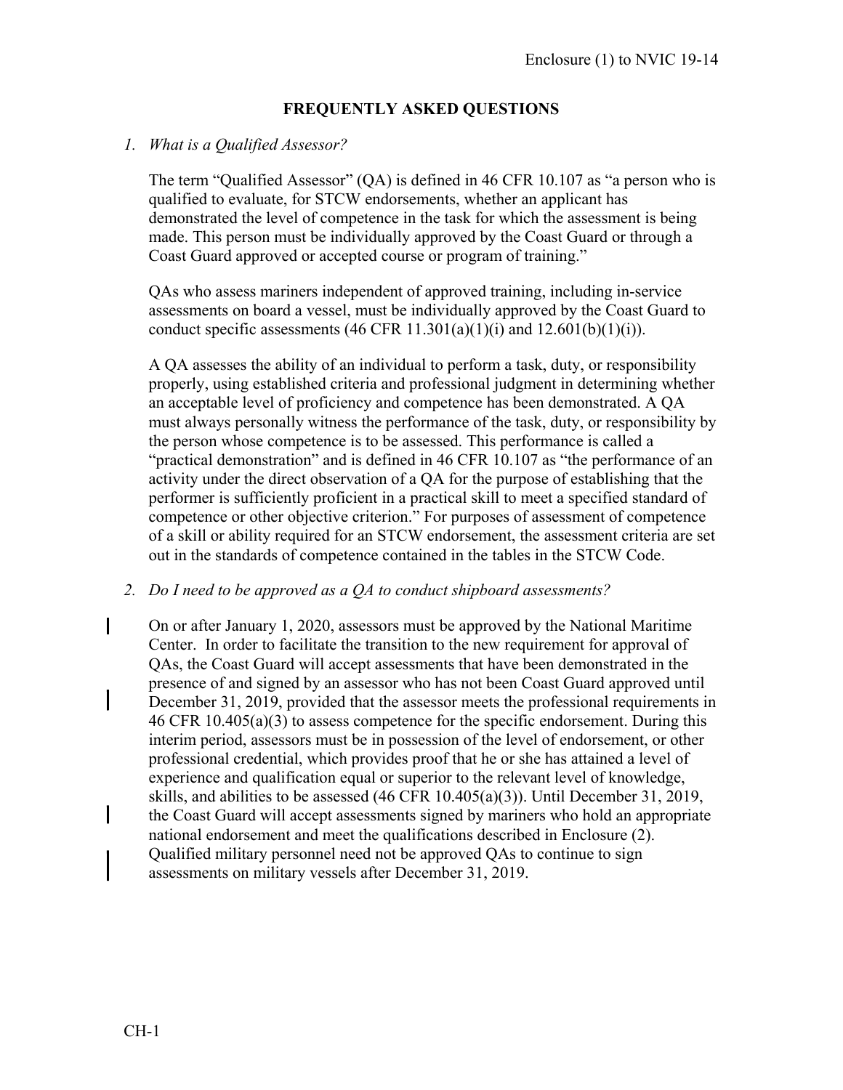#### **FREQUENTLY ASKED QUESTIONS**

#### *1. What is a Qualified Assessor?*

The term "Qualified Assessor" (QA) is defined in 46 CFR 10.107 as "a person who is qualified to evaluate, for STCW endorsements, whether an applicant has demonstrated the level of competence in the task for which the assessment is being made. This person must be individually approved by the Coast Guard or through a Coast Guard approved or accepted course or program of training."

QAs who assess mariners independent of approved training, including in-service assessments on board a vessel, must be individually approved by the Coast Guard to conduct specific assessments  $(46 \text{ CFR } 11.301(a)(1)(i)$  and  $12.601(b)(1)(i)$ .

A QA assesses the ability of an individual to perform a task, duty, or responsibility properly, using established criteria and professional judgment in determining whether an acceptable level of proficiency and competence has been demonstrated. A QA must always personally witness the performance of the task, duty, or responsibility by the person whose competence is to be assessed. This performance is called a "practical demonstration" and is defined in 46 CFR 10.107 as "the performance of an activity under the direct observation of a QA for the purpose of establishing that the performer is sufficiently proficient in a practical skill to meet a specified standard of competence or other objective criterion." For purposes of assessment of competence of a skill or ability required for an STCW endorsement, the assessment criteria are set out in the standards of competence contained in the tables in the STCW Code.

#### *2. Do I need to be approved as a QA to conduct shipboard assessments?*

On or after January 1, 2020, assessors must be approved by the National Maritime Center. In order to facilitate the transition to the new requirement for approval of QAs, the Coast Guard will accept assessments that have been demonstrated in the presence of and signed by an assessor who has not been Coast Guard approved until December 31, 2019, provided that the assessor meets the professional requirements in 46 CFR 10.405(a)(3) to assess competence for the specific endorsement. During this interim period, assessors must be in possession of the level of endorsement, or other professional credential, which provides proof that he or she has attained a level of experience and qualification equal or superior to the relevant level of knowledge, skills, and abilities to be assessed (46 CFR 10.405(a)(3)). Until December 31, 2019, the Coast Guard will accept assessments signed by mariners who hold an appropriate national endorsement and meet the qualifications described in Enclosure (2). Qualified military personnel need not be approved QAs to continue to sign assessments on military vessels after December 31, 2019.

 $\mathsf{I}$ 

 $\overline{\phantom{a}}$ 

 $\mathsf{l}$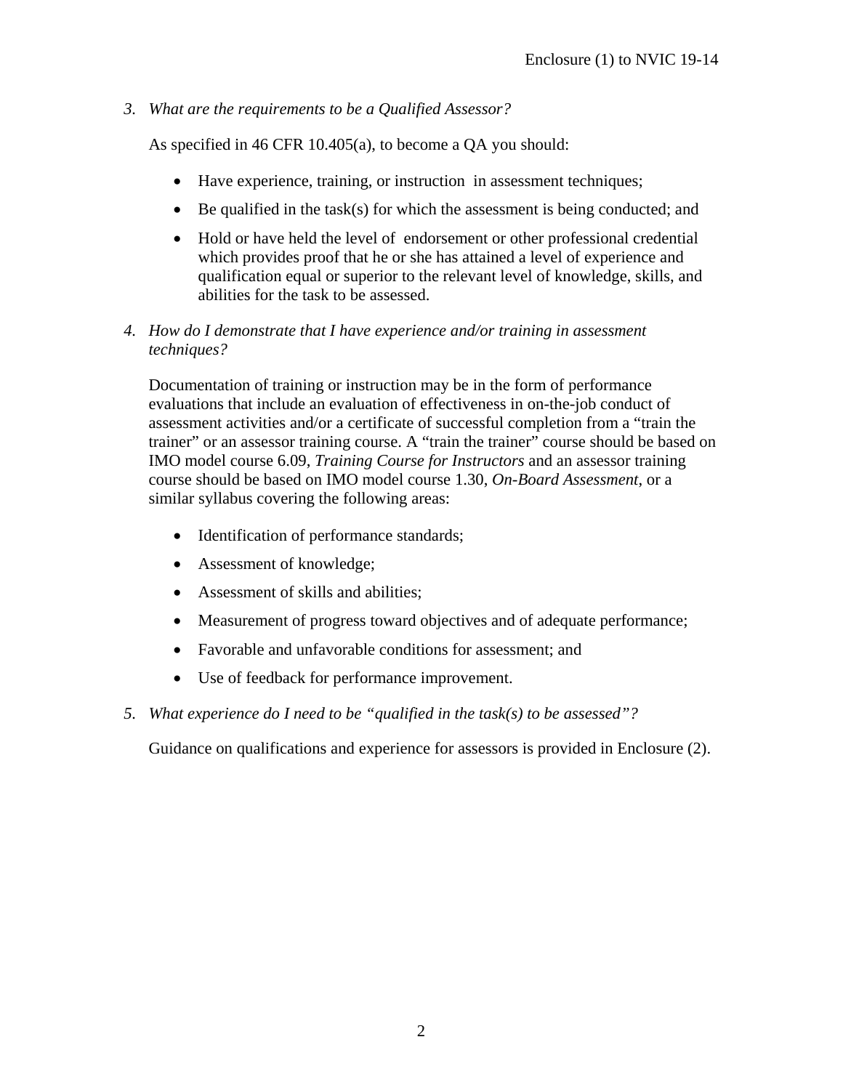*3. What are the requirements to be a Qualified Assessor?* 

As specified in 46 CFR 10.405(a), to become a QA you should:

- Have experience, training, or instruction in assessment techniques;
- Be qualified in the task(s) for which the assessment is being conducted; and
- Hold or have held the level of endorsement or other professional credential which provides proof that he or she has attained a level of experience and qualification equal or superior to the relevant level of knowledge, skills, and abilities for the task to be assessed.
- *4. How do I demonstrate that I have experience and/or training in assessment techniques?*

Documentation of training or instruction may be in the form of performance evaluations that include an evaluation of effectiveness in on-the-job conduct of assessment activities and/or a certificate of successful completion from a "train the trainer" or an assessor training course. A "train the trainer" course should be based on IMO model course 6.09, *Training Course for Instructors* and an assessor training course should be based on IMO model course 1.30, *On-Board Assessment*, or a similar syllabus covering the following areas:

- Identification of performance standards;
- Assessment of knowledge;
- Assessment of skills and abilities:
- Measurement of progress toward objectives and of adequate performance;
- Favorable and unfavorable conditions for assessment; and
- Use of feedback for performance improvement.
- *5. What experience do I need to be "qualified in the task(s) to be assessed"?*

Guidance on qualifications and experience for assessors is provided in Enclosure (2).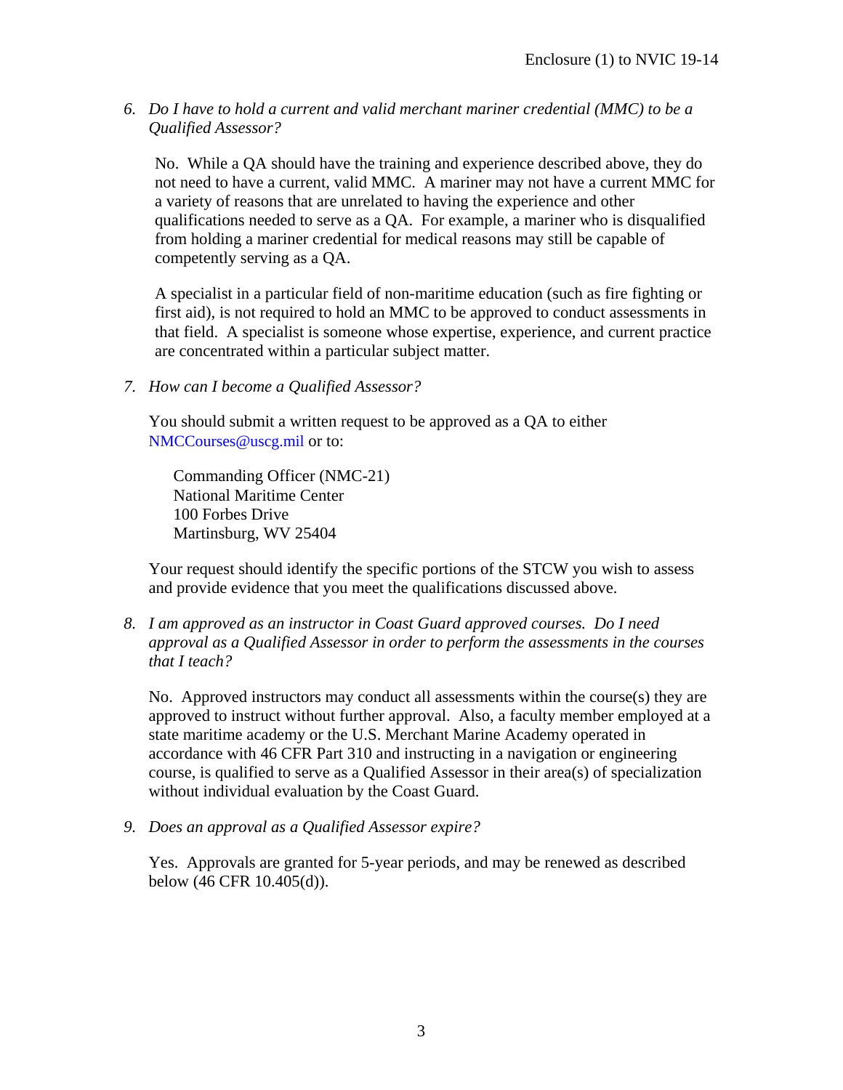*6. Do I have to hold a current and valid merchant mariner credential (MMC) to be a Qualified Assessor?* 

No. While a QA should have the training and experience described above, they do not need to have a current, valid MMC. A mariner may not have a current MMC for a variety of reasons that are unrelated to having the experience and other qualifications needed to serve as a QA. For example, a mariner who is disqualified from holding a mariner credential for medical reasons may still be capable of competently serving as a QA.

A specialist in a particular field of non-maritime education (such as fire fighting or first aid), is not required to hold an MMC to be approved to conduct assessments in that field. A specialist is someone whose expertise, experience, and current practice are concentrated within a particular subject matter.

*7. How can I become a Qualified Assessor?* 

You should submit a written request to be approved as a QA to either NMCCourses@uscg.mil or to:

Commanding Officer (NMC-21) National Maritime Center 100 Forbes Drive Martinsburg, WV 25404

Your request should identify the specific portions of the STCW you wish to assess and provide evidence that you meet the qualifications discussed above.

*8. I am approved as an instructor in Coast Guard approved courses. Do I need approval as a Qualified Assessor in order to perform the assessments in the courses that I teach?* 

No. Approved instructors may conduct all assessments within the course(s) they are approved to instruct without further approval. Also, a faculty member employed at a state maritime academy or the U.S. Merchant Marine Academy operated in accordance with 46 CFR Part 310 and instructing in a navigation or engineering course, is qualified to serve as a Qualified Assessor in their area(s) of specialization without individual evaluation by the Coast Guard.

*9. Does an approval as a Qualified Assessor expire?* 

Yes. Approvals are granted for 5-year periods, and may be renewed as described below (46 CFR 10.405(d)).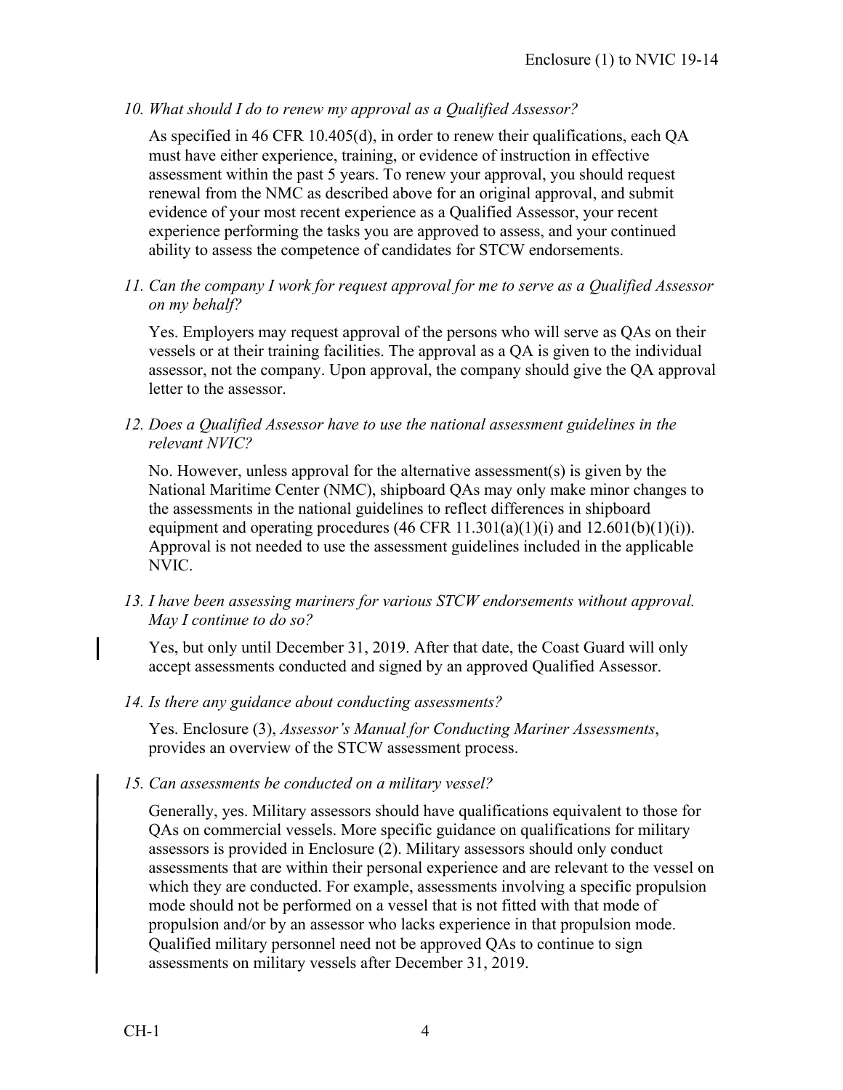## *10. What should I do to renew my approval as a Qualified Assessor?*

As specified in 46 CFR 10.405(d), in order to renew their qualifications, each QA must have either experience, training, or evidence of instruction in effective assessment within the past 5 years. To renew your approval, you should request renewal from the NMC as described above for an original approval, and submit evidence of your most recent experience as a Qualified Assessor, your recent experience performing the tasks you are approved to assess, and your continued ability to assess the competence of candidates for STCW endorsements.

*11. Can the company I work for request approval for me to serve as a Qualified Assessor on my behalf?* 

Yes. Employers may request approval of the persons who will serve as QAs on their vessels or at their training facilities. The approval as a QA is given to the individual assessor, not the company. Upon approval, the company should give the QA approval letter to the assessor.

*12. Does a Qualified Assessor have to use the national assessment guidelines in the relevant NVIC?* 

No. However, unless approval for the alternative assessment(s) is given by the National Maritime Center (NMC), shipboard QAs may only make minor changes to the assessments in the national guidelines to reflect differences in shipboard equipment and operating procedures  $(46 \text{ CFR } 11.301(a)(1)(i)$  and  $12.601(b)(1)(i)$ . Approval is not needed to use the assessment guidelines included in the applicable NVIC.

*13. I have been assessing mariners for various STCW endorsements without approval. May I continue to do so?* 

Yes, but only until December 31, 2019. After that date, the Coast Guard will only accept assessments conducted and signed by an approved Qualified Assessor.

*14. Is there any guidance about conducting assessments?* 

Yes. Enclosure (3), *Assessor's Manual for Conducting Mariner Assessments*, provides an overview of the STCW assessment process.

*15. Can assessments be conducted on a military vessel?*

Generally, yes. Military assessors should have qualifications equivalent to those for QAs on commercial vessels. More specific guidance on qualifications for military assessors is provided in Enclosure (2). Military assessors should only conduct assessments that are within their personal experience and are relevant to the vessel on which they are conducted. For example, assessments involving a specific propulsion mode should not be performed on a vessel that is not fitted with that mode of propulsion and/or by an assessor who lacks experience in that propulsion mode. Qualified military personnel need not be approved QAs to continue to sign assessments on military vessels after December 31, 2019.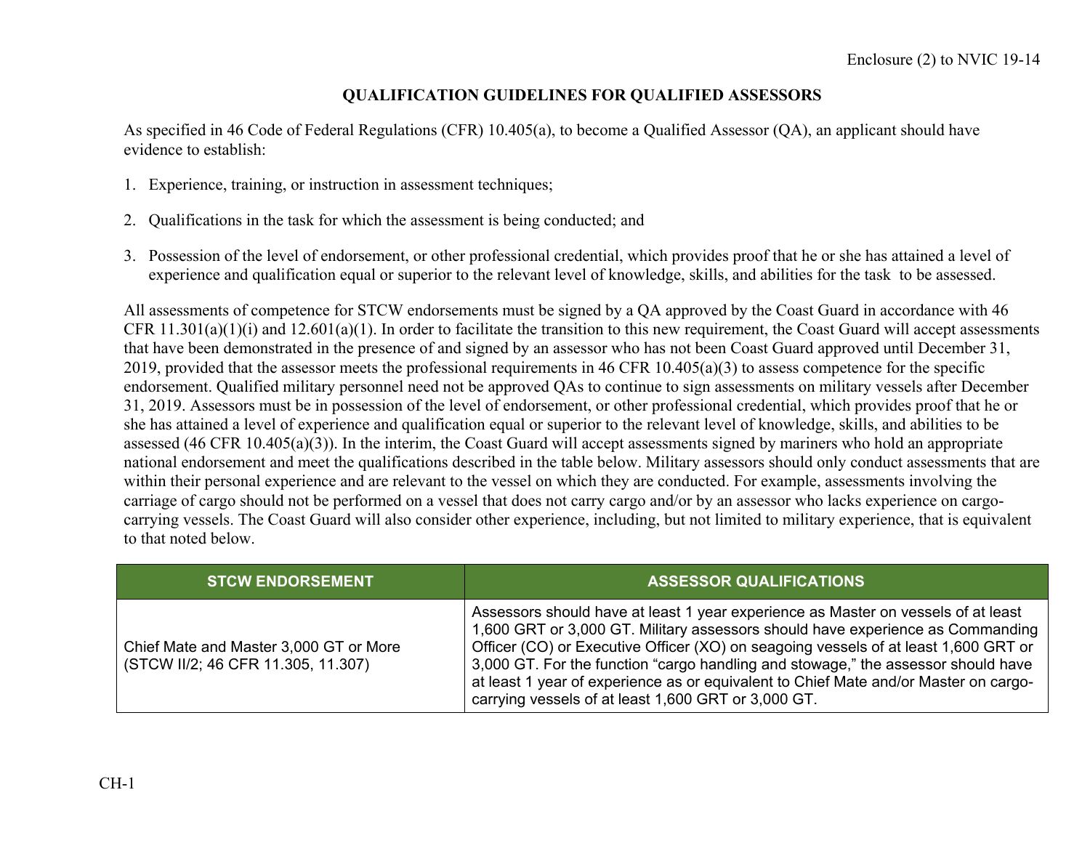## **QUALIFICATION GUIDELINES FOR QUALIFIED ASSESSORS**

As specified in 46 Code of Federal Regulations (CFR) 10.405(a), to become a Qualified Assessor (QA), an applicant should have evidence to establish:

- 1. Experience, training, or instruction in assessment techniques;
- 2. Qualifications in the task for which the assessment is being conducted; and
- 3. Possession of the level of endorsement, or other professional credential, which provides proof that he or she has attained a level of experience and qualification equal or superior to the relevant level of knowledge, skills, and abilities for the task to be assessed.

All assessments of competence for STCW endorsements must be signed by a QA approved by the Coast Guard in accordance with 46 CFR  $11.301(a)(1)(i)$  and  $12.601(a)(1)$ . In order to facilitate the transition to this new requirement, the Coast Guard will accept assessments that have been demonstrated in the presence of and signed by an assessor who has not been Coast Guard approved until December 31, 2019, provided that the assessor meets the professional requirements in 46 CFR 10.405(a)(3) to assess competence for the specific endorsement. Qualified military personnel need not be approved QAs to continue to sign assessments on military vessels after December 31, 2019. Assessors must be in possession of the level of endorsement, or other professional credential, which provides proof that he or she has attained a level of experience and qualification equal or superior to the relevant level of knowledge, skills, and abilities to be assessed (46 CFR 10.405(a)(3)). In the interim, the Coast Guard will accept assessments signed by mariners who hold an appropriate national endorsement and meet the qualifications described in the table below. Military assessors should only conduct assessments that are within their personal experience and are relevant to the vessel on which they are conducted. For example, assessments involving the carriage of cargo should not be performed on a vessel that does not carry cargo and/or by an assessor who lacks experience on cargocarrying vessels. The Coast Guard will also consider other experience, including, but not limited to military experience, that is equivalent to that noted below.

| <b>STCW ENDORSEMENT</b>                                                      | <b>ASSESSOR QUALIFICATIONS</b>                                                                                                                                                                                                                                                                                                                                                                                                                                                                 |
|------------------------------------------------------------------------------|------------------------------------------------------------------------------------------------------------------------------------------------------------------------------------------------------------------------------------------------------------------------------------------------------------------------------------------------------------------------------------------------------------------------------------------------------------------------------------------------|
| Chief Mate and Master 3,000 GT or More<br>(STCW II/2; 46 CFR 11.305, 11.307) | Assessors should have at least 1 year experience as Master on vessels of at least<br>1,600 GRT or 3,000 GT. Military assessors should have experience as Commanding<br>Officer (CO) or Executive Officer (XO) on seagoing vessels of at least 1,600 GRT or<br>3,000 GT. For the function "cargo handling and stowage," the assessor should have<br>at least 1 year of experience as or equivalent to Chief Mate and/or Master on cargo-<br>carrying vessels of at least 1,600 GRT or 3,000 GT. |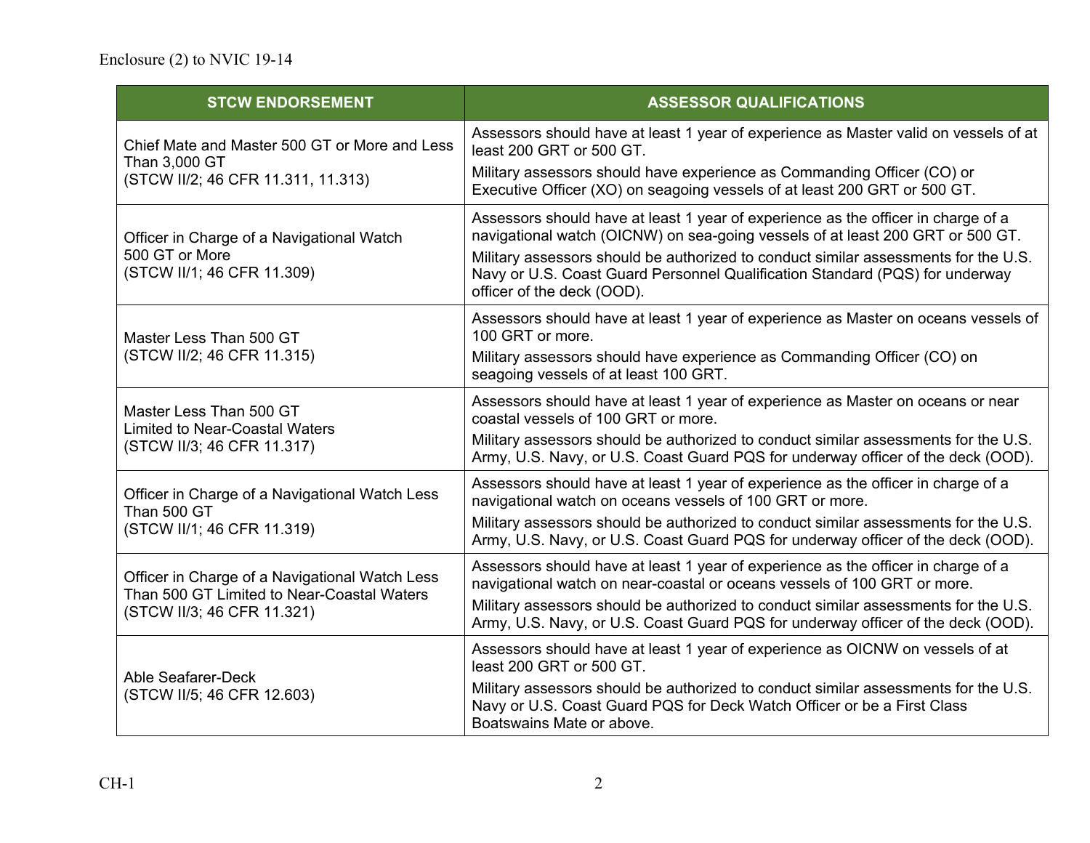| <b>STCW ENDORSEMENT</b>                                                                      | <b>ASSESSOR QUALIFICATIONS</b>                                                                                                                                                                                                                                                                                                                                           |
|----------------------------------------------------------------------------------------------|--------------------------------------------------------------------------------------------------------------------------------------------------------------------------------------------------------------------------------------------------------------------------------------------------------------------------------------------------------------------------|
| Chief Mate and Master 500 GT or More and Less<br>Than 3,000 GT                               | Assessors should have at least 1 year of experience as Master valid on vessels of at<br>least 200 GRT or 500 GT.<br>Military assessors should have experience as Commanding Officer (CO) or                                                                                                                                                                              |
| (STCW II/2; 46 CFR 11.311, 11.313)                                                           | Executive Officer (XO) on seagoing vessels of at least 200 GRT or 500 GT.                                                                                                                                                                                                                                                                                                |
| Officer in Charge of a Navigational Watch<br>500 GT or More<br>(STCW II/1; 46 CFR 11.309)    | Assessors should have at least 1 year of experience as the officer in charge of a<br>navigational watch (OICNW) on sea-going vessels of at least 200 GRT or 500 GT.<br>Military assessors should be authorized to conduct similar assessments for the U.S.<br>Navy or U.S. Coast Guard Personnel Qualification Standard (PQS) for underway<br>officer of the deck (OOD). |
| Master Less Than 500 GT                                                                      | Assessors should have at least 1 year of experience as Master on oceans vessels of<br>100 GRT or more.                                                                                                                                                                                                                                                                   |
| (STCW II/2; 46 CFR 11.315)                                                                   | Military assessors should have experience as Commanding Officer (CO) on<br>seagoing vessels of at least 100 GRT.                                                                                                                                                                                                                                                         |
| Master Less Than 500 GT<br><b>Limited to Near-Coastal Waters</b>                             | Assessors should have at least 1 year of experience as Master on oceans or near<br>coastal vessels of 100 GRT or more.                                                                                                                                                                                                                                                   |
| (STCW II/3; 46 CFR 11.317)                                                                   | Military assessors should be authorized to conduct similar assessments for the U.S.<br>Army, U.S. Navy, or U.S. Coast Guard PQS for underway officer of the deck (OOD).                                                                                                                                                                                                  |
| Officer in Charge of a Navigational Watch Less<br>Than 500 GT                                | Assessors should have at least 1 year of experience as the officer in charge of a<br>navigational watch on oceans vessels of 100 GRT or more.                                                                                                                                                                                                                            |
| (STCW II/1; 46 CFR 11.319)                                                                   | Military assessors should be authorized to conduct similar assessments for the U.S.<br>Army, U.S. Navy, or U.S. Coast Guard PQS for underway officer of the deck (OOD).                                                                                                                                                                                                  |
| Officer in Charge of a Navigational Watch Less<br>Than 500 GT Limited to Near-Coastal Waters | Assessors should have at least 1 year of experience as the officer in charge of a<br>navigational watch on near-coastal or oceans vessels of 100 GRT or more.                                                                                                                                                                                                            |
| (STCW II/3; 46 CFR 11.321)                                                                   | Military assessors should be authorized to conduct similar assessments for the U.S.<br>Army, U.S. Navy, or U.S. Coast Guard PQS for underway officer of the deck (OOD).                                                                                                                                                                                                  |
| <b>Able Seafarer-Deck</b>                                                                    | Assessors should have at least 1 year of experience as OICNW on vessels of at<br>least 200 GRT or 500 GT.                                                                                                                                                                                                                                                                |
| (STCW II/5; 46 CFR 12.603)                                                                   | Military assessors should be authorized to conduct similar assessments for the U.S.<br>Navy or U.S. Coast Guard PQS for Deck Watch Officer or be a First Class<br>Boatswains Mate or above.                                                                                                                                                                              |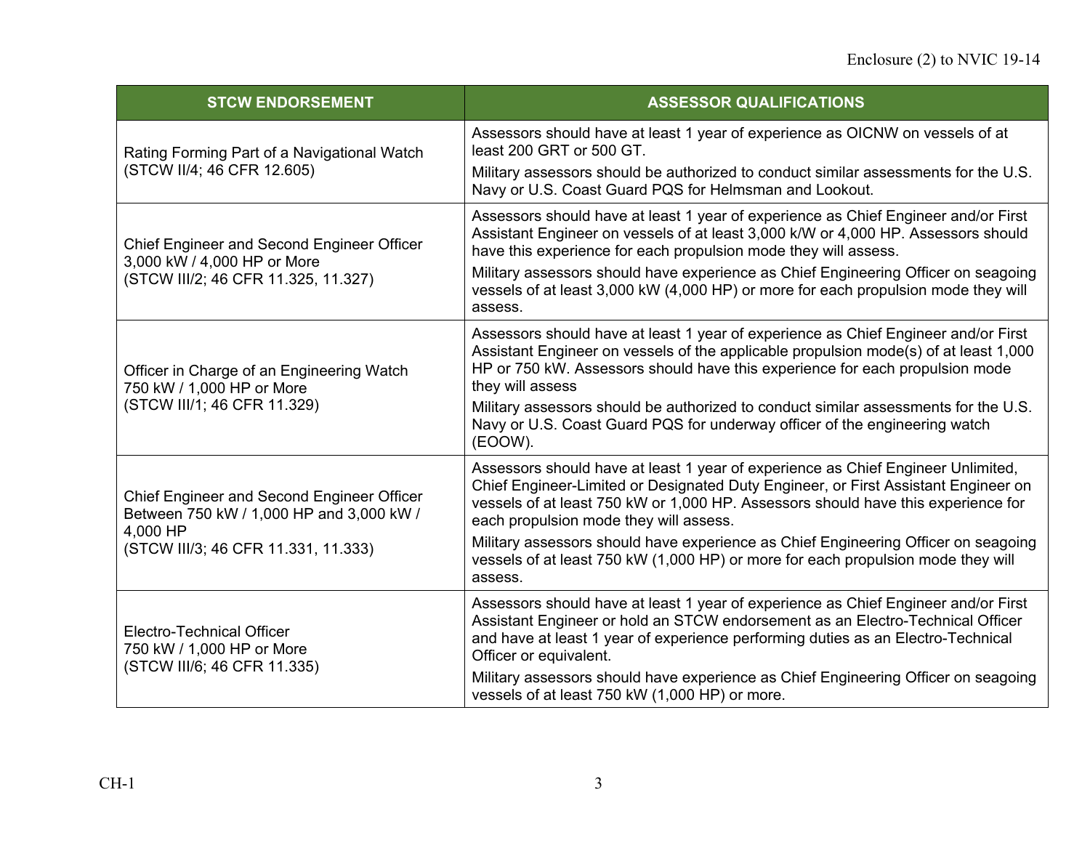| <b>STCW ENDORSEMENT</b>                                                                            | <b>ASSESSOR QUALIFICATIONS</b>                                                                                                                                                                                                                                                                        |
|----------------------------------------------------------------------------------------------------|-------------------------------------------------------------------------------------------------------------------------------------------------------------------------------------------------------------------------------------------------------------------------------------------------------|
| Rating Forming Part of a Navigational Watch                                                        | Assessors should have at least 1 year of experience as OICNW on vessels of at<br>least 200 GRT or 500 GT.                                                                                                                                                                                             |
| (STCW II/4; 46 CFR 12.605)                                                                         | Military assessors should be authorized to conduct similar assessments for the U.S.<br>Navy or U.S. Coast Guard PQS for Helmsman and Lookout.                                                                                                                                                         |
| Chief Engineer and Second Engineer Officer<br>3,000 kW / 4,000 HP or More                          | Assessors should have at least 1 year of experience as Chief Engineer and/or First<br>Assistant Engineer on vessels of at least 3,000 k/W or 4,000 HP. Assessors should<br>have this experience for each propulsion mode they will assess.                                                            |
| (STCW III/2; 46 CFR 11.325, 11.327)                                                                | Military assessors should have experience as Chief Engineering Officer on seagoing<br>vessels of at least 3,000 kW (4,000 HP) or more for each propulsion mode they will<br>assess.                                                                                                                   |
| Officer in Charge of an Engineering Watch<br>750 kW / 1,000 HP or More                             | Assessors should have at least 1 year of experience as Chief Engineer and/or First<br>Assistant Engineer on vessels of the applicable propulsion mode(s) of at least 1,000<br>HP or 750 kW. Assessors should have this experience for each propulsion mode<br>they will assess                        |
| (STCW III/1; 46 CFR 11.329)                                                                        | Military assessors should be authorized to conduct similar assessments for the U.S.<br>Navy or U.S. Coast Guard PQS for underway officer of the engineering watch<br>(EOOW).                                                                                                                          |
| Chief Engineer and Second Engineer Officer<br>Between 750 kW / 1,000 HP and 3,000 kW /<br>4,000 HP | Assessors should have at least 1 year of experience as Chief Engineer Unlimited,<br>Chief Engineer-Limited or Designated Duty Engineer, or First Assistant Engineer on<br>vessels of at least 750 kW or 1,000 HP. Assessors should have this experience for<br>each propulsion mode they will assess. |
| (STCW III/3; 46 CFR 11.331, 11.333)                                                                | Military assessors should have experience as Chief Engineering Officer on seagoing<br>vessels of at least 750 kW (1,000 HP) or more for each propulsion mode they will<br>assess.                                                                                                                     |
| Electro-Technical Officer<br>750 kW / 1,000 HP or More<br>(STCW III/6; 46 CFR 11.335)              | Assessors should have at least 1 year of experience as Chief Engineer and/or First<br>Assistant Engineer or hold an STCW endorsement as an Electro-Technical Officer<br>and have at least 1 year of experience performing duties as an Electro-Technical<br>Officer or equivalent.                    |
|                                                                                                    | Military assessors should have experience as Chief Engineering Officer on seagoing<br>vessels of at least 750 kW (1,000 HP) or more.                                                                                                                                                                  |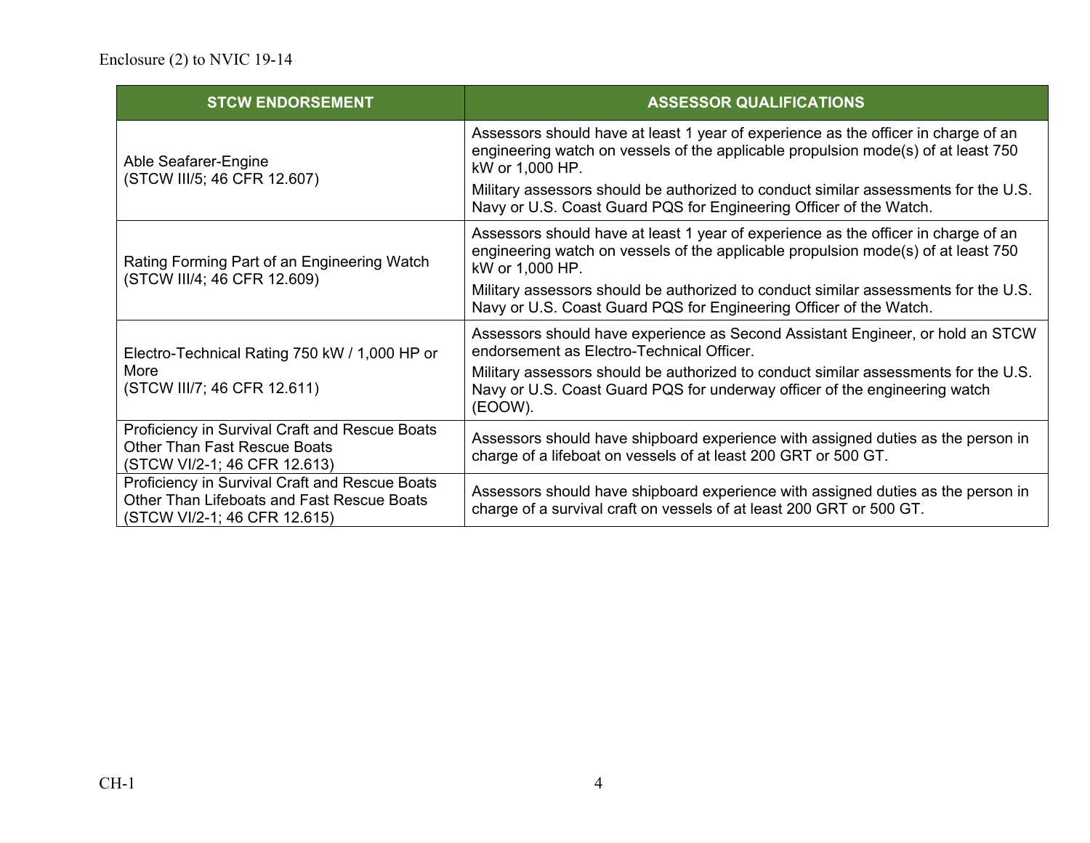| <b>STCW ENDORSEMENT</b>                                                                                                      | <b>ASSESSOR QUALIFICATIONS</b>                                                                                                                                                             |
|------------------------------------------------------------------------------------------------------------------------------|--------------------------------------------------------------------------------------------------------------------------------------------------------------------------------------------|
| Able Seafarer-Engine<br>(STCW III/5; 46 CFR 12.607)                                                                          | Assessors should have at least 1 year of experience as the officer in charge of an<br>engineering watch on vessels of the applicable propulsion mode(s) of at least 750<br>kW or 1,000 HP. |
|                                                                                                                              | Military assessors should be authorized to conduct similar assessments for the U.S.<br>Navy or U.S. Coast Guard PQS for Engineering Officer of the Watch.                                  |
| Rating Forming Part of an Engineering Watch                                                                                  | Assessors should have at least 1 year of experience as the officer in charge of an<br>engineering watch on vessels of the applicable propulsion mode(s) of at least 750<br>kW or 1,000 HP. |
| (STCW III/4; 46 CFR 12.609)                                                                                                  | Military assessors should be authorized to conduct similar assessments for the U.S.<br>Navy or U.S. Coast Guard PQS for Engineering Officer of the Watch.                                  |
| Electro-Technical Rating 750 kW / 1,000 HP or                                                                                | Assessors should have experience as Second Assistant Engineer, or hold an STCW<br>endorsement as Electro-Technical Officer.                                                                |
| More<br>(STCW III/7; 46 CFR 12.611)                                                                                          | Military assessors should be authorized to conduct similar assessments for the U.S.<br>Navy or U.S. Coast Guard PQS for underway officer of the engineering watch<br>(EOOW).               |
| Proficiency in Survival Craft and Rescue Boats<br><b>Other Than Fast Rescue Boats</b><br>(STCW VI/2-1; 46 CFR 12.613)        | Assessors should have shipboard experience with assigned duties as the person in<br>charge of a lifeboat on vessels of at least 200 GRT or 500 GT.                                         |
| Proficiency in Survival Craft and Rescue Boats<br>Other Than Lifeboats and Fast Rescue Boats<br>(STCW VI/2-1; 46 CFR 12.615) | Assessors should have shipboard experience with assigned duties as the person in<br>charge of a survival craft on vessels of at least 200 GRT or 500 GT.                                   |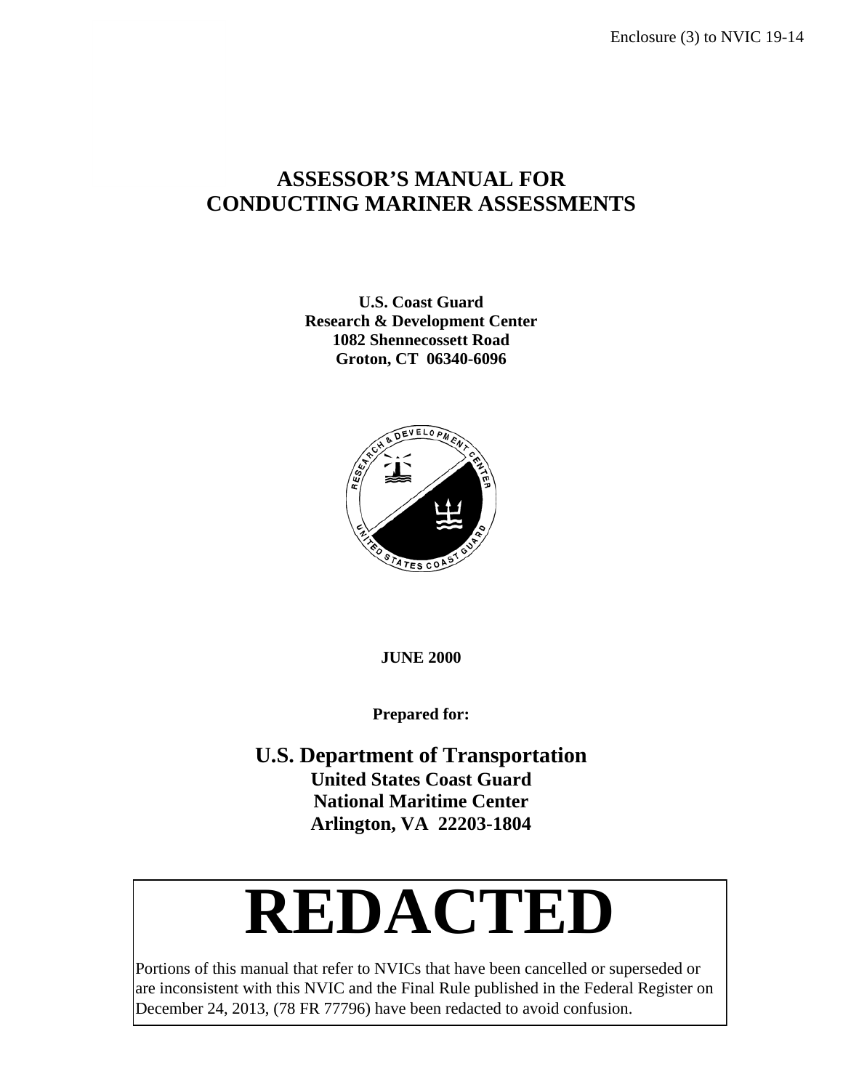Enclosure (3) to NVIC 19-14

# **ASSESSOR'S MANUAL FOR CONDUCTING MARINER ASSESSMENTS**

**U.S. Coast Guard Research & Development Center 1082 Shennecossett Road Groton, CT 06340-6096** 



**JUNE 2000** 

**Prepared for:** 

**U.S. Department of Transportation United States Coast Guard National Maritime Center Arlington, VA 22203-1804** 

# **REDACTED**

Portions of this manual that refer to NVICs that have been cancelled or superseded or are inconsistent with this NVIC and the Final Rule published in the Federal Register on December 24, 2013, (78 FR 77796) have been redacted to avoid confusion.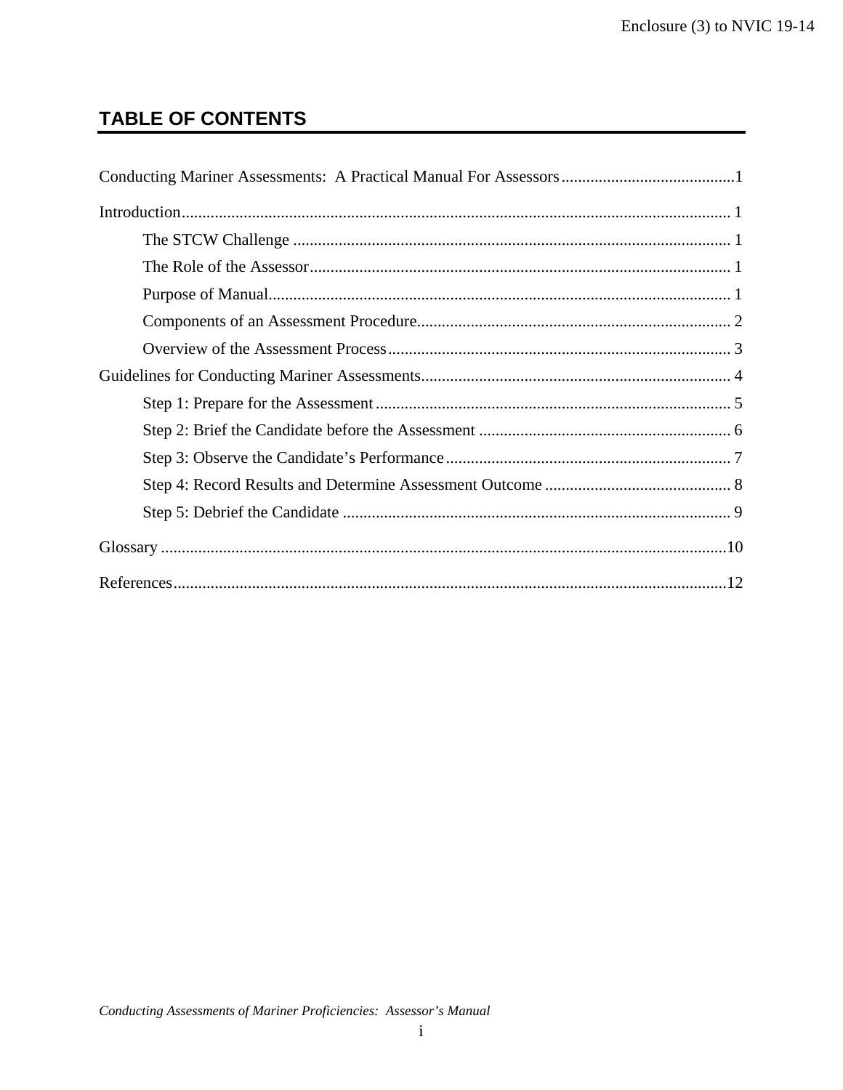# **TABLE OF CONTENTS**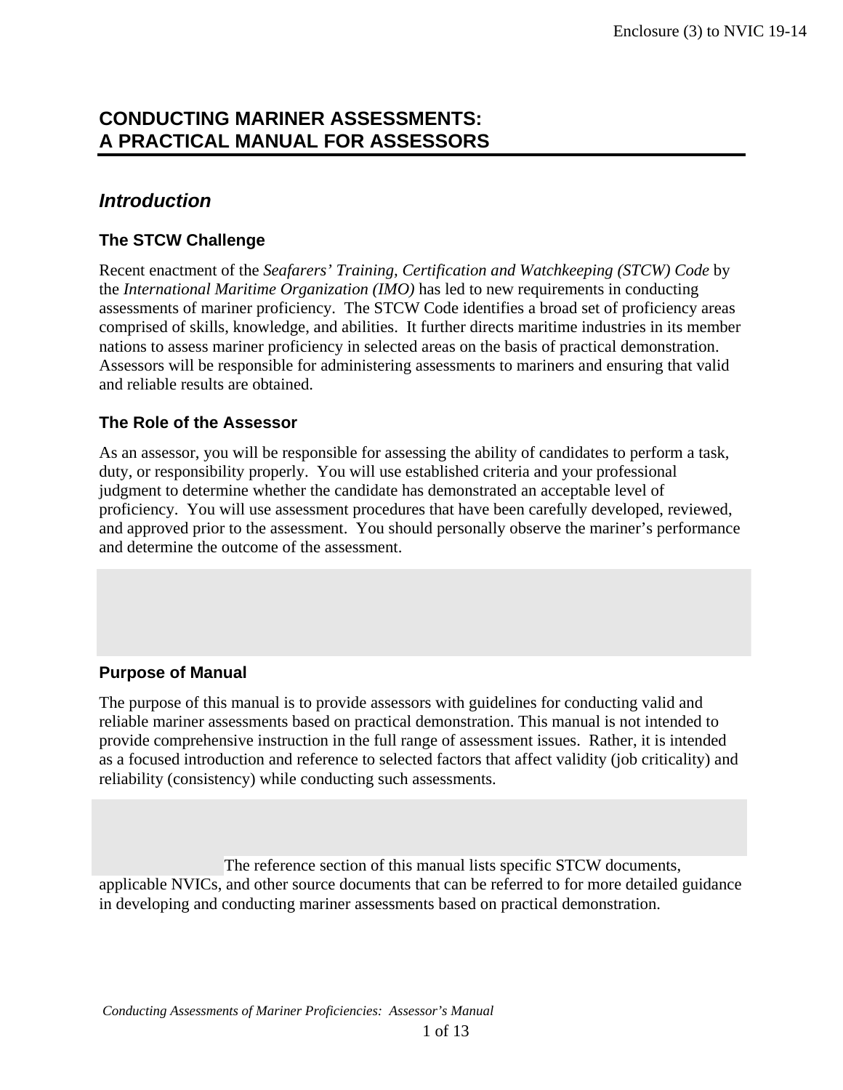# <span id="page-15-0"></span>**CONDUCTING MARINER ASSESSMENTS: A PRACTICAL MANUAL FOR ASSESSORS**

## *Introduction*

## **The STCW Challenge**

Recent enactment of the *Seafarers' Training, Certification and Watchkeeping (STCW) Code* by the *International Maritime Organization (IMO)* has led to new requirements in conducting assessments of mariner proficiency. The STCW Code identifies a broad set of proficiency areas comprised of skills, knowledge, and abilities. It further directs maritime industries in its member nations to assess mariner proficiency in selected areas on the basis of practical demonstration. Assessors will be responsible for administering assessments to mariners and ensuring that valid and reliable results are obtained.

## **The Role of the Assessor**

As an assessor, you will be responsible for assessing the ability of candidates to perform a task, duty, or responsibility properly. You will use established criteria and your professional judgment to determine whether the candidate has demonstrated an acceptable level of proficiency. You will use assessment procedures that have been carefully developed, reviewed, and approved prior to the assessment. You should personally observe the mariner's performance and determine the outcome of the assessment.

## **Purpose of Manual**

The purpose of this manual is to provide assessors with guidelines for conducting valid and reliable mariner assessments based on practical demonstration. This manual is not intended to provide comprehensive instruction in the full range of assessment issues. Rather, it is intended as a focused introduction and reference to selected factors that affect validity (job criticality) and reliability (consistency) while conducting such assessments.

The reference section of this manual lists specific STCW documents, applicable NVICs, and other source documents that can be referred to for more detailed guidance in developing and conducting mariner assessments based on practical demonstration.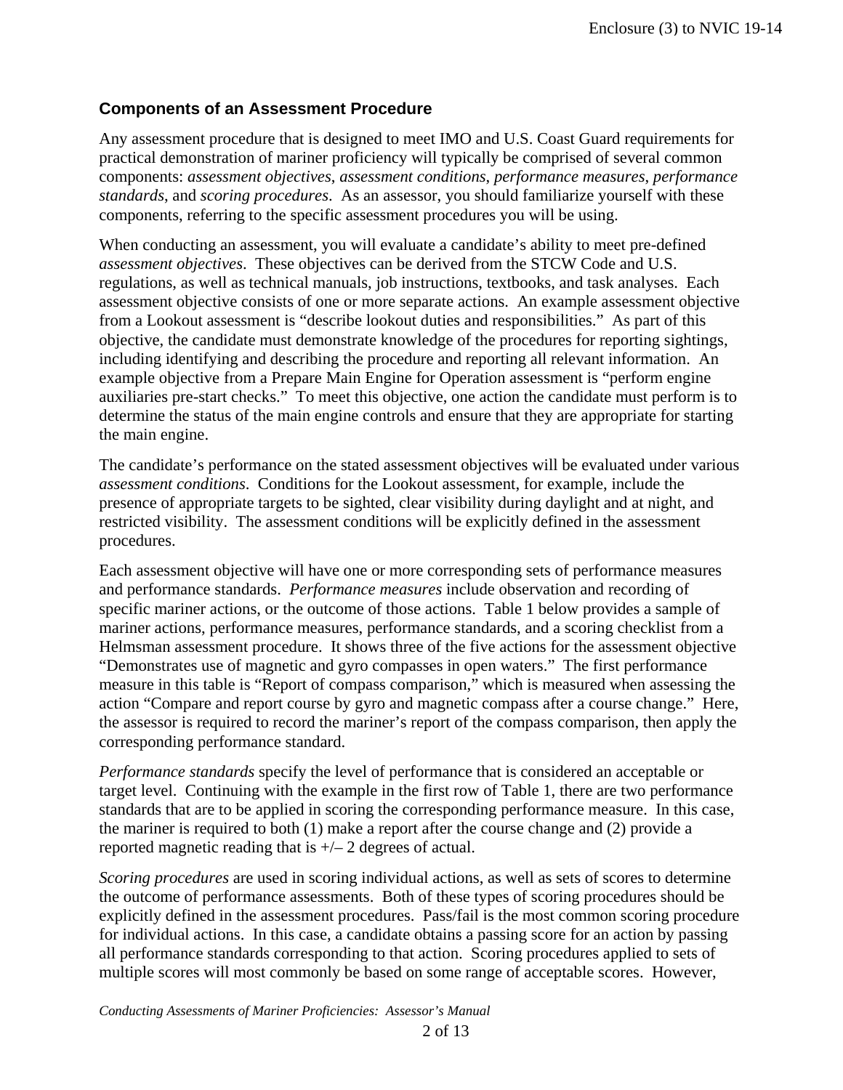## <span id="page-16-0"></span>**Components of an Assessment Procedure**

Any assessment procedure that is designed to meet IMO and U.S. Coast Guard requirements for practical demonstration of mariner proficiency will typically be comprised of several common components: *assessment objectives*, *assessment conditions*, *performance measures*, *performance standards*, and *scoring procedures*. As an assessor, you should familiarize yourself with these components, referring to the specific assessment procedures you will be using.

When conducting an assessment, you will evaluate a candidate's ability to meet pre-defined *assessment objectives*. These objectives can be derived from the STCW Code and U.S. regulations, as well as technical manuals, job instructions, textbooks, and task analyses. Each assessment objective consists of one or more separate actions. An example assessment objective from a Lookout assessment is "describe lookout duties and responsibilities." As part of this objective, the candidate must demonstrate knowledge of the procedures for reporting sightings, including identifying and describing the procedure and reporting all relevant information. An example objective from a Prepare Main Engine for Operation assessment is "perform engine auxiliaries pre-start checks." To meet this objective, one action the candidate must perform is to determine the status of the main engine controls and ensure that they are appropriate for starting the main engine.

The candidate's performance on the stated assessment objectives will be evaluated under various *assessment conditions*. Conditions for the Lookout assessment, for example, include the presence of appropriate targets to be sighted, clear visibility during daylight and at night, and restricted visibility. The assessment conditions will be explicitly defined in the assessment procedures.

Each assessment objective will have one or more corresponding sets of performance measures and performance standards. *Performance measures* include observation and recording of specific mariner actions, or the outcome of those actions. Table 1 below provides a sample of mariner actions, performance measures, performance standards, and a scoring checklist from a Helmsman assessment procedure. It shows three of the five actions for the assessment objective "Demonstrates use of magnetic and gyro compasses in open waters." The first performance measure in this table is "Report of compass comparison," which is measured when assessing the action "Compare and report course by gyro and magnetic compass after a course change." Here, the assessor is required to record the mariner's report of the compass comparison, then apply the corresponding performance standard.

*Performance standards* specify the level of performance that is considered an acceptable or target level. Continuing with the example in the first row of Table 1, there are two performance standards that are to be applied in scoring the corresponding performance measure. In this case, the mariner is required to both (1) make a report after the course change and (2) provide a reported magnetic reading that is +/– 2 degrees of actual.

*Scoring procedures* are used in scoring individual actions, as well as sets of scores to determine the outcome of performance assessments. Both of these types of scoring procedures should be explicitly defined in the assessment procedures. Pass/fail is the most common scoring procedure for individual actions. In this case, a candidate obtains a passing score for an action by passing all performance standards corresponding to that action. Scoring procedures applied to sets of multiple scores will most commonly be based on some range of acceptable scores. However,

*Conducting Assessments of Mariner Proficiencies: Assessor's Manual*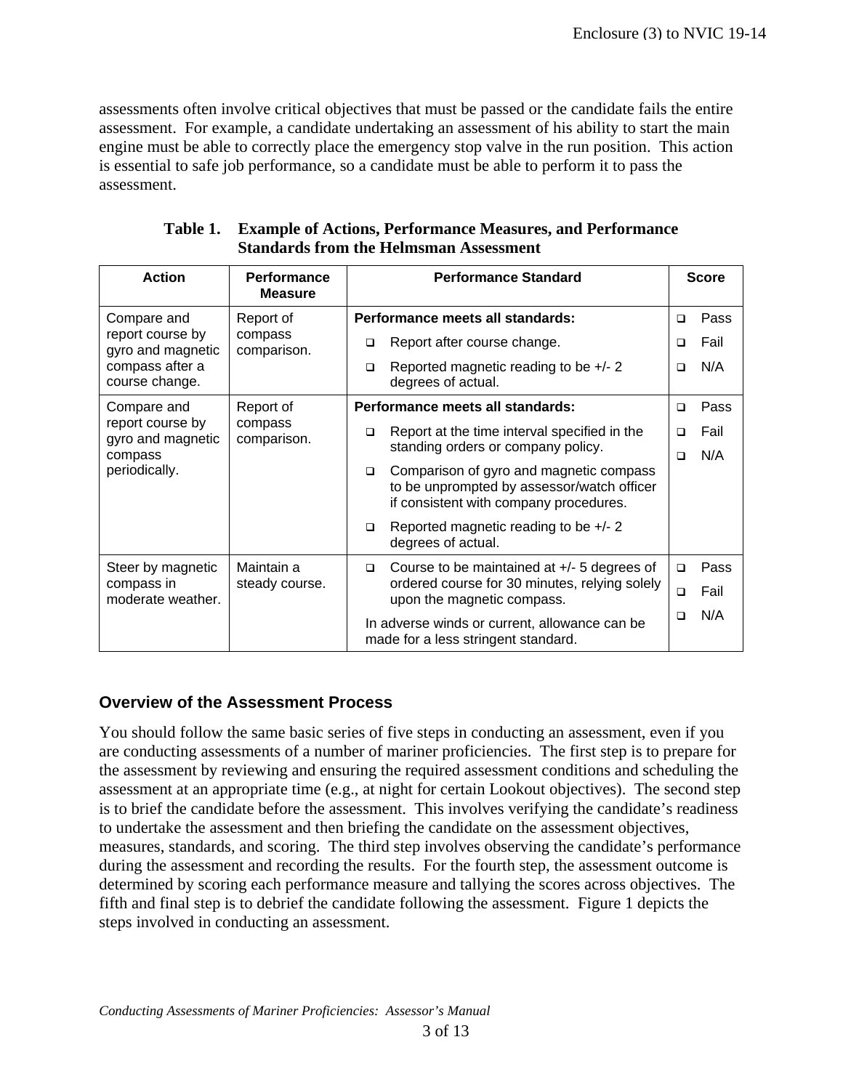<span id="page-17-0"></span>assessments often involve critical objectives that must be passed or the candidate fails the entire assessment. For example, a candidate undertaking an assessment of his ability to start the main engine must be able to correctly place the emergency stop valve in the run position. This action is essential to safe job performance, so a candidate must be able to perform it to pass the assessment.

| <b>Action</b>                         | <b>Performance</b><br><b>Measure</b> | <b>Performance Standard</b>                                                                                                          |        | <b>Score</b> |
|---------------------------------------|--------------------------------------|--------------------------------------------------------------------------------------------------------------------------------------|--------|--------------|
| Compare and<br>report course by       | Report of                            | Performance meets all standards:                                                                                                     | □      | Pass         |
| gyro and magnetic                     | compass<br>comparison.               | Report after course change.<br>□                                                                                                     | ◻      | Fail         |
| compass after a<br>course change.     |                                      | Reported magnetic reading to be $+/- 2$<br>□<br>degrees of actual.                                                                   | □      | N/A          |
| Compare and                           | Report of                            | Performance meets all standards:                                                                                                     | ◻      | Pass         |
| report course by<br>gyro and magnetic | compass<br>comparison.               | Report at the time interval specified in the<br>□                                                                                    | $\Box$ | Fail         |
| compass                               |                                      | standing orders or company policy.                                                                                                   | □      | N/A          |
| periodically.                         |                                      | Comparison of gyro and magnetic compass<br>□<br>to be unprompted by assessor/watch officer<br>if consistent with company procedures. |        |              |
|                                       |                                      | Reported magnetic reading to be +/- 2<br>□<br>degrees of actual.                                                                     |        |              |
| Steer by magnetic                     | Maintain a                           | Course to be maintained at $+/-$ 5 degrees of<br>$\Box$                                                                              | ◻      | Pass         |
| compass in<br>moderate weather.       | steady course.                       | ordered course for 30 minutes, relying solely<br>upon the magnetic compass.                                                          | $\Box$ | Fail         |
|                                       |                                      | In adverse winds or current, allowance can be<br>made for a less stringent standard.                                                 | □      | N/A          |

| Table 1. Example of Actions, Performance Measures, and Performance |
|--------------------------------------------------------------------|
| <b>Standards from the Helmsman Assessment</b>                      |

## **Overview of the Assessment Process**

You should follow the same basic series of five steps in conducting an assessment, even if you are conducting assessments of a number of mariner proficiencies. The first step is to prepare for the assessment by reviewing and ensuring the required assessment conditions and scheduling the assessment at an appropriate time (e.g., at night for certain Lookout objectives). The second step is to brief the candidate before the assessment. This involves verifying the candidate's readiness to undertake the assessment and then briefing the candidate on the assessment objectives, measures, standards, and scoring. The third step involves observing the candidate's performance during the assessment and recording the results. For the fourth step, the assessment outcome is determined by scoring each performance measure and tallying the scores across objectives. The fifth and final step is to debrief the candidate following the assessment. Figure 1 depicts the steps involved in conducting an assessment.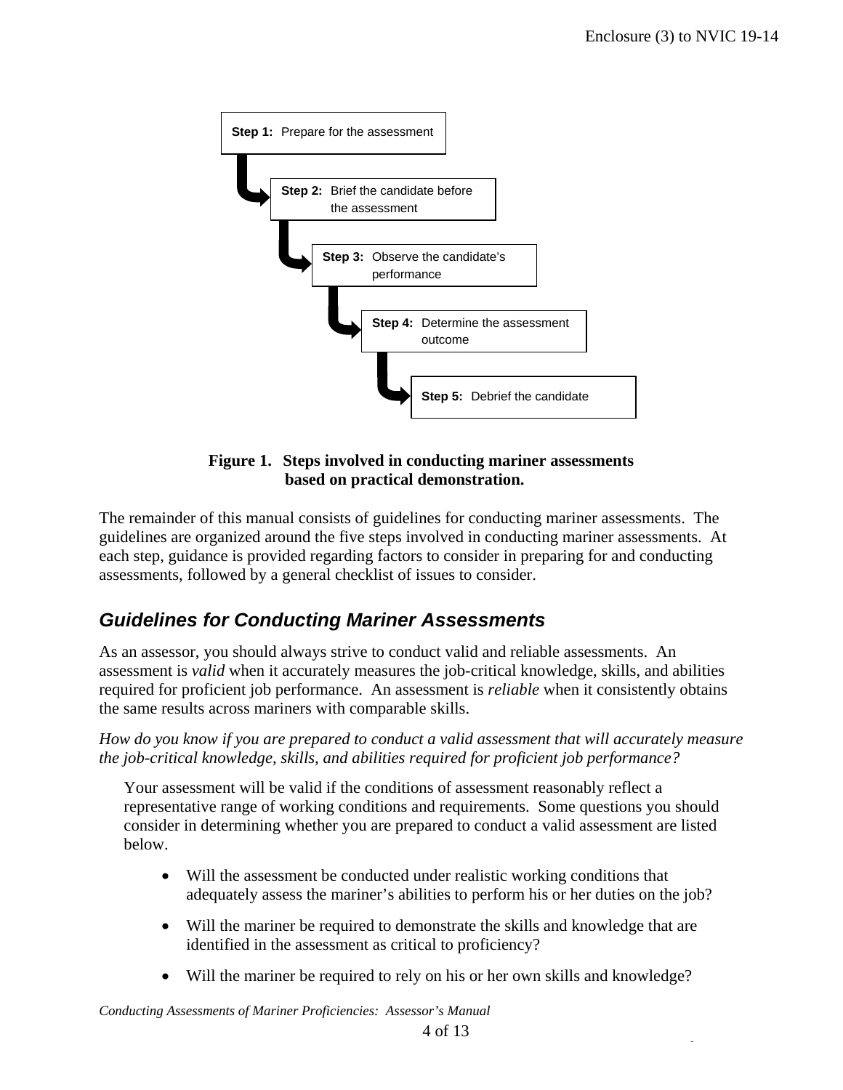<span id="page-18-0"></span>

#### **Figure 1. Steps involved in conducting mariner assessments based on practical demonstration.**

The remainder of this manual consists of guidelines for conducting mariner assessments. The guidelines are organized around the five steps involved in conducting mariner assessments. At each step, guidance is provided regarding factors to consider in preparing for and conducting assessments, followed by a general checklist of issues to consider.

# *Guidelines for Conducting Mariner Assessments*

As an assessor, you should always strive to conduct valid and reliable assessments. An assessment is *valid* when it accurately measures the job-critical knowledge, skills, and abilities required for proficient job performance. An assessment is *reliable* when it consistently obtains the same results across mariners with comparable skills.

*How do you know if you are prepared to conduct a valid assessment that will accurately measure the job-critical knowledge, skills, and abilities required for proficient job performance?*

Your assessment will be valid if the conditions of assessment reasonably reflect a representative range of working conditions and requirements. Some questions you should consider in determining whether you are prepared to conduct a valid assessment are listed below.

- Will the assessment be conducted under realistic working conditions that adequately assess the mariner's abilities to perform his or her duties on the job?
- Will the mariner be required to demonstrate the skills and knowledge that are identified in the assessment as critical to proficiency?
- Will the mariner be required to rely on his or her own skills and knowledge?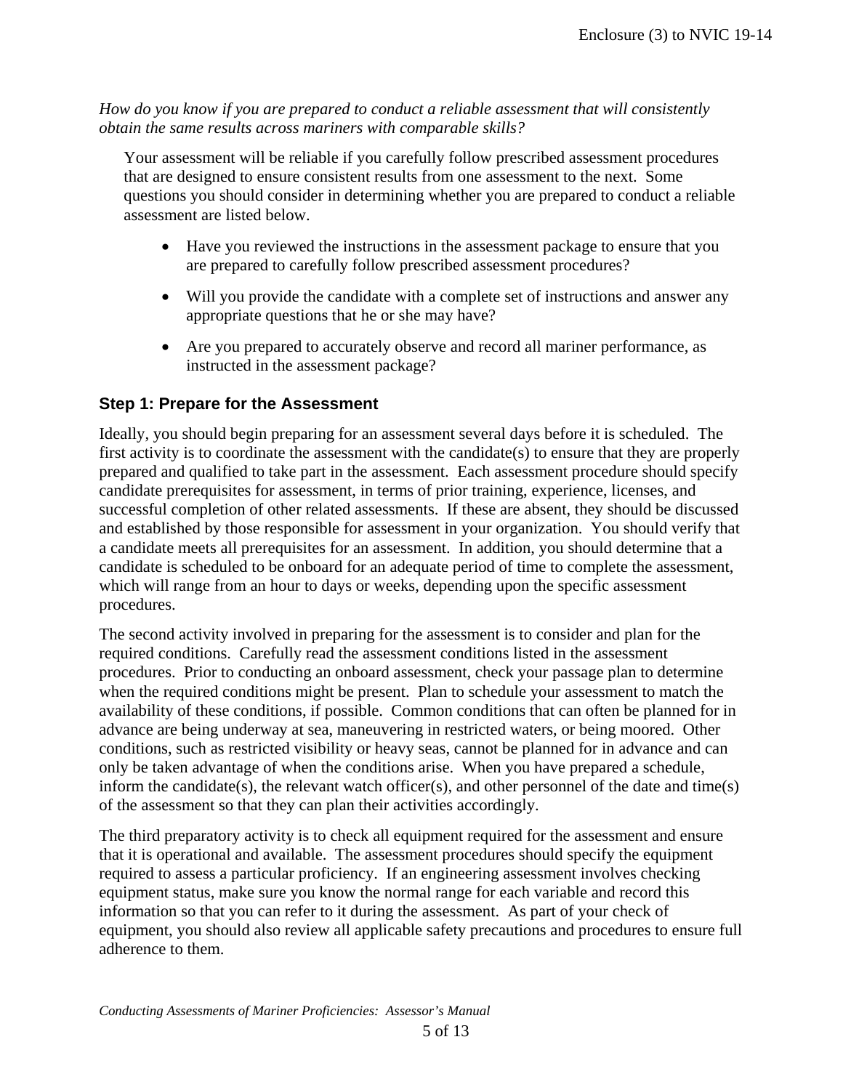<span id="page-19-0"></span>*How do you know if you are prepared to conduct a reliable assessment that will consistently obtain the same results across mariners with comparable skills?* 

Your assessment will be reliable if you carefully follow prescribed assessment procedures that are designed to ensure consistent results from one assessment to the next. Some questions you should consider in determining whether you are prepared to conduct a reliable assessment are listed below.

- Have you reviewed the instructions in the assessment package to ensure that you are prepared to carefully follow prescribed assessment procedures?
- Will you provide the candidate with a complete set of instructions and answer any appropriate questions that he or she may have?
- Are you prepared to accurately observe and record all mariner performance, as instructed in the assessment package?

## **Step 1: Prepare for the Assessment**

Ideally, you should begin preparing for an assessment several days before it is scheduled. The first activity is to coordinate the assessment with the candidate(s) to ensure that they are properly prepared and qualified to take part in the assessment. Each assessment procedure should specify candidate prerequisites for assessment, in terms of prior training, experience, licenses, and successful completion of other related assessments. If these are absent, they should be discussed and established by those responsible for assessment in your organization. You should verify that a candidate meets all prerequisites for an assessment. In addition, you should determine that a candidate is scheduled to be onboard for an adequate period of time to complete the assessment, which will range from an hour to days or weeks, depending upon the specific assessment procedures.

The second activity involved in preparing for the assessment is to consider and plan for the required conditions. Carefully read the assessment conditions listed in the assessment procedures. Prior to conducting an onboard assessment, check your passage plan to determine when the required conditions might be present. Plan to schedule your assessment to match the availability of these conditions, if possible. Common conditions that can often be planned for in advance are being underway at sea, maneuvering in restricted waters, or being moored. Other conditions, such as restricted visibility or heavy seas, cannot be planned for in advance and can only be taken advantage of when the conditions arise. When you have prepared a schedule, inform the candidate(s), the relevant watch officer(s), and other personnel of the date and time(s) of the assessment so that they can plan their activities accordingly.

The third preparatory activity is to check all equipment required for the assessment and ensure that it is operational and available. The assessment procedures should specify the equipment required to assess a particular proficiency. If an engineering assessment involves checking equipment status, make sure you know the normal range for each variable and record this information so that you can refer to it during the assessment. As part of your check of equipment, you should also review all applicable safety precautions and procedures to ensure full adherence to them.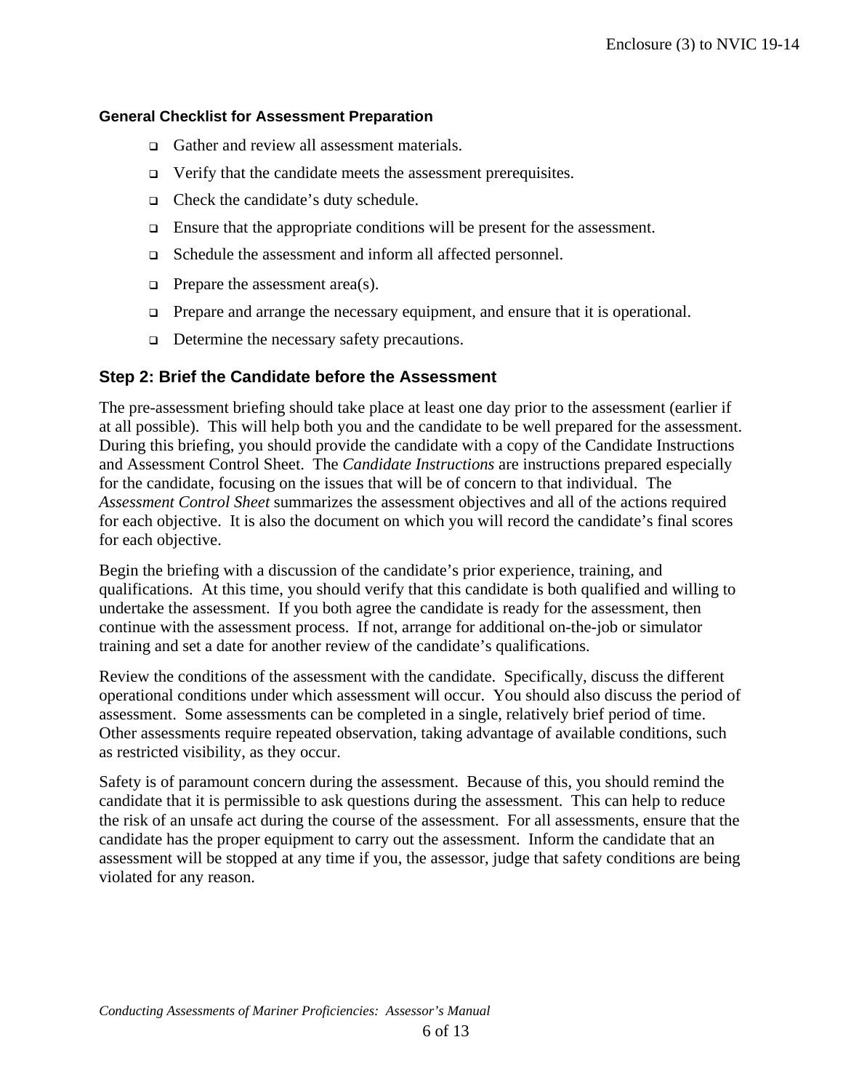#### <span id="page-20-0"></span>**General Checklist for Assessment Preparation**

- Gather and review all assessment materials.
- $\Box$  Verify that the candidate meets the assessment prerequisites.
- $\Box$  Check the candidate's duty schedule.
- $\Box$  Ensure that the appropriate conditions will be present for the assessment.
- Schedule the assessment and inform all affected personnel.
- $\Box$  Prepare the assessment area(s).
- Prepare and arrange the necessary equipment, and ensure that it is operational.
- □ Determine the necessary safety precautions.

#### **Step 2: Brief the Candidate before the Assessment**

The pre-assessment briefing should take place at least one day prior to the assessment (earlier if at all possible). This will help both you and the candidate to be well prepared for the assessment. During this briefing, you should provide the candidate with a copy of the Candidate Instructions and Assessment Control Sheet. The *Candidate Instructions* are instructions prepared especially for the candidate, focusing on the issues that will be of concern to that individual. The *Assessment Control Sheet* summarizes the assessment objectives and all of the actions required for each objective. It is also the document on which you will record the candidate's final scores for each objective.

Begin the briefing with a discussion of the candidate's prior experience, training, and qualifications. At this time, you should verify that this candidate is both qualified and willing to undertake the assessment. If you both agree the candidate is ready for the assessment, then continue with the assessment process. If not, arrange for additional on-the-job or simulator training and set a date for another review of the candidate's qualifications.

Review the conditions of the assessment with the candidate. Specifically, discuss the different operational conditions under which assessment will occur. You should also discuss the period of assessment. Some assessments can be completed in a single, relatively brief period of time. Other assessments require repeated observation, taking advantage of available conditions, such as restricted visibility, as they occur.

Safety is of paramount concern during the assessment. Because of this, you should remind the candidate that it is permissible to ask questions during the assessment. This can help to reduce the risk of an unsafe act during the course of the assessment. For all assessments, ensure that the candidate has the proper equipment to carry out the assessment. Inform the candidate that an assessment will be stopped at any time if you, the assessor, judge that safety conditions are being violated for any reason.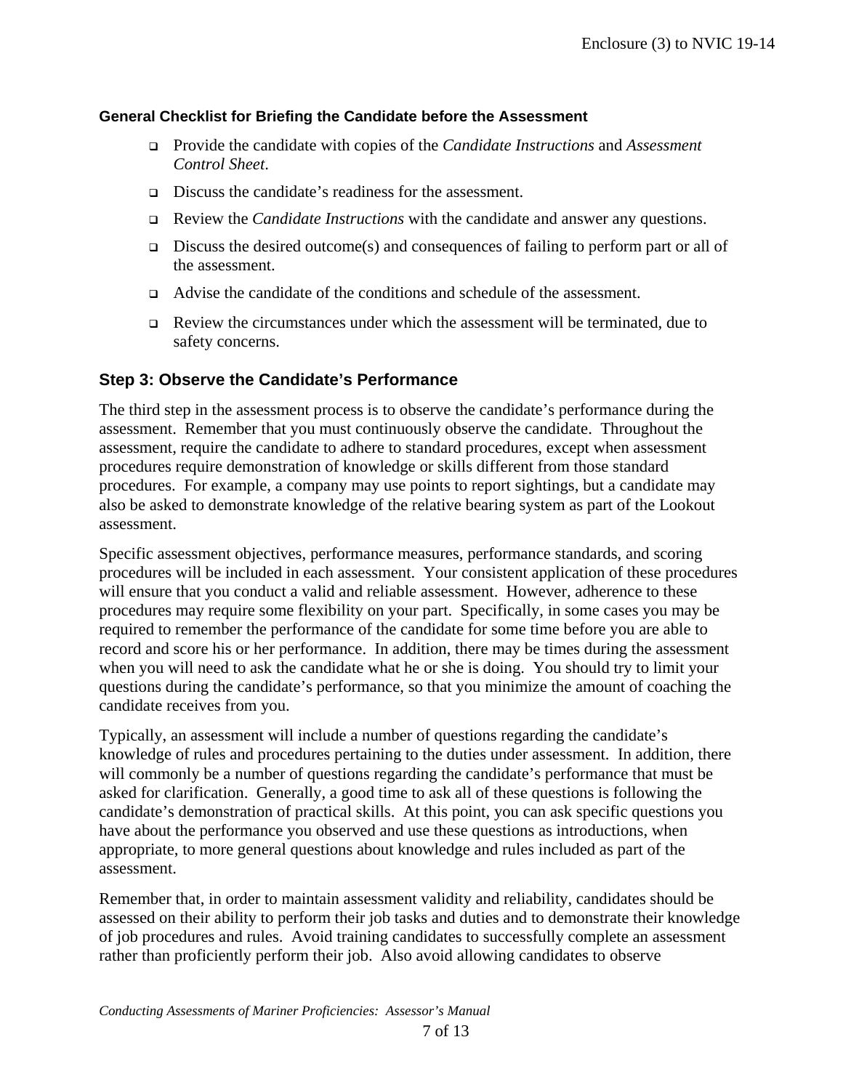#### <span id="page-21-0"></span>**General Checklist for Briefing the Candidate before the Assessment**

- Provide the candidate with copies of the *Candidate Instructions* and *Assessment Control Sheet*.
- Discuss the candidate's readiness for the assessment.
- Review the *Candidate Instructions* with the candidate and answer any questions.
- $\Box$  Discuss the desired outcome(s) and consequences of failing to perform part or all of the assessment.
- $\Box$  Advise the candidate of the conditions and schedule of the assessment.
- Review the circumstances under which the assessment will be terminated, due to safety concerns.

#### **Step 3: Observe the Candidate's Performance**

The third step in the assessment process is to observe the candidate's performance during the assessment. Remember that you must continuously observe the candidate. Throughout the assessment, require the candidate to adhere to standard procedures, except when assessment procedures require demonstration of knowledge or skills different from those standard procedures. For example, a company may use points to report sightings, but a candidate may also be asked to demonstrate knowledge of the relative bearing system as part of the Lookout assessment.

Specific assessment objectives, performance measures, performance standards, and scoring procedures will be included in each assessment. Your consistent application of these procedures will ensure that you conduct a valid and reliable assessment. However, adherence to these procedures may require some flexibility on your part. Specifically, in some cases you may be required to remember the performance of the candidate for some time before you are able to record and score his or her performance. In addition, there may be times during the assessment when you will need to ask the candidate what he or she is doing. You should try to limit your questions during the candidate's performance, so that you minimize the amount of coaching the candidate receives from you.

Typically, an assessment will include a number of questions regarding the candidate's knowledge of rules and procedures pertaining to the duties under assessment. In addition, there will commonly be a number of questions regarding the candidate's performance that must be asked for clarification. Generally, a good time to ask all of these questions is following the candidate's demonstration of practical skills. At this point, you can ask specific questions you have about the performance you observed and use these questions as introductions, when appropriate, to more general questions about knowledge and rules included as part of the assessment.

Remember that, in order to maintain assessment validity and reliability, candidates should be assessed on their ability to perform their job tasks and duties and to demonstrate their knowledge of job procedures and rules. Avoid training candidates to successfully complete an assessment rather than proficiently perform their job. Also avoid allowing candidates to observe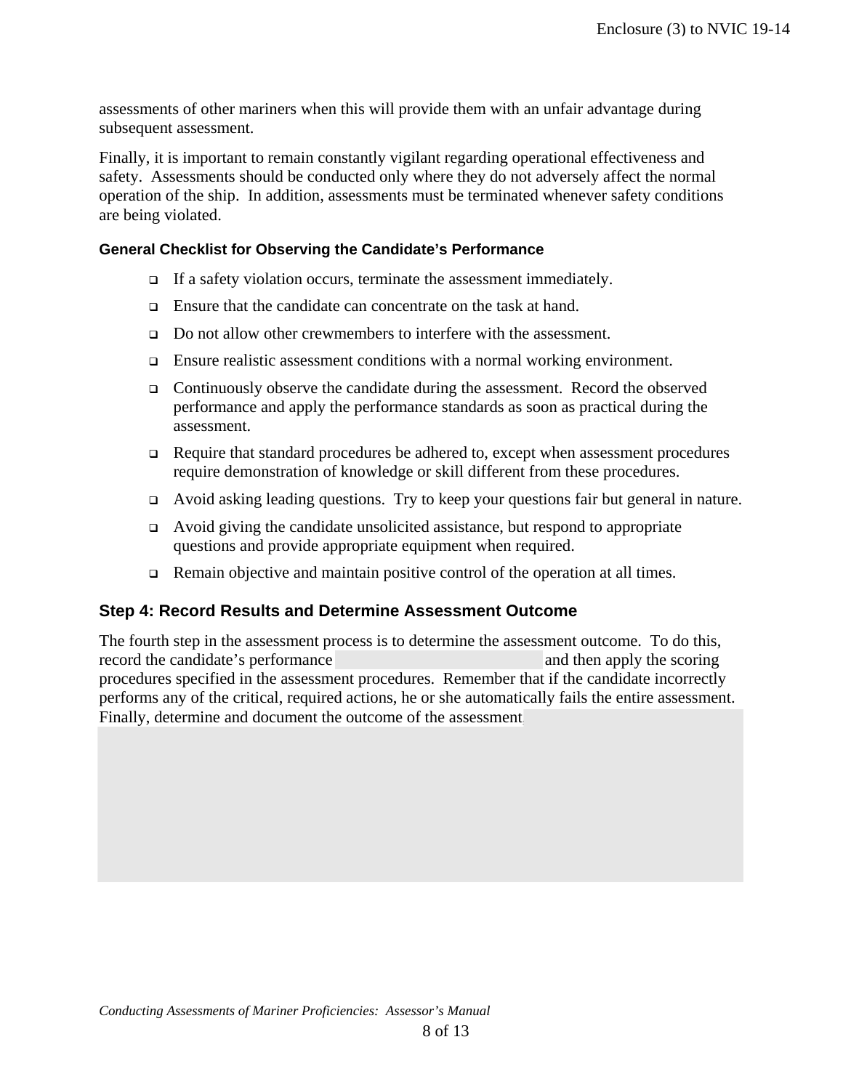<span id="page-22-0"></span>assessments of other mariners when this will provide them with an unfair advantage during subsequent assessment.

Finally, it is important to remain constantly vigilant regarding operational effectiveness and safety. Assessments should be conducted only where they do not adversely affect the normal operation of the ship. In addition, assessments must be terminated whenever safety conditions are being violated.

#### **General Checklist for Observing the Candidate's Performance**

- $\Box$  If a safety violation occurs, terminate the assessment immediately.
- Ensure that the candidate can concentrate on the task at hand.
- Do not allow other crewmembers to interfere with the assessment.
- Ensure realistic assessment conditions with a normal working environment.
- Continuously observe the candidate during the assessment. Record the observed performance and apply the performance standards as soon as practical during the assessment.
- $\Box$  Require that standard procedures be adhered to, except when assessment procedures require demonstration of knowledge or skill different from these procedures.
- Avoid asking leading questions. Try to keep your questions fair but general in nature.
- $\Box$  Avoid giving the candidate unsolicited assistance, but respond to appropriate questions and provide appropriate equipment when required.
- $\Box$  Remain objective and maintain positive control of the operation at all times.

#### **Step 4: Record Results and Determine Assessment Outcome**

The fourth step in the assessment process is to determine the assessment outcome. To do this, record the candidate's performance **on the candidate's** performance and then apply the scoring procedures specified in the assessment procedures. Remember that if the candidate incorrectly performs any of the critical, required actions, he or she automatically fails the entire assessment. Finally, determine and document the outcome of the assessment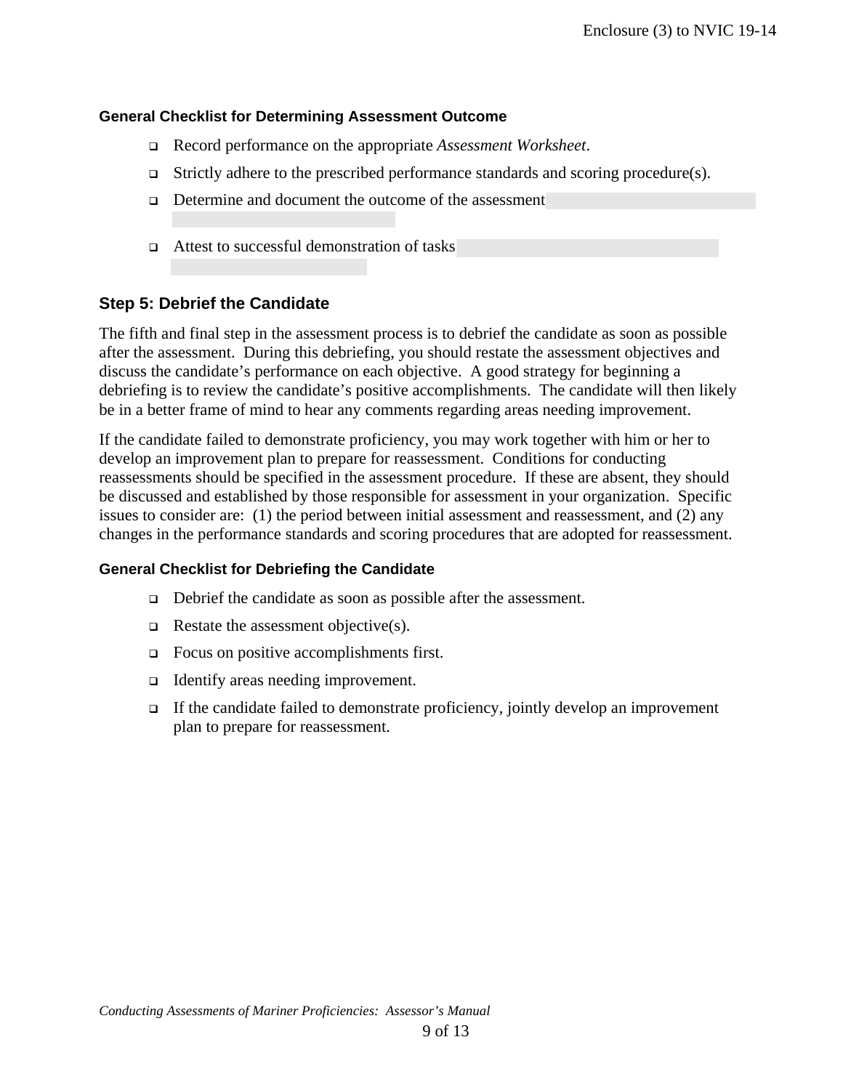#### <span id="page-23-0"></span>**General Checklist for Determining Assessment Outcome**

- Record performance on the appropriate *Assessment Worksheet*.
- $\Box$  Strictly adhere to the prescribed performance standards and scoring procedure(s).
- $\Box$  Determine and document the outcome of the assessment
- Attest to successful demonstration of tasks in the *Training Record Book* (TRB) or

#### **Step 5: Debrief the Candidate**

The fifth and final step in the assessment process is to debrief the candidate as soon as possible after the assessment. During this debriefing, you should restate the assessment objectives and discuss the candidate's performance on each objective. A good strategy for beginning a debriefing is to review the candidate's positive accomplishments. The candidate will then likely be in a better frame of mind to hear any comments regarding areas needing improvement.

If the candidate failed to demonstrate proficiency, you may work together with him or her to develop an improvement plan to prepare for reassessment. Conditions for conducting reassessments should be specified in the assessment procedure. If these are absent, they should be discussed and established by those responsible for assessment in your organization. Specific issues to consider are: (1) the period between initial assessment and reassessment, and (2) any changes in the performance standards and scoring procedures that are adopted for reassessment.

#### **General Checklist for Debriefing the Candidate**

- Debrief the candidate as soon as possible after the assessment.
- $\Box$  Restate the assessment objective(s).
- Focus on positive accomplishments first.
- Identify areas needing improvement.
- $\Box$  If the candidate failed to demonstrate proficiency, jointly develop an improvement plan to prepare for reassessment.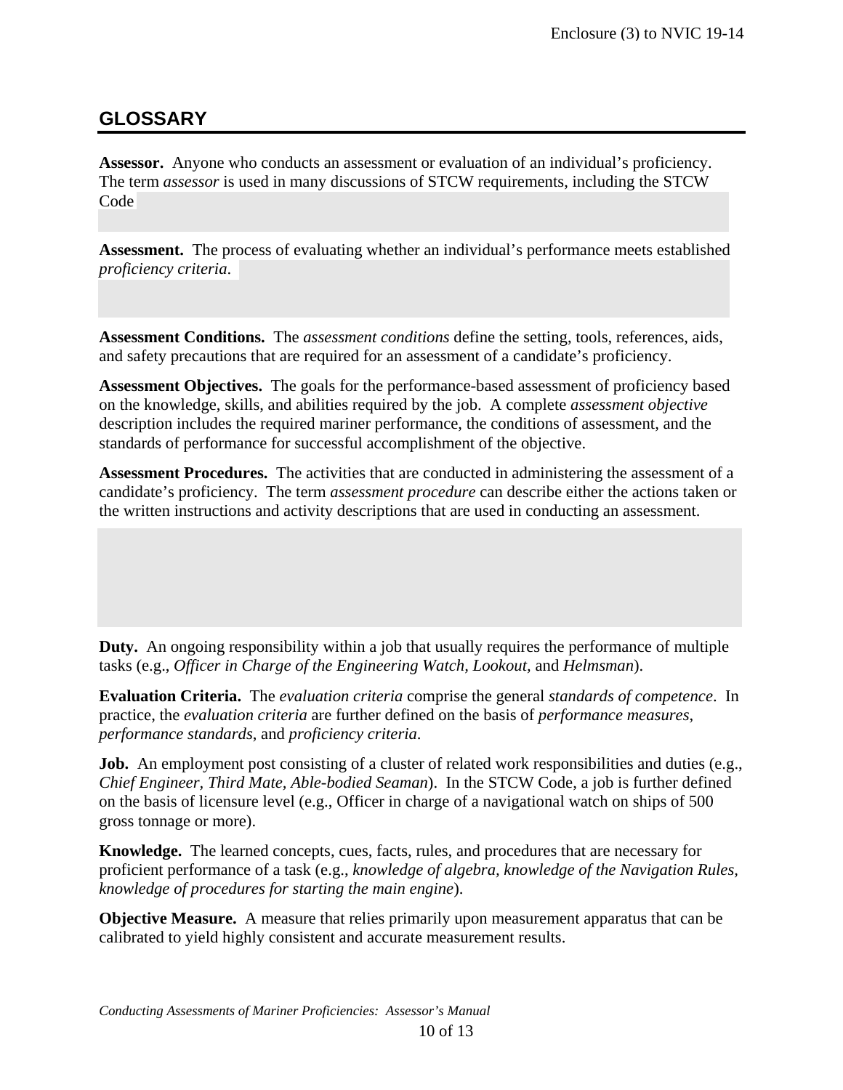## <span id="page-24-0"></span>**GLOSSARY**

**Assessor.** Anyone who conducts an assessment or evaluation of an individual's proficiency. The term *assessor* is used in many discussions of STCW requirements, including the STCW  $Code$  and  $P$  on company roles and responsibilities. The term  $q$  on company  $q$  is the term  $q$  is the term  $q$  is the term  $q$  is the term  $q$  is the term  $q$  is the term  $q$  is the term  $q$  is the term  $q$  is the term  $q$ 

**Assessment.** The process of evaluating whether an individual's performance meets established *proficiency criteria.* 

**Assessment Conditions.** The *assessment conditions* define the setting, tools, references, aids, and safety precautions that are required for an assessment of a candidate's proficiency.

**Assessment Objectives.** The goals for the performance-based assessment of proficiency based on the knowledge, skills, and abilities required by the job. A complete *assessment objective* description includes the required mariner performance, the conditions of assessment, and the standards of performance for successful accomplishment of the objective.

**Assessment Procedures.** The activities that are conducted in administering the assessment of a candidate's proficiency. The term *assessment procedure* can describe either the actions taken or the written instructions and activity descriptions that are used in conducting an assessment.

**Duty.** An ongoing responsibility within a job that usually requires the performance of multiple tasks (e.g., *Officer in Charge of the Engineering Watch, Lookout,* and *Helmsman*).

**Evaluation Criteria.** The *evaluation criteria* comprise the general *standards of competence*. In practice, the *evaluation criteria* are further defined on the basis of *performance measures*, *performance standards*, and *proficiency criteria*.

**Job.** An employment post consisting of a cluster of related work responsibilities and duties (e.g., *Chief Engineer, Third Mate, Able-bodied Seaman*). In the STCW Code, a job is further defined on the basis of licensure level (e.g., Officer in charge of a navigational watch on ships of 500 gross tonnage or more).

**Knowledge.** The learned concepts, cues, facts, rules, and procedures that are necessary for proficient performance of a task (e.g., *knowledge of algebra, knowledge of the Navigation Rules, knowledge of procedures for starting the main engine*).

**Objective Measure.** A measure that relies primarily upon measurement apparatus that can be calibrated to yield highly consistent and accurate measurement results.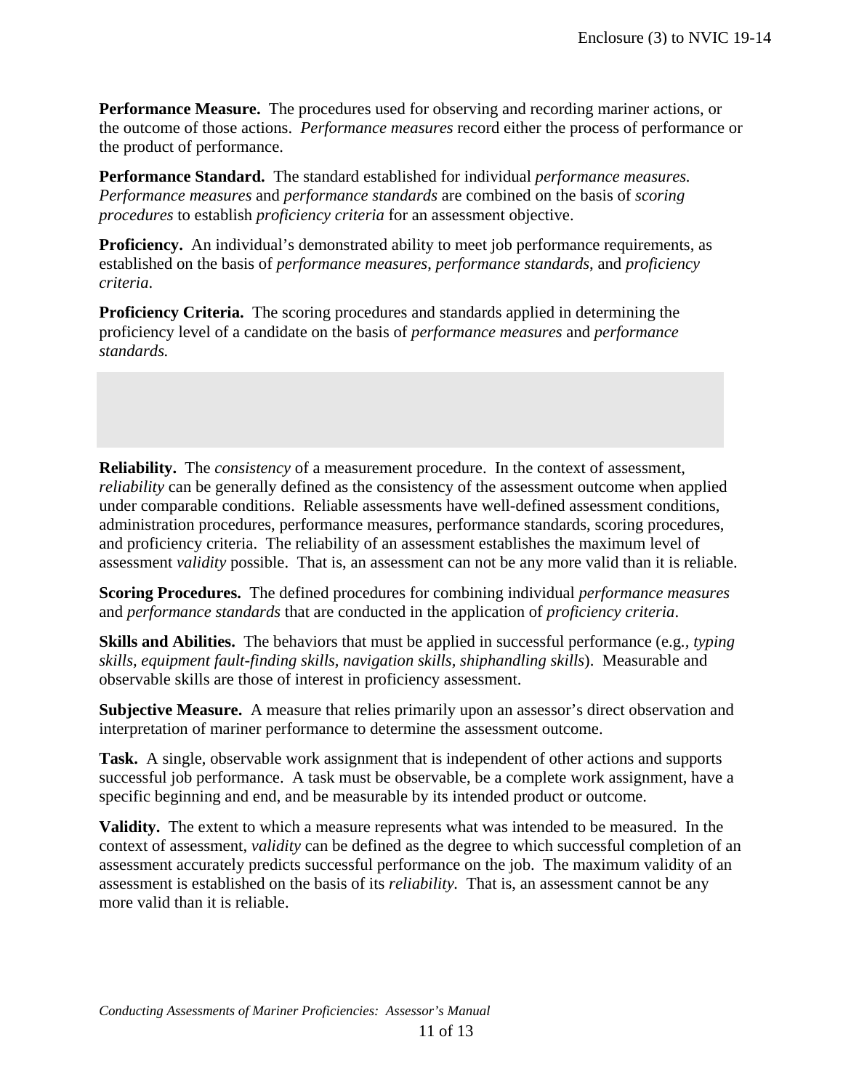**Performance Measure.** The procedures used for observing and recording mariner actions, or the outcome of those actions. *Performance measures* record either the process of performance or the product of performance.

**Performance Standard.** The standard established for individual *performance measures. Performance measures* and *performance standards* are combined on the basis of *scoring procedures* to establish *proficiency criteria* for an assessment objective.

**Proficiency.** An individual's demonstrated ability to meet job performance requirements, as established on the basis of *performance measures*, *performance standards*, and *proficiency criteria*.

**Proficiency Criteria.** The scoring procedures and standards applied in determining the proficiency level of a candidate on the basis of *performance measures* and *performance standards.*

**Reliability.** The *consistency* of a measurement procedure. In the context of assessment, *reliability* can be generally defined as the consistency of the assessment outcome when applied under comparable conditions. Reliable assessments have well-defined assessment conditions, administration procedures, performance measures, performance standards, scoring procedures, and proficiency criteria. The reliability of an assessment establishes the maximum level of assessment *validity* possible. That is, an assessment can not be any more valid than it is reliable.

**Scoring Procedures.** The defined procedures for combining individual *performance measures* and *performance standards* that are conducted in the application of *proficiency criteria*.

**Skills and Abilities.** The behaviors that must be applied in successful performance (e.g*., typing skills, equipment fault-finding skills, navigation skills, shiphandling skills*). Measurable and observable skills are those of interest in proficiency assessment.

**Subjective Measure.** A measure that relies primarily upon an assessor's direct observation and interpretation of mariner performance to determine the assessment outcome.

**Task.** A single, observable work assignment that is independent of other actions and supports successful job performance. A task must be observable, be a complete work assignment, have a specific beginning and end, and be measurable by its intended product or outcome.

**Validity.** The extent to which a measure represents what was intended to be measured. In the context of assessment, *validity* can be defined as the degree to which successful completion of an assessment accurately predicts successful performance on the job. The maximum validity of an assessment is established on the basis of its *reliability.* That is, an assessment cannot be any more valid than it is reliable.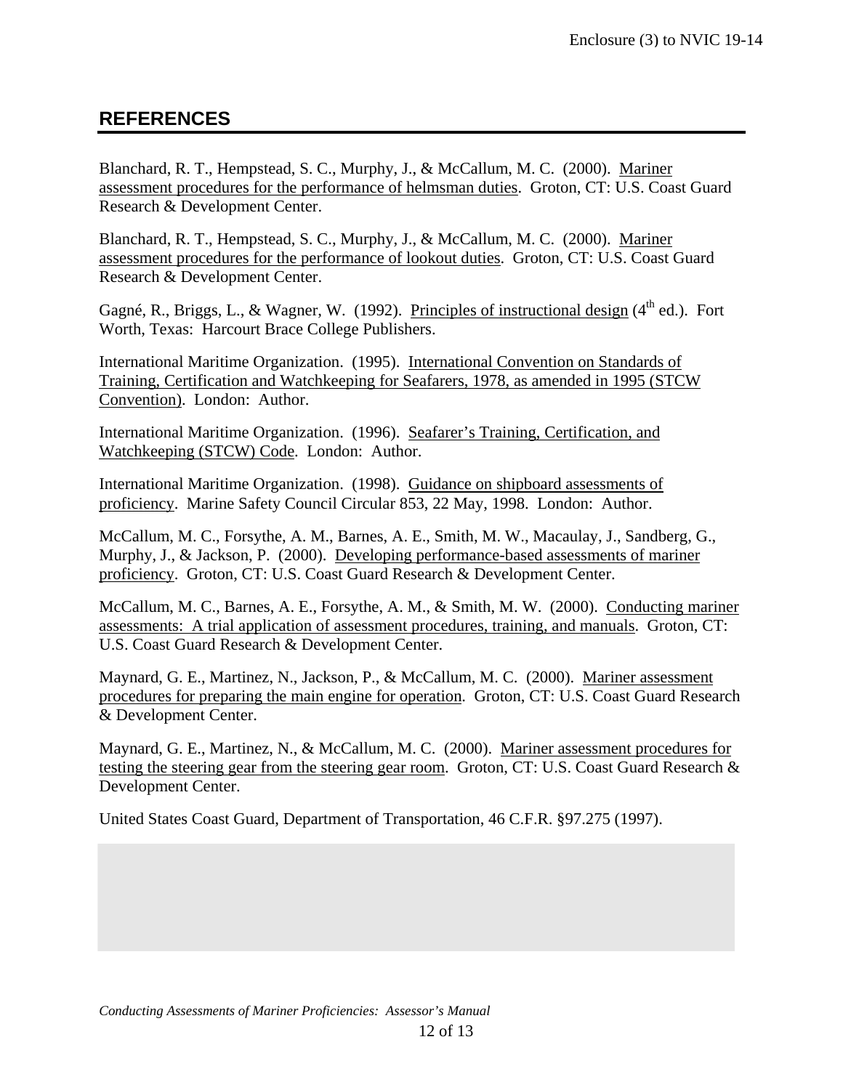# <span id="page-26-0"></span>**REFERENCES**

Blanchard, R. T., Hempstead, S. C., Murphy, J., & McCallum, M. C. (2000). Mariner assessment procedures for the performance of helmsman duties. Groton, CT: U.S. Coast Guard Research & Development Center.

Blanchard, R. T., Hempstead, S. C., Murphy, J., & McCallum, M. C. (2000). Mariner assessment procedures for the performance of lookout duties. Groton, CT: U.S. Coast Guard Research & Development Center.

Gagné, R., Briggs, L., & Wagner, W. (1992). Principles of instructional design (4<sup>th</sup> ed.). Fort Worth, Texas: Harcourt Brace College Publishers.

International Maritime Organization. (1995). International Convention on Standards of Training, Certification and Watchkeeping for Seafarers, 1978, as amended in 1995 (STCW Convention). London: Author.

International Maritime Organization. (1996). Seafarer's Training, Certification, and Watchkeeping (STCW) Code. London: Author.

International Maritime Organization. (1998). Guidance on shipboard assessments of proficiency. Marine Safety Council Circular 853, 22 May, 1998. London: Author.

McCallum, M. C., Forsythe, A. M., Barnes, A. E., Smith, M. W., Macaulay, J., Sandberg, G., Murphy, J., & Jackson, P. (2000). Developing performance-based assessments of mariner proficiency. Groton, CT: U.S. Coast Guard Research & Development Center.

McCallum, M. C., Barnes, A. E., Forsythe, A. M., & Smith, M. W. (2000). Conducting mariner assessments: A trial application of assessment procedures, training, and manuals. Groton, CT: U.S. Coast Guard Research & Development Center.

Maynard, G. E., Martinez, N., Jackson, P., & McCallum, M. C. (2000). Mariner assessment procedures for preparing the main engine for operation. Groton, CT: U.S. Coast Guard Research & Development Center.

Maynard, G. E., Martinez, N., & McCallum, M. C. (2000). Mariner assessment procedures for testing the steering gear from the steering gear room. Groton, CT: U.S. Coast Guard Research & Development Center.

United States Coast Guard, Department of Transportation, 46 C.F.R. §97.275 (1997).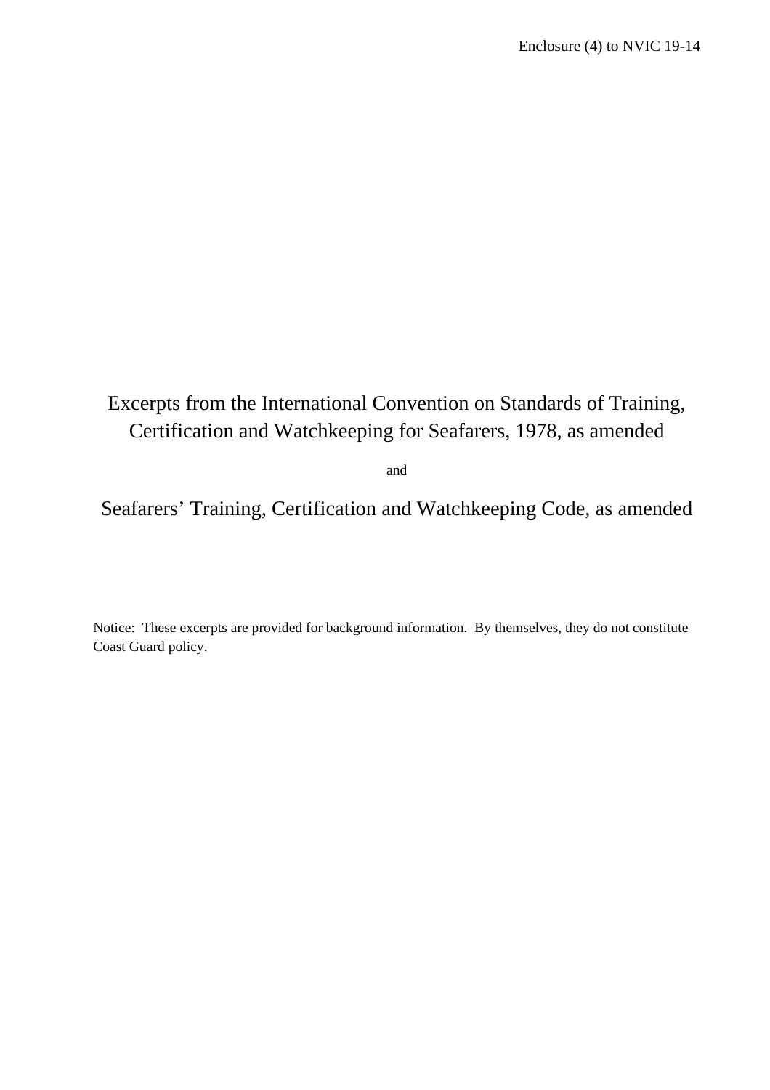# Excerpts from the International Convention on Standards of Training, Certification and Watchkeeping for Seafarers, 1978, as amended

and

Seafarers' Training, Certification and Watchkeeping Code, as amended

Notice: These excerpts are provided for background information. By themselves, they do not constitute Coast Guard policy.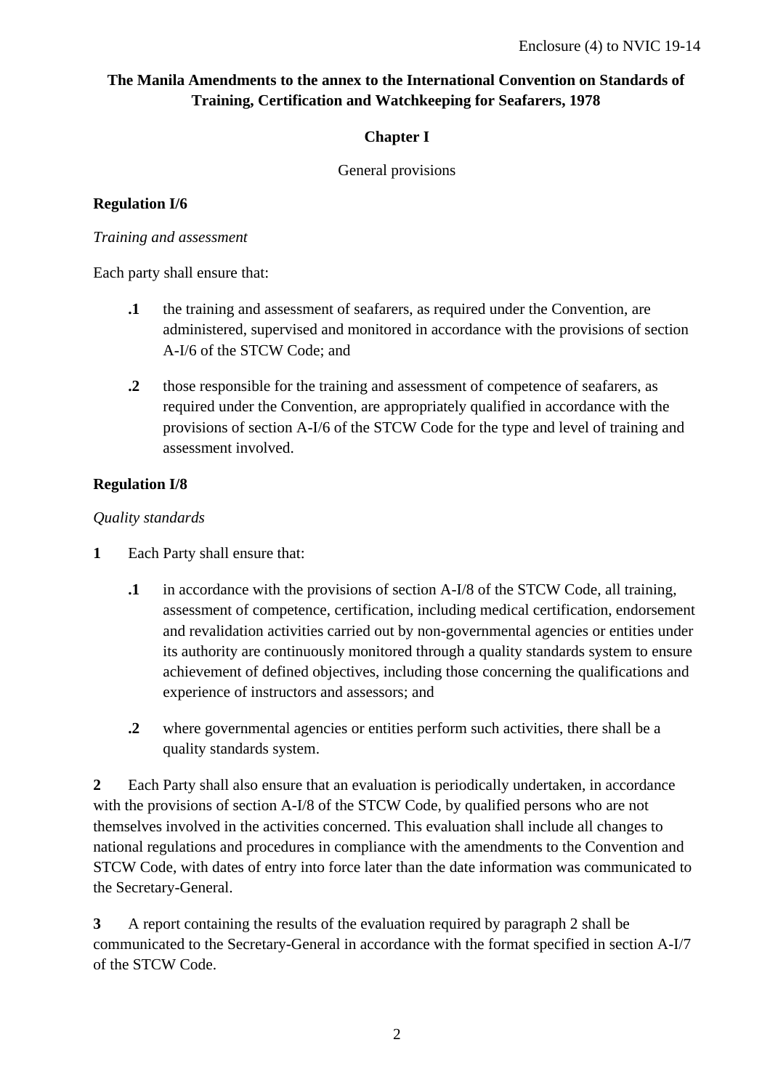## **The Manila Amendments to the annex to the International Convention on Standards of Training, Certification and Watchkeeping for Seafarers, 1978**

## **Chapter I**

## General provisions

## **Regulation I/6**

## *Training and assessment*

Each party shall ensure that:

- **.1** the training and assessment of seafarers, as required under the Convention, are administered, supervised and monitored in accordance with the provisions of section A-I/6 of the STCW Code; and
- **.2** those responsible for the training and assessment of competence of seafarers, as required under the Convention, are appropriately qualified in accordance with the provisions of section A-I/6 of the STCW Code for the type and level of training and assessment involved.

## **Regulation I/8**

## *Quality standards*

- **1** Each Party shall ensure that:
	- **.1** in accordance with the provisions of section A-I/8 of the STCW Code, all training, assessment of competence, certification, including medical certification, endorsement and revalidation activities carried out by non-governmental agencies or entities under its authority are continuously monitored through a quality standards system to ensure achievement of defined objectives, including those concerning the qualifications and experience of instructors and assessors; and
	- **.2** where governmental agencies or entities perform such activities, there shall be a quality standards system.

**2** Each Party shall also ensure that an evaluation is periodically undertaken, in accordance with the provisions of section A-I/8 of the STCW Code, by qualified persons who are not themselves involved in the activities concerned. This evaluation shall include all changes to national regulations and procedures in compliance with the amendments to the Convention and STCW Code, with dates of entry into force later than the date information was communicated to the Secretary-General.

**3** A report containing the results of the evaluation required by paragraph 2 shall be communicated to the Secretary-General in accordance with the format specified in section A-I/7 of the STCW Code.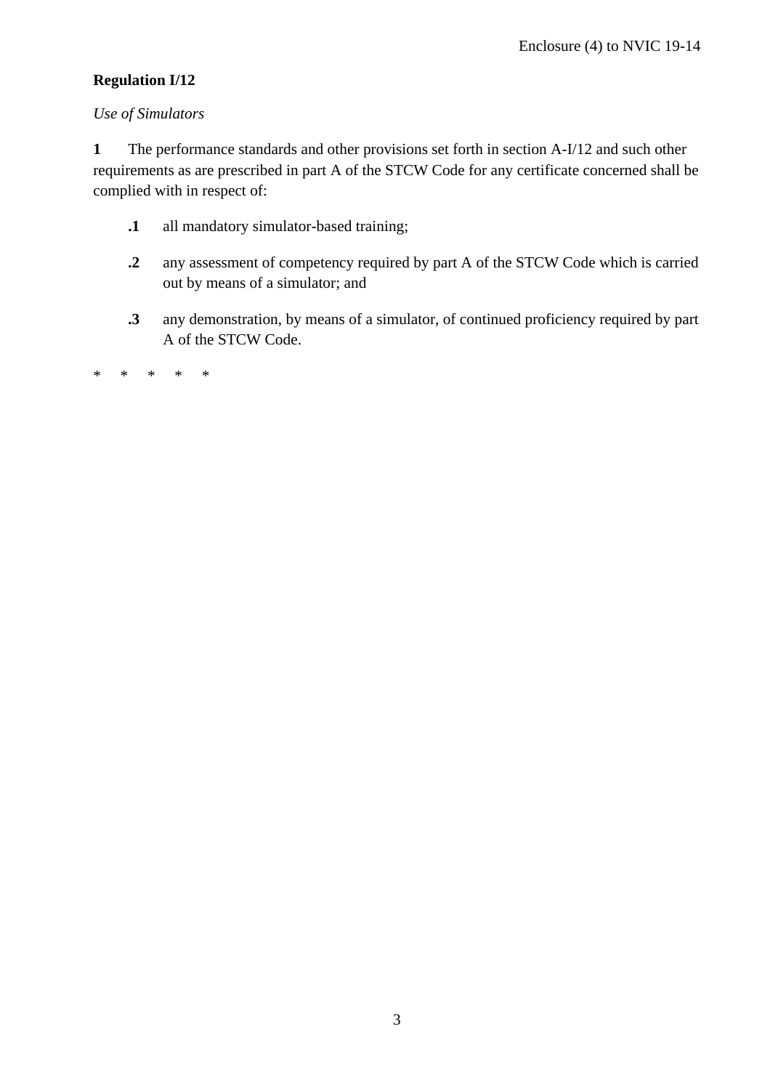## **Regulation I/12**

## *Use of Simulators*

**1** The performance standards and other provisions set forth in section A-I/12 and such other requirements as are prescribed in part A of the STCW Code for any certificate concerned shall be complied with in respect of:

- **.1** all mandatory simulator-based training;
- **.2** any assessment of competency required by part A of the STCW Code which is carried out by means of a simulator; and
- **.3** any demonstration, by means of a simulator, of continued proficiency required by part A of the STCW Code.

\* \* \* \* \*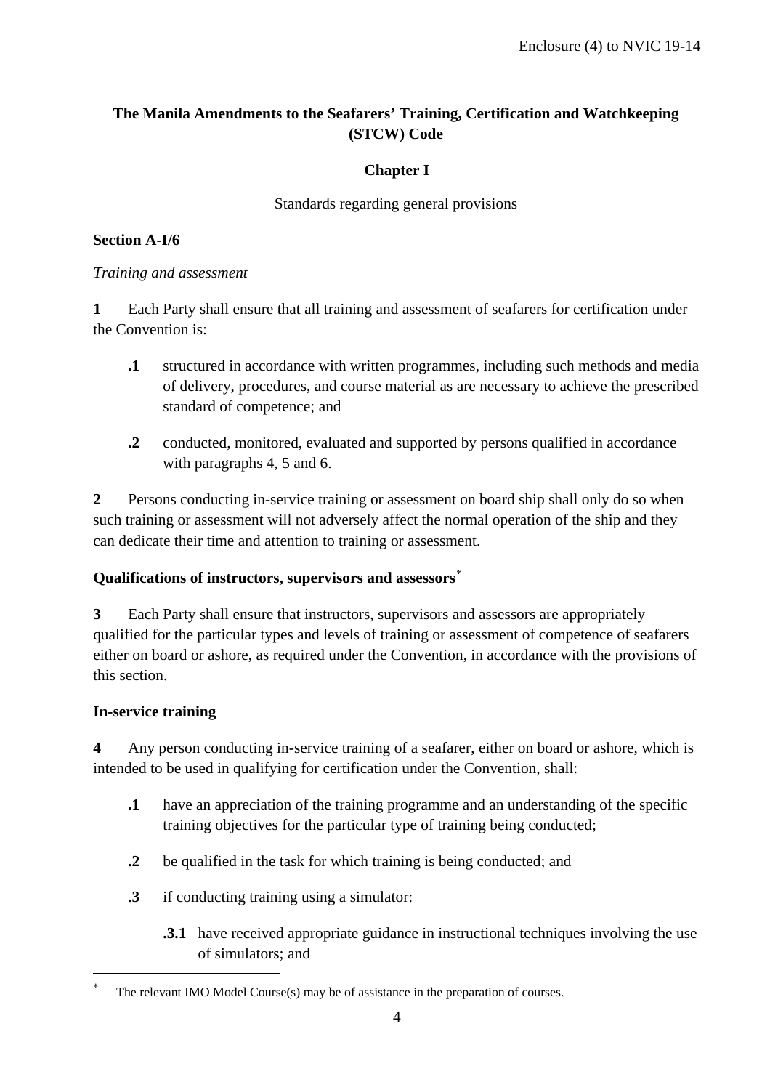## **The Manila Amendments to the Seafarers' Training, Certification and Watchkeeping (STCW) Code**

## **Chapter I**

## Standards regarding general provisions

## **Section A-I/6**

## *Training and assessment*

**1** Each Party shall ensure that all training and assessment of seafarers for certification under the Convention is:

- **.1** structured in accordance with written programmes, including such methods and media of delivery, procedures, and course material as are necessary to achieve the prescribed standard of competence; and
- **.2** conducted, monitored, evaluated and supported by persons qualified in accordance with paragraphs 4, 5 and 6.

**2** Persons conducting in-service training or assessment on board ship shall only do so when such training or assessment will not adversely affect the normal operation of the ship and they can dedicate their time and attention to training or assessment.

## **Qualifications of instructors, supervisors and assessors**[∗](#page-31-0)

**3** Each Party shall ensure that instructors, supervisors and assessors are appropriately qualified for the particular types and levels of training or assessment of competence of seafarers either on board or ashore, as required under the Convention, in accordance with the provisions of this section.

## **In-service training**

**4** Any person conducting in-service training of a seafarer, either on board or ashore, which is intended to be used in qualifying for certification under the Convention, shall:

- **.1** have an appreciation of the training programme and an understanding of the specific training objectives for the particular type of training being conducted;
- **.2** be qualified in the task for which training is being conducted; and
- **.3** if conducting training using a simulator:
	- **.3.1** have received appropriate guidance in instructional techniques involving the use of simulators; and

<span id="page-31-0"></span><sup>∗</sup> The relevant IMO Model Course(s) may be of assistance in the preparation of courses.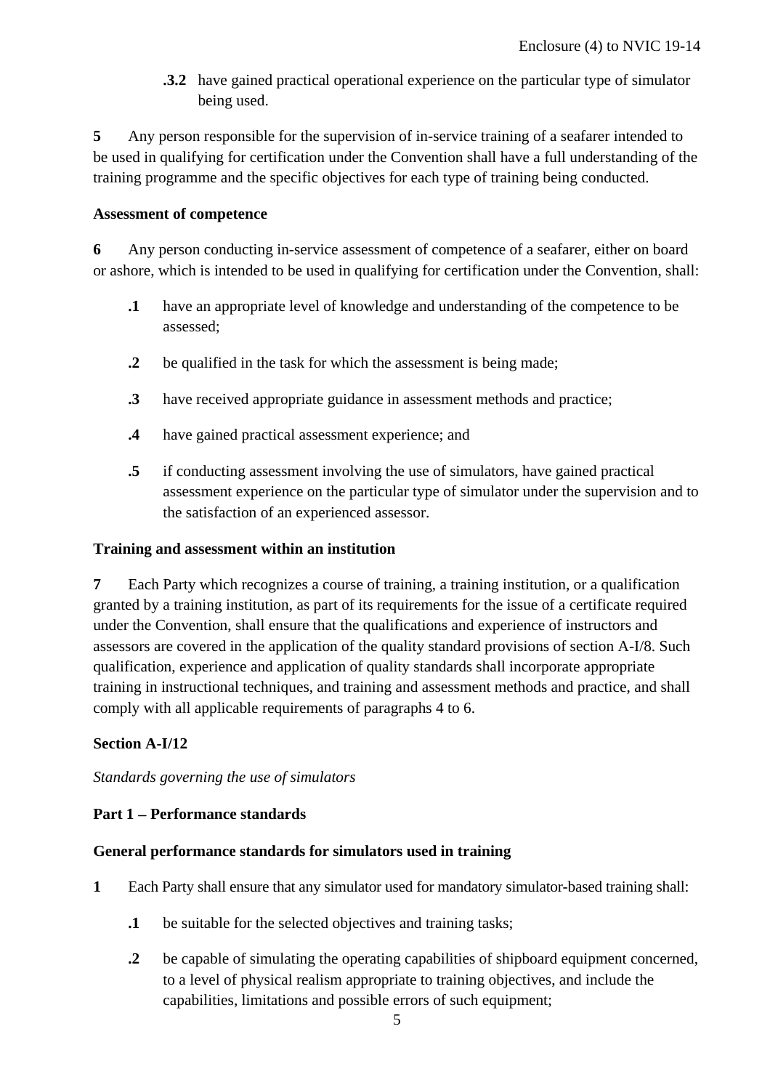**.3.2** have gained practical operational experience on the particular type of simulator being used.

**5** Any person responsible for the supervision of in-service training of a seafarer intended to be used in qualifying for certification under the Convention shall have a full understanding of the training programme and the specific objectives for each type of training being conducted.

## **Assessment of competence**

**6** Any person conducting in-service assessment of competence of a seafarer, either on board or ashore, which is intended to be used in qualifying for certification under the Convention, shall:

- **.1** have an appropriate level of knowledge and understanding of the competence to be assessed;
- **.2** be qualified in the task for which the assessment is being made;
- **.3** have received appropriate guidance in assessment methods and practice;
- **.4** have gained practical assessment experience; and
- **.5** if conducting assessment involving the use of simulators, have gained practical assessment experience on the particular type of simulator under the supervision and to the satisfaction of an experienced assessor.

## **Training and assessment within an institution**

**7** Each Party which recognizes a course of training, a training institution, or a qualification granted by a training institution, as part of its requirements for the issue of a certificate required under the Convention, shall ensure that the qualifications and experience of instructors and assessors are covered in the application of the quality standard provisions of section A-I/8. Such qualification, experience and application of quality standards shall incorporate appropriate training in instructional techniques, and training and assessment methods and practice, and shall comply with all applicable requirements of paragraphs 4 to 6.

## **Section A-I/12**

*Standards governing the use of simulators* 

## **Part 1** − **Performance standards**

## **General performance standards for simulators used in training**

- **1** Each Party shall ensure that any simulator used for mandatory simulator-based training shall:
	- **.1** be suitable for the selected objectives and training tasks;
	- **.2** be capable of simulating the operating capabilities of shipboard equipment concerned, to a level of physical realism appropriate to training objectives, and include the capabilities, limitations and possible errors of such equipment;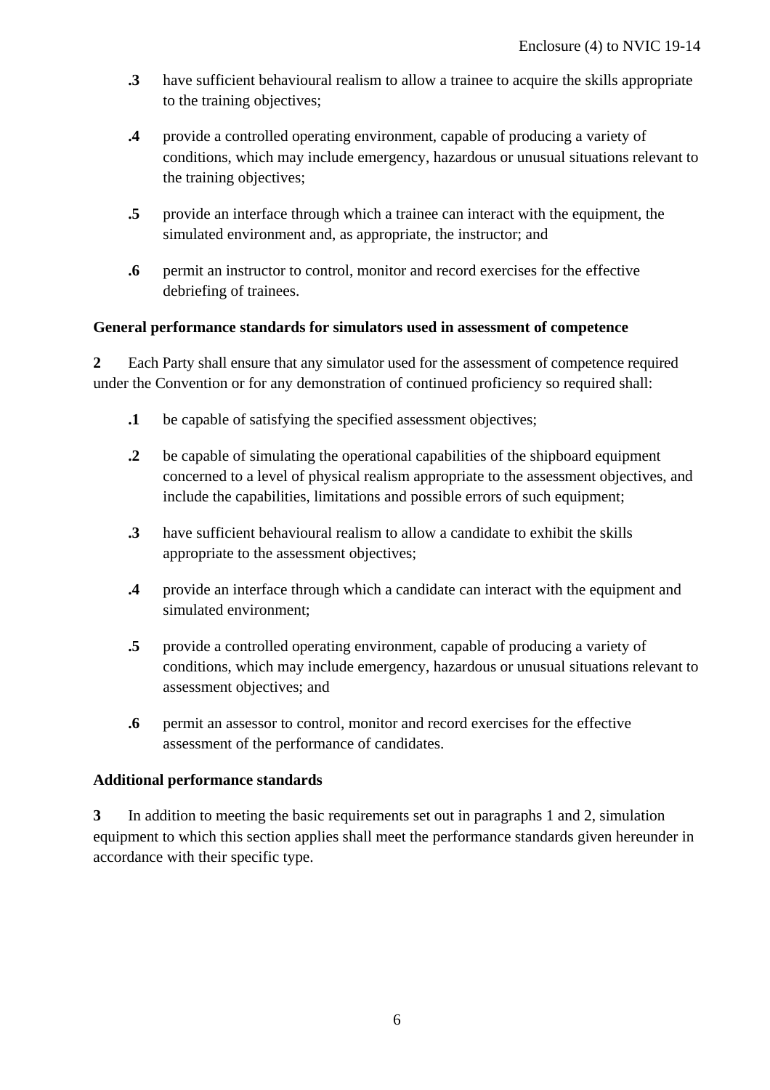- **.3** have sufficient behavioural realism to allow a trainee to acquire the skills appropriate to the training objectives;
- **.4** provide a controlled operating environment, capable of producing a variety of conditions, which may include emergency, hazardous or unusual situations relevant to the training objectives;
- **.5** provide an interface through which a trainee can interact with the equipment, the simulated environment and, as appropriate, the instructor; and
- **.6** permit an instructor to control, monitor and record exercises for the effective debriefing of trainees.

## **General performance standards for simulators used in assessment of competence**

**2** Each Party shall ensure that any simulator used for the assessment of competence required under the Convention or for any demonstration of continued proficiency so required shall:

- **.1** be capable of satisfying the specified assessment objectives;
- **.2** be capable of simulating the operational capabilities of the shipboard equipment concerned to a level of physical realism appropriate to the assessment objectives, and include the capabilities, limitations and possible errors of such equipment;
- **.3** have sufficient behavioural realism to allow a candidate to exhibit the skills appropriate to the assessment objectives;
- **.4** provide an interface through which a candidate can interact with the equipment and simulated environment;
- **.5** provide a controlled operating environment, capable of producing a variety of conditions, which may include emergency, hazardous or unusual situations relevant to assessment objectives; and
- **.6** permit an assessor to control, monitor and record exercises for the effective assessment of the performance of candidates.

## **Additional performance standards**

**3** In addition to meeting the basic requirements set out in paragraphs 1 and 2, simulation equipment to which this section applies shall meet the performance standards given hereunder in accordance with their specific type.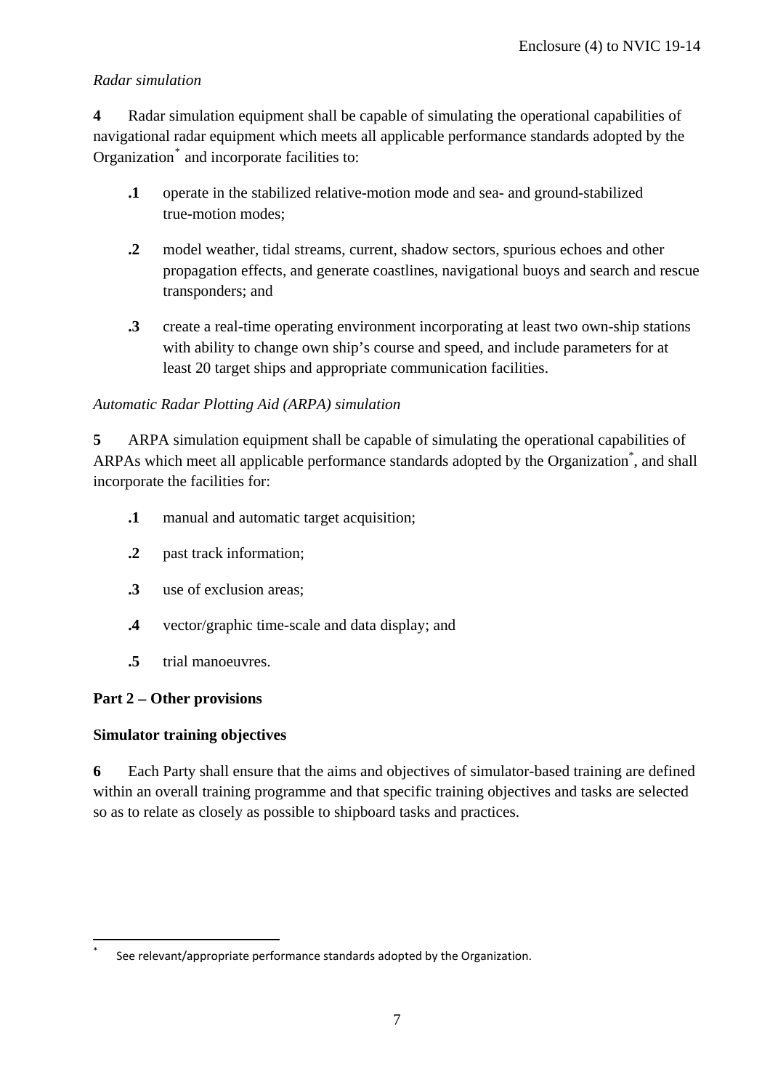## <span id="page-34-0"></span>*Radar simulation*

**4** Radar simulation equipment shall be capable of simulating the operational capabilities of navigational radar equipment which meets all applicable performance standards adopted by the Organization<sup>[\\*](#page-34-0)</sup> and incorporate facilities to:

- **.1** operate in the stabilized relative-motion mode and sea- and ground-stabilized true-motion modes;
- **.2** model weather, tidal streams, current, shadow sectors, spurious echoes and other propagation effects, and generate coastlines, navigational buoys and search and rescue transponders; and
- **.3** create a real-time operating environment incorporating at least two own-ship stations with ability to change own ship's course and speed, and include parameters for at least 20 target ships and appropriate communication facilities.

## *Automatic Radar Plotting Aid (ARPA) simulation*

**5** ARPA simulation equipment shall be capable of simulating the operational capabilities of ARPAs which meet all applicable performance standards adopted by the Organization<sup>\*</sup>, and shall incorporate the facilities for:

- **.1** manual and automatic target acquisition;
- **.2** past track information;
- **.3** use of exclusion areas;
- **.4** vector/graphic time-scale and data display; and
- **.5** trial manoeuvres.

## **Part 2** − **Other provisions**

## **Simulator training objectives**

\*

**6** Each Party shall ensure that the aims and objectives of simulator-based training are defined within an overall training programme and that specific training objectives and tasks are selected so as to relate as closely as possible to shipboard tasks and practices.

 See relevant/appropriate performance standards adopted by the Organization.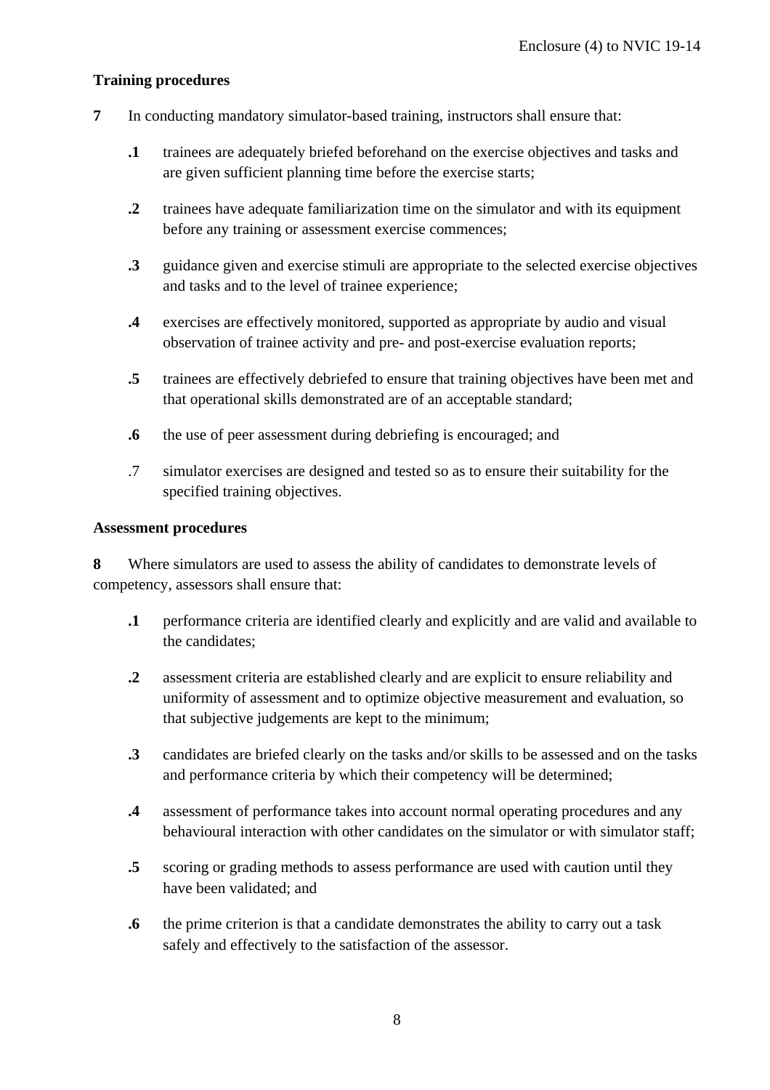## **Training procedures**

- **7** In conducting mandatory simulator-based training, instructors shall ensure that:
	- **.1** trainees are adequately briefed beforehand on the exercise objectives and tasks and are given sufficient planning time before the exercise starts;
	- **.2** trainees have adequate familiarization time on the simulator and with its equipment before any training or assessment exercise commences;
	- **.3** guidance given and exercise stimuli are appropriate to the selected exercise objectives and tasks and to the level of trainee experience;
	- **.4** exercises are effectively monitored, supported as appropriate by audio and visual observation of trainee activity and pre- and post-exercise evaluation reports;
	- **.5** trainees are effectively debriefed to ensure that training objectives have been met and that operational skills demonstrated are of an acceptable standard;
	- **.6** the use of peer assessment during debriefing is encouraged; and
	- .7 simulator exercises are designed and tested so as to ensure their suitability for the specified training objectives.

#### **Assessment procedures**

**8** Where simulators are used to assess the ability of candidates to demonstrate levels of competency, assessors shall ensure that:

- **.1** performance criteria are identified clearly and explicitly and are valid and available to the candidates;
- **.2** assessment criteria are established clearly and are explicit to ensure reliability and uniformity of assessment and to optimize objective measurement and evaluation, so that subjective judgements are kept to the minimum;
- **.3** candidates are briefed clearly on the tasks and/or skills to be assessed and on the tasks and performance criteria by which their competency will be determined;
- **.4** assessment of performance takes into account normal operating procedures and any behavioural interaction with other candidates on the simulator or with simulator staff;
- **.5** scoring or grading methods to assess performance are used with caution until they have been validated; and
- **.6** the prime criterion is that a candidate demonstrates the ability to carry out a task safely and effectively to the satisfaction of the assessor.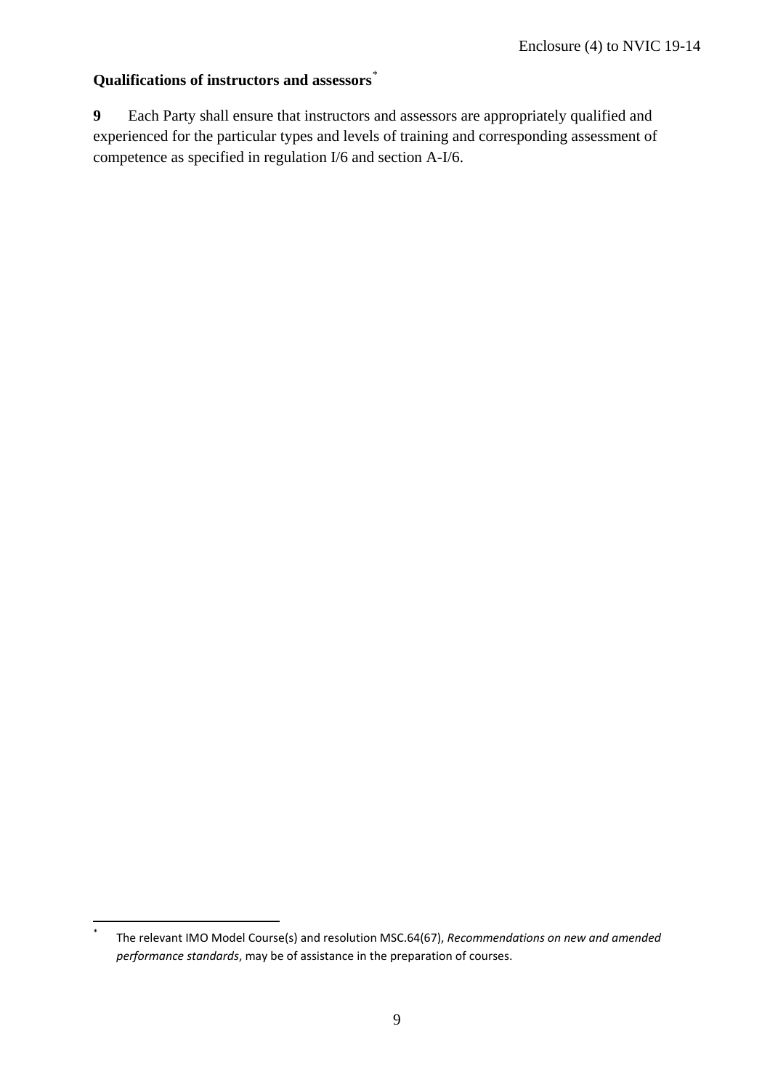## <span id="page-36-0"></span>**Qualifications of instructors and assessors**[\\*](#page-36-0)

**9** Each Party shall ensure that instructors and assessors are appropriately qualified and experienced for the particular types and levels of training and corresponding assessment of competence as specified in regulation I/6 and section A-I/6.

<sup>\*</sup> The relevant IMO Model Course(s) and resolution MSC.64(67), *Recommendations on new and amended performance standards*, may be of assistance in the preparation of courses.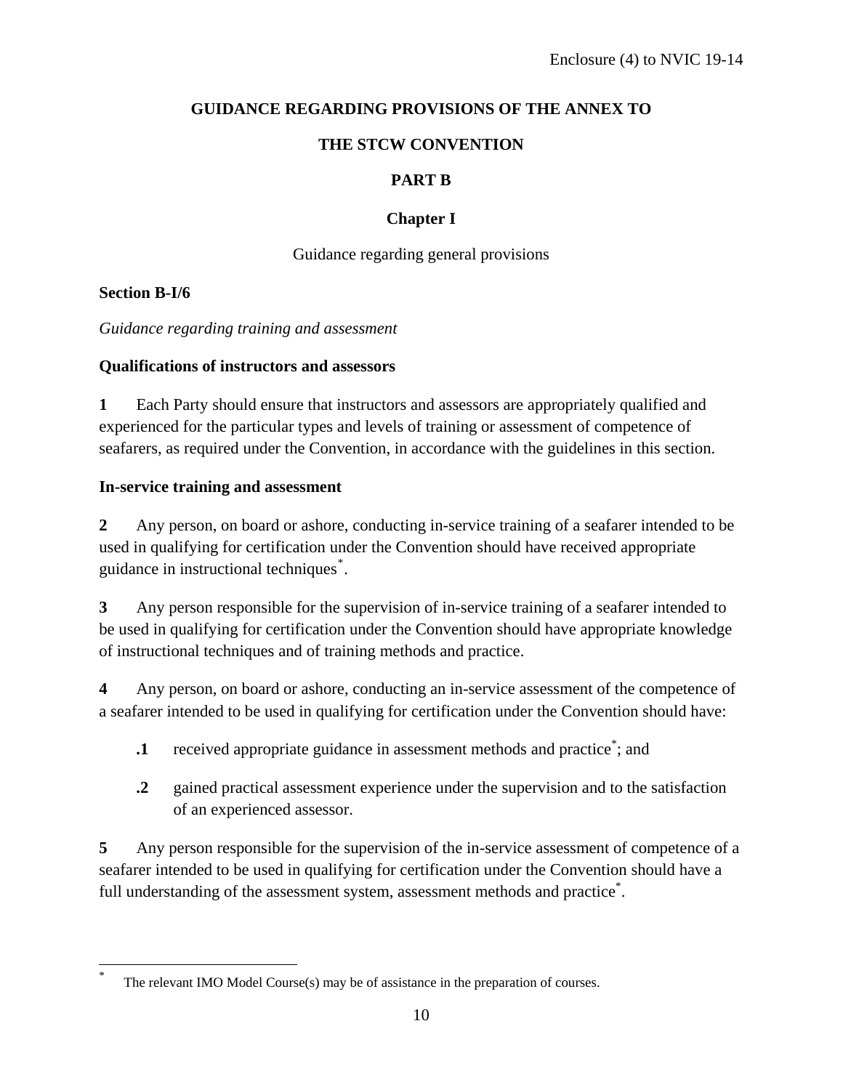## <span id="page-37-0"></span>**GUIDANCE REGARDING PROVISIONS OF THE ANNEX TO**

## **THE STCW CONVENTION**

## **PART B**

## **Chapter I**

## Guidance regarding general provisions

## **Section B-I/6**

*Guidance regarding training and assessment* 

## **Qualifications of instructors and assessors**

**1** Each Party should ensure that instructors and assessors are appropriately qualified and experienced for the particular types and levels of training or assessment of competence of seafarers, as required under the Convention, in accordance with the guidelines in this section.

## **In-service training and assessment**

**2** Any person, on board or ashore, conducting in-service training of a seafarer intended to be used in qualifying for certification under the Convention should have received appropriate guidance in instructional techniques[\\*](#page-37-0) .

**3** Any person responsible for the supervision of in-service training of a seafarer intended to be used in qualifying for certification under the Convention should have appropriate knowledge of instructional techniques and of training methods and practice.

**4** Any person, on board or ashore, conducting an in-service assessment of the competence of a seafarer intended to be used in qualifying for certification under the Convention should have:

- **.1** received appropriate guidance in assessment methods and practice\* ; and
- **.2** gained practical assessment experience under the supervision and to the satisfaction of an experienced assessor.

**5** Any person responsible for the supervision of the in-service assessment of competence of a seafarer intended to be used in qualifying for certification under the Convention should have a full understanding of the assessment system, assessment methods and practice<sup>\*</sup>.

<sup>\*</sup> The relevant IMO Model Course(s) may be of assistance in the preparation of courses.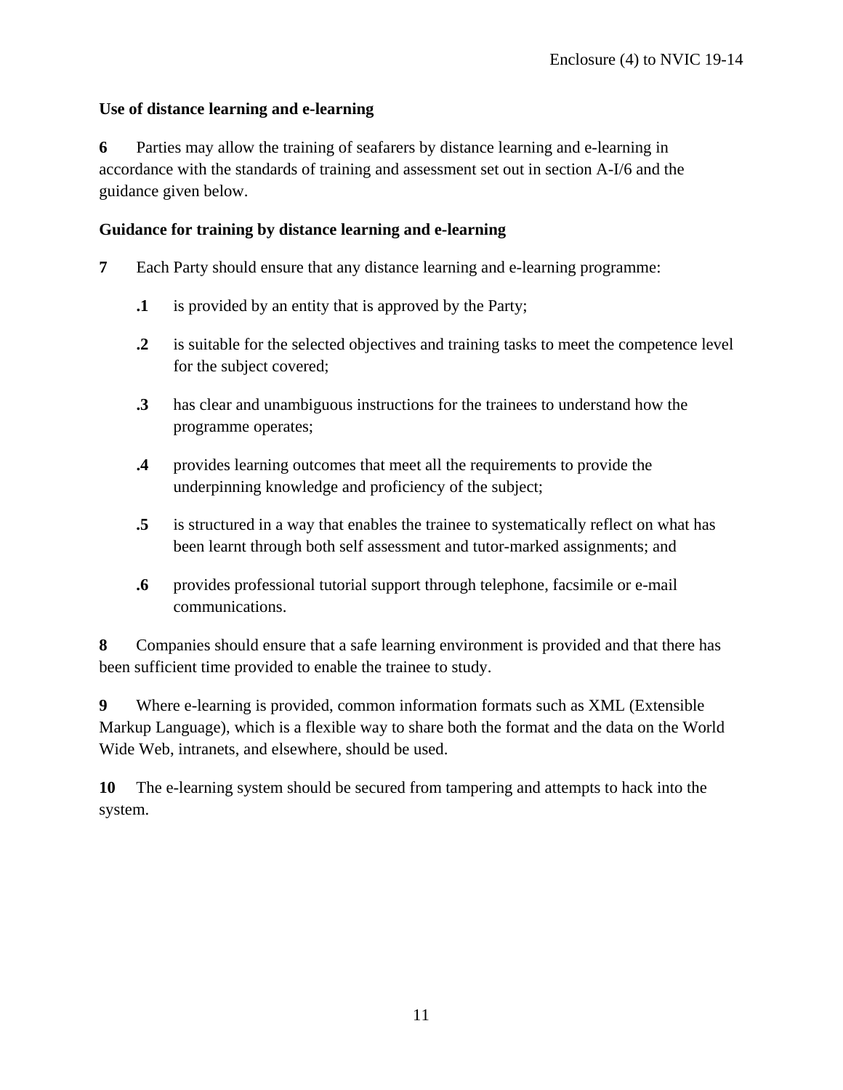## **Use of distance learning and e-learning**

**6** Parties may allow the training of seafarers by distance learning and e-learning in accordance with the standards of training and assessment set out in section A-I/6 and the guidance given below.

## **Guidance for training by distance learning and e-learning**

- **7** Each Party should ensure that any distance learning and e-learning programme:
	- **.1** is provided by an entity that is approved by the Party;
	- **.2** is suitable for the selected objectives and training tasks to meet the competence level for the subject covered;
	- **.3** has clear and unambiguous instructions for the trainees to understand how the programme operates;
	- **.4** provides learning outcomes that meet all the requirements to provide the underpinning knowledge and proficiency of the subject;
	- **.5** is structured in a way that enables the trainee to systematically reflect on what has been learnt through both self assessment and tutor-marked assignments; and
	- **.6** provides professional tutorial support through telephone, facsimile or e-mail communications.

**8** Companies should ensure that a safe learning environment is provided and that there has been sufficient time provided to enable the trainee to study.

**9** Where e-learning is provided, common information formats such as XML (Extensible Markup Language), which is a flexible way to share both the format and the data on the World Wide Web, intranets, and elsewhere, should be used.

**10** The e-learning system should be secured from tampering and attempts to hack into the system.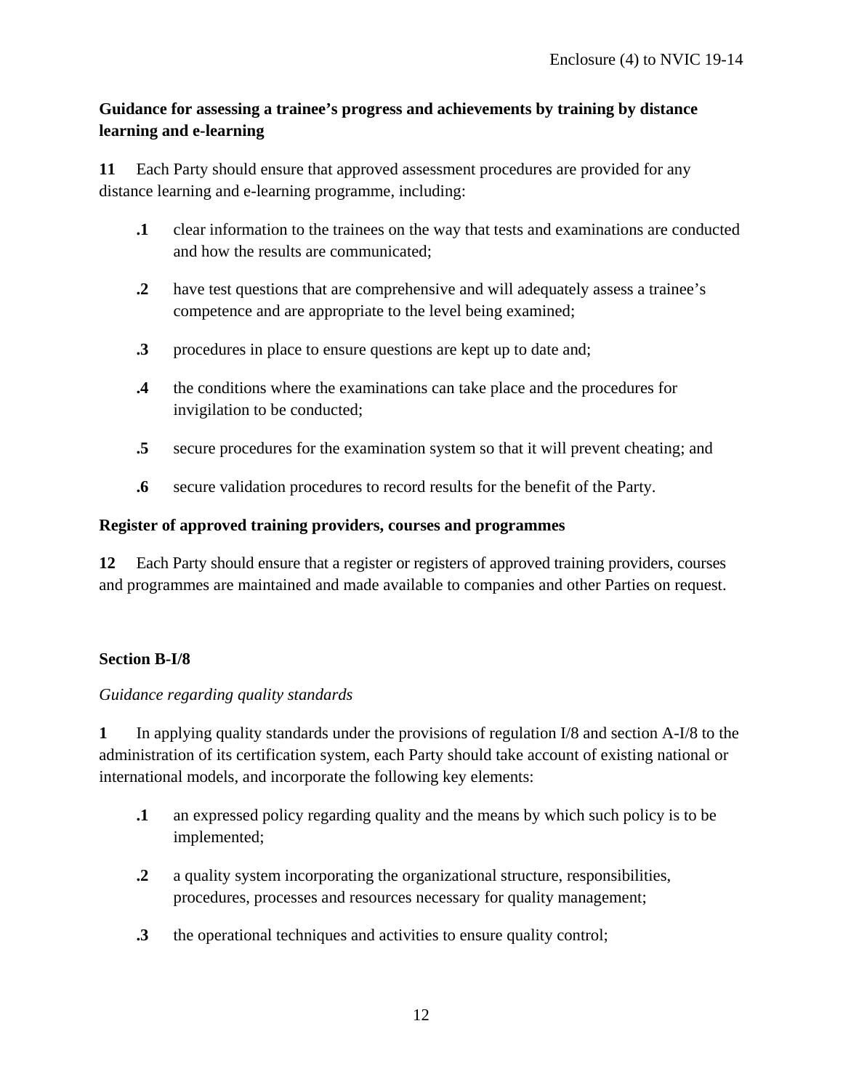## **Guidance for assessing a trainee's progress and achievements by training by distance learning and e-learning**

**11** Each Party should ensure that approved assessment procedures are provided for any distance learning and e-learning programme, including:

- **.1** clear information to the trainees on the way that tests and examinations are conducted and how the results are communicated;
- **.2** have test questions that are comprehensive and will adequately assess a trainee's competence and are appropriate to the level being examined;
- **.3** procedures in place to ensure questions are kept up to date and;
- **.4** the conditions where the examinations can take place and the procedures for invigilation to be conducted;
- **.5** secure procedures for the examination system so that it will prevent cheating; and
- **.6** secure validation procedures to record results for the benefit of the Party.

## **Register of approved training providers, courses and programmes**

**12** Each Party should ensure that a register or registers of approved training providers, courses and programmes are maintained and made available to companies and other Parties on request.

## **Section B-I/8**

## *Guidance regarding quality standards*

**1** In applying quality standards under the provisions of regulation I/8 and section A-I/8 to the administration of its certification system, each Party should take account of existing national or international models, and incorporate the following key elements:

- **.1** an expressed policy regarding quality and the means by which such policy is to be implemented;
- **.2** a quality system incorporating the organizational structure, responsibilities, procedures, processes and resources necessary for quality management;
- **.3** the operational techniques and activities to ensure quality control;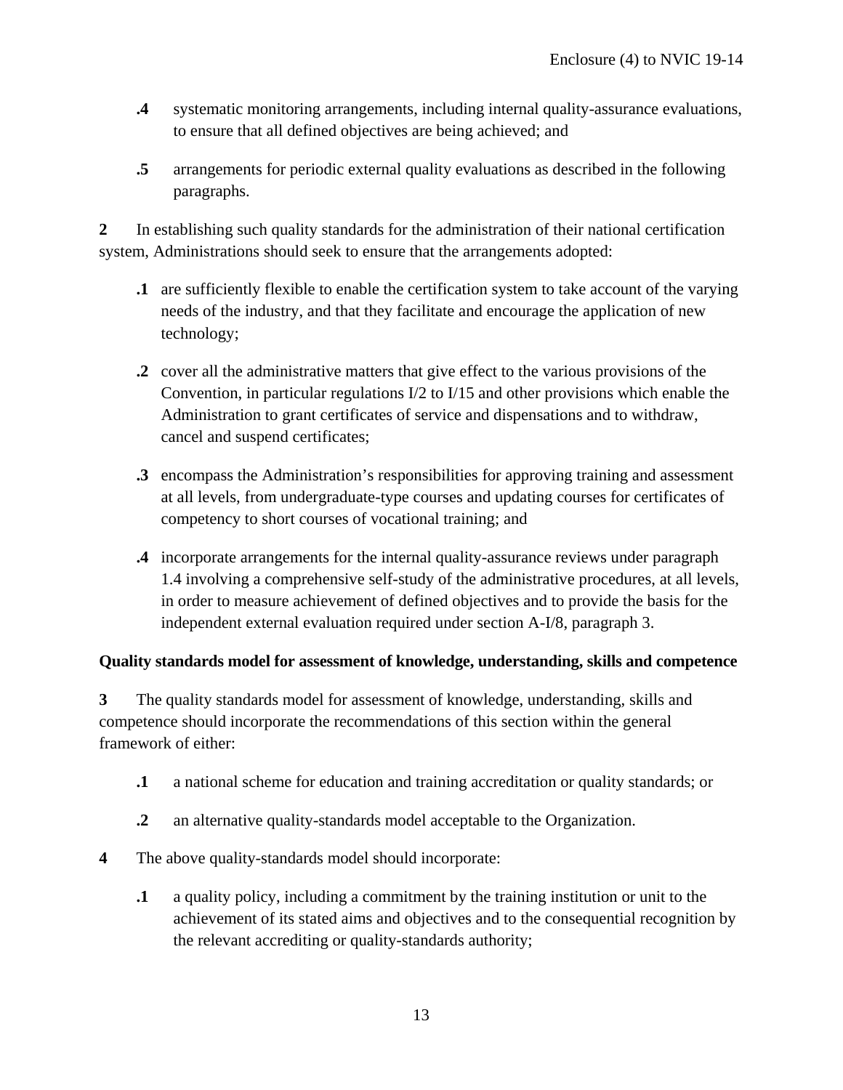- **.4** systematic monitoring arrangements, including internal quality-assurance evaluations, to ensure that all defined objectives are being achieved; and
- **.5** arrangements for periodic external quality evaluations as described in the following paragraphs.

**2** In establishing such quality standards for the administration of their national certification system, Administrations should seek to ensure that the arrangements adopted:

- **.1** are sufficiently flexible to enable the certification system to take account of the varying needs of the industry, and that they facilitate and encourage the application of new technology;
- **.2** cover all the administrative matters that give effect to the various provisions of the Convention, in particular regulations I/2 to I/15 and other provisions which enable the Administration to grant certificates of service and dispensations and to withdraw, cancel and suspend certificates;
- **.3** encompass the Administration's responsibilities for approving training and assessment at all levels, from undergraduate-type courses and updating courses for certificates of competency to short courses of vocational training; and
- **.4** incorporate arrangements for the internal quality-assurance reviews under paragraph 1.4 involving a comprehensive self-study of the administrative procedures, at all levels, in order to measure achievement of defined objectives and to provide the basis for the independent external evaluation required under section A-I/8, paragraph 3.

## **Quality standards model for assessment of knowledge, understanding, skills and competence**

**3** The quality standards model for assessment of knowledge, understanding, skills and competence should incorporate the recommendations of this section within the general framework of either:

- **.1** a national scheme for education and training accreditation or quality standards; or
- **.2** an alternative quality-standards model acceptable to the Organization.
- **4** The above quality-standards model should incorporate:
	- **.1** a quality policy, including a commitment by the training institution or unit to the achievement of its stated aims and objectives and to the consequential recognition by the relevant accrediting or quality-standards authority;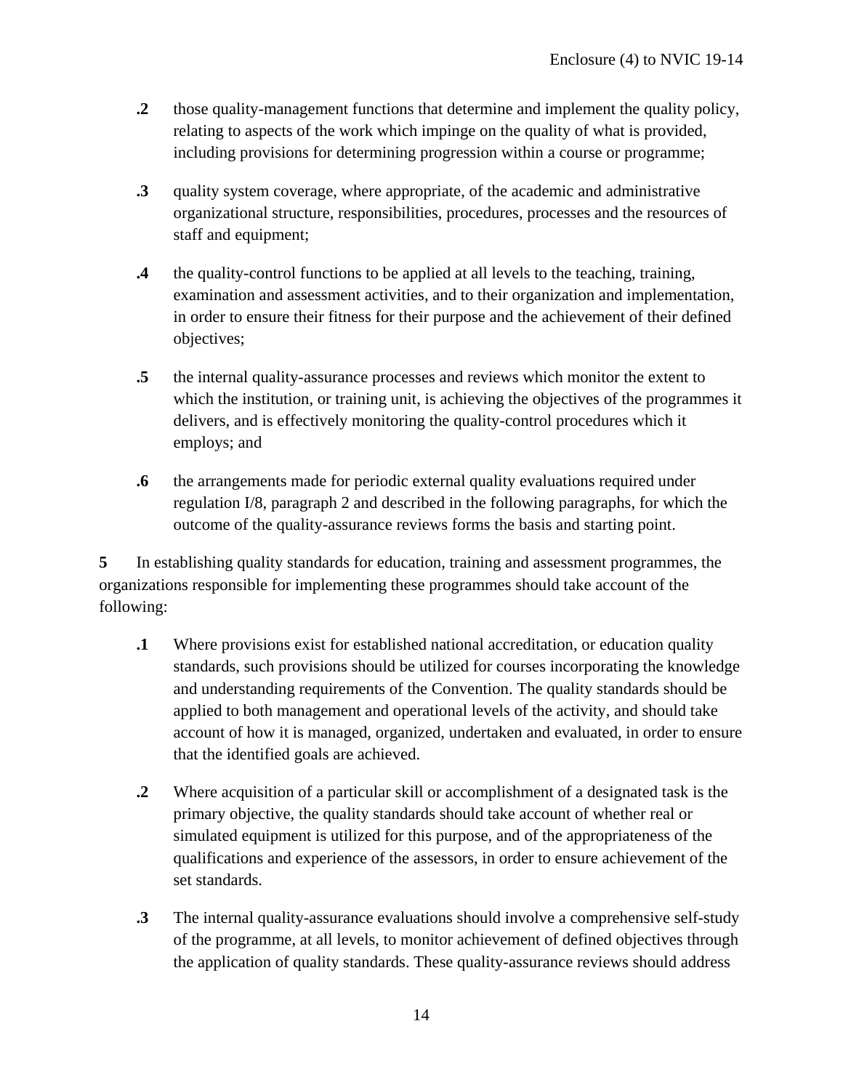- **.2** those quality-management functions that determine and implement the quality policy, relating to aspects of the work which impinge on the quality of what is provided, including provisions for determining progression within a course or programme;
- **.3** quality system coverage, where appropriate, of the academic and administrative organizational structure, responsibilities, procedures, processes and the resources of staff and equipment;
- **.4** the quality-control functions to be applied at all levels to the teaching, training, examination and assessment activities, and to their organization and implementation, in order to ensure their fitness for their purpose and the achievement of their defined objectives;
- **.5** the internal quality-assurance processes and reviews which monitor the extent to which the institution, or training unit, is achieving the objectives of the programmes it delivers, and is effectively monitoring the quality-control procedures which it employs; and
- **.6** the arrangements made for periodic external quality evaluations required under regulation I/8, paragraph 2 and described in the following paragraphs, for which the outcome of the quality-assurance reviews forms the basis and starting point.

**5** In establishing quality standards for education, training and assessment programmes, the organizations responsible for implementing these programmes should take account of the following:

- **.1** Where provisions exist for established national accreditation, or education quality standards, such provisions should be utilized for courses incorporating the knowledge and understanding requirements of the Convention. The quality standards should be applied to both management and operational levels of the activity, and should take account of how it is managed, organized, undertaken and evaluated, in order to ensure that the identified goals are achieved.
- **.2** Where acquisition of a particular skill or accomplishment of a designated task is the primary objective, the quality standards should take account of whether real or simulated equipment is utilized for this purpose, and of the appropriateness of the qualifications and experience of the assessors, in order to ensure achievement of the set standards.
- **.3** The internal quality-assurance evaluations should involve a comprehensive self-study of the programme, at all levels, to monitor achievement of defined objectives through the application of quality standards. These quality-assurance reviews should address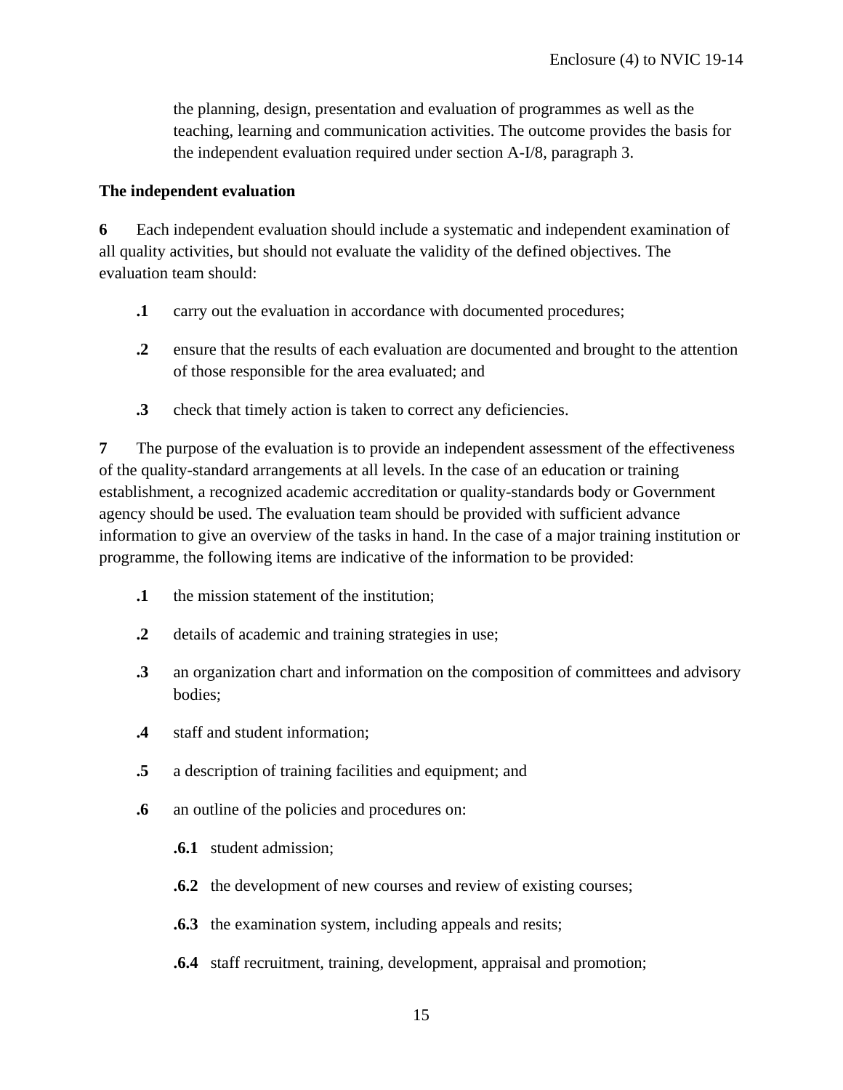the planning, design, presentation and evaluation of programmes as well as the teaching, learning and communication activities. The outcome provides the basis for the independent evaluation required under section A-I/8, paragraph 3.

#### **The independent evaluation**

**6** Each independent evaluation should include a systematic and independent examination of all quality activities, but should not evaluate the validity of the defined objectives. The evaluation team should:

- **.1** carry out the evaluation in accordance with documented procedures;
- **.2** ensure that the results of each evaluation are documented and brought to the attention of those responsible for the area evaluated; and
- **.3** check that timely action is taken to correct any deficiencies.

**7** The purpose of the evaluation is to provide an independent assessment of the effectiveness of the quality-standard arrangements at all levels. In the case of an education or training establishment, a recognized academic accreditation or quality-standards body or Government agency should be used. The evaluation team should be provided with sufficient advance information to give an overview of the tasks in hand. In the case of a major training institution or programme, the following items are indicative of the information to be provided:

- **.1** the mission statement of the institution;
- **.2** details of academic and training strategies in use;
- **.3** an organization chart and information on the composition of committees and advisory bodies;
- **.4** staff and student information;
- **.5** a description of training facilities and equipment; and
- **.6** an outline of the policies and procedures on:
	- **.6.1** student admission;
	- **.6.2** the development of new courses and review of existing courses;
	- **.6.3** the examination system, including appeals and resits;
	- **.6.4** staff recruitment, training, development, appraisal and promotion;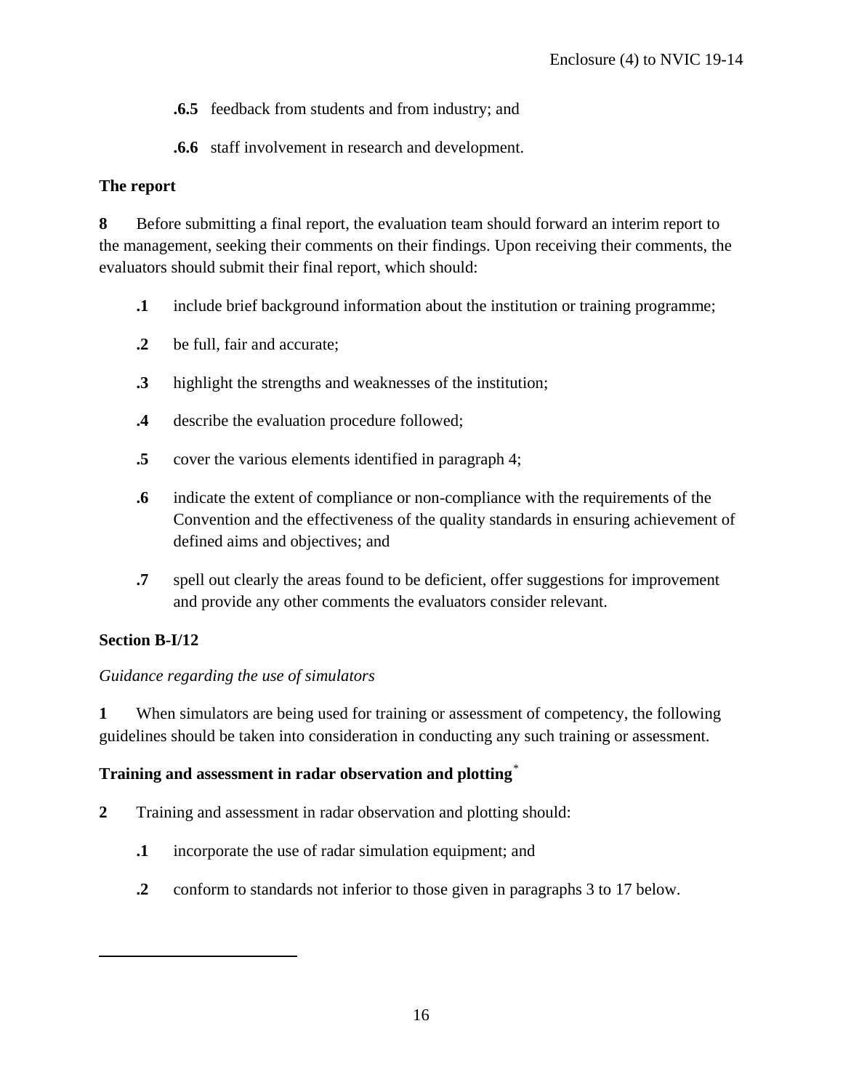- <span id="page-43-0"></span>**.6.5** feedback from students and from industry; and
- **.6.6** staff involvement in research and development.

## **The report**

**8** Before submitting a final report, the evaluation team should forward an interim report to the management, seeking their comments on their findings. Upon receiving their comments, the evaluators should submit their final report, which should:

- **.1** include brief background information about the institution or training programme;
- **.2** be full, fair and accurate;
- **.3** highlight the strengths and weaknesses of the institution;
- **.4** describe the evaluation procedure followed;
- **.5** cover the various elements identified in paragraph 4;
- **.6** indicate the extent of compliance or non-compliance with the requirements of the Convention and the effectiveness of the quality standards in ensuring achievement of defined aims and objectives; and
- **.7** spell out clearly the areas found to be deficient, offer suggestions for improvement and provide any other comments the evaluators consider relevant.

## **Section B-I/12**

## *Guidance regarding the use of simulators*

**1** When simulators are being used for training or assessment of competency, the following guidelines should be taken into consideration in conducting any such training or assessment.

## **Training and assessment in radar observation and plotting**[\\*](#page-43-0)

- **2** Training and assessment in radar observation and plotting should:
	- **.1** incorporate the use of radar simulation equipment; and
	- **.2** conform to standards not inferior to those given in paragraphs 3 to 17 below.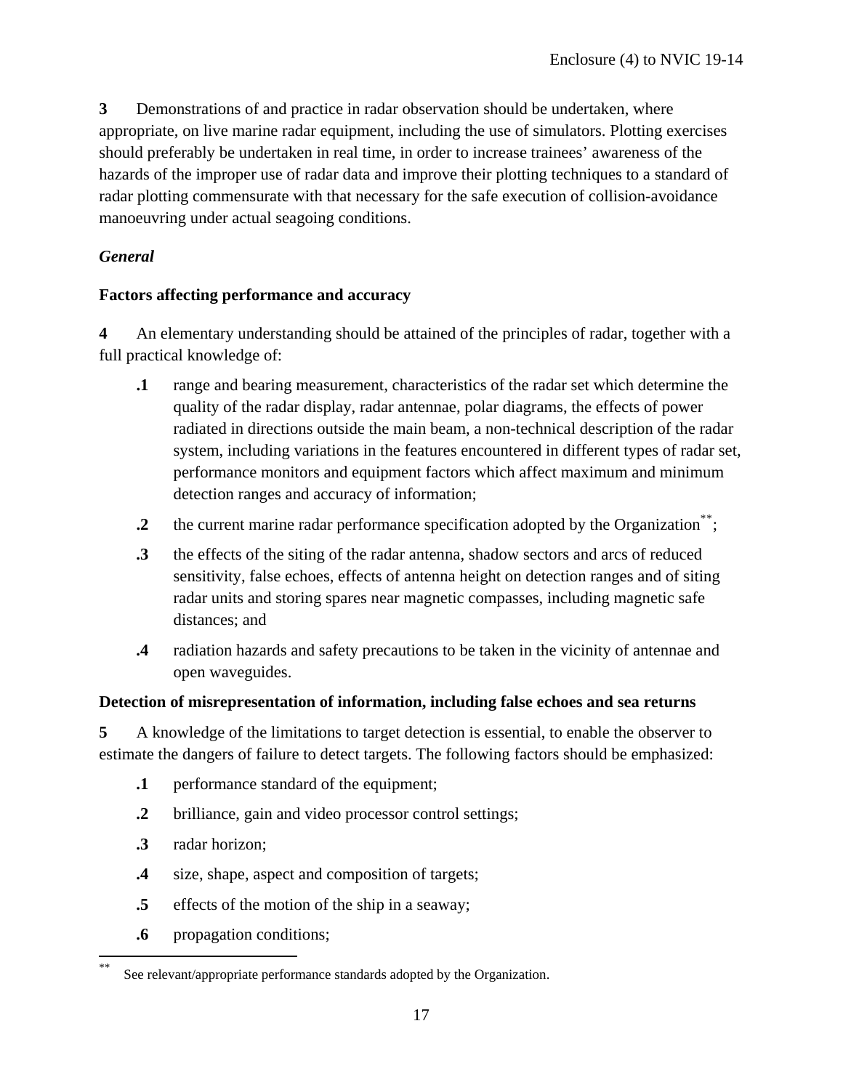<span id="page-44-0"></span>**3** Demonstrations of and practice in radar observation should be undertaken, where appropriate, on live marine radar equipment, including the use of simulators. Plotting exercises should preferably be undertaken in real time, in order to increase trainees' awareness of the hazards of the improper use of radar data and improve their plotting techniques to a standard of radar plotting commensurate with that necessary for the safe execution of collision-avoidance manoeuvring under actual seagoing conditions.

## *General*

## **Factors affecting performance and accuracy**

**4** An elementary understanding should be attained of the principles of radar, together with a full practical knowledge of:

- **.1** range and bearing measurement, characteristics of the radar set which determine the quality of the radar display, radar antennae, polar diagrams, the effects of power radiated in directions outside the main beam, a non-technical description of the radar system, including variations in the features encountered in different types of radar set, performance monitors and equipment factors which affect maximum and minimum detection ranges and accuracy of information;
- 2 the current marine radar performance specification adopted by the Organization<sup>[\\*](#page-44-0)\*</sup>;
- **.3** the effects of the siting of the radar antenna, shadow sectors and arcs of reduced sensitivity, false echoes, effects of antenna height on detection ranges and of siting radar units and storing spares near magnetic compasses, including magnetic safe distances; and
- **.4** radiation hazards and safety precautions to be taken in the vicinity of antennae and open waveguides.

## **Detection of misrepresentation of information, including false echoes and sea returns**

**5** A knowledge of the limitations to target detection is essential, to enable the observer to estimate the dangers of failure to detect targets. The following factors should be emphasized:

- **.1** performance standard of the equipment;
- **.2** brilliance, gain and video processor control settings;
- **.3** radar horizon;

- **.4** size, shape, aspect and composition of targets;
- **.5** effects of the motion of the ship in a seaway;
- **.6** propagation conditions;

See relevant/appropriate performance standards adopted by the Organization.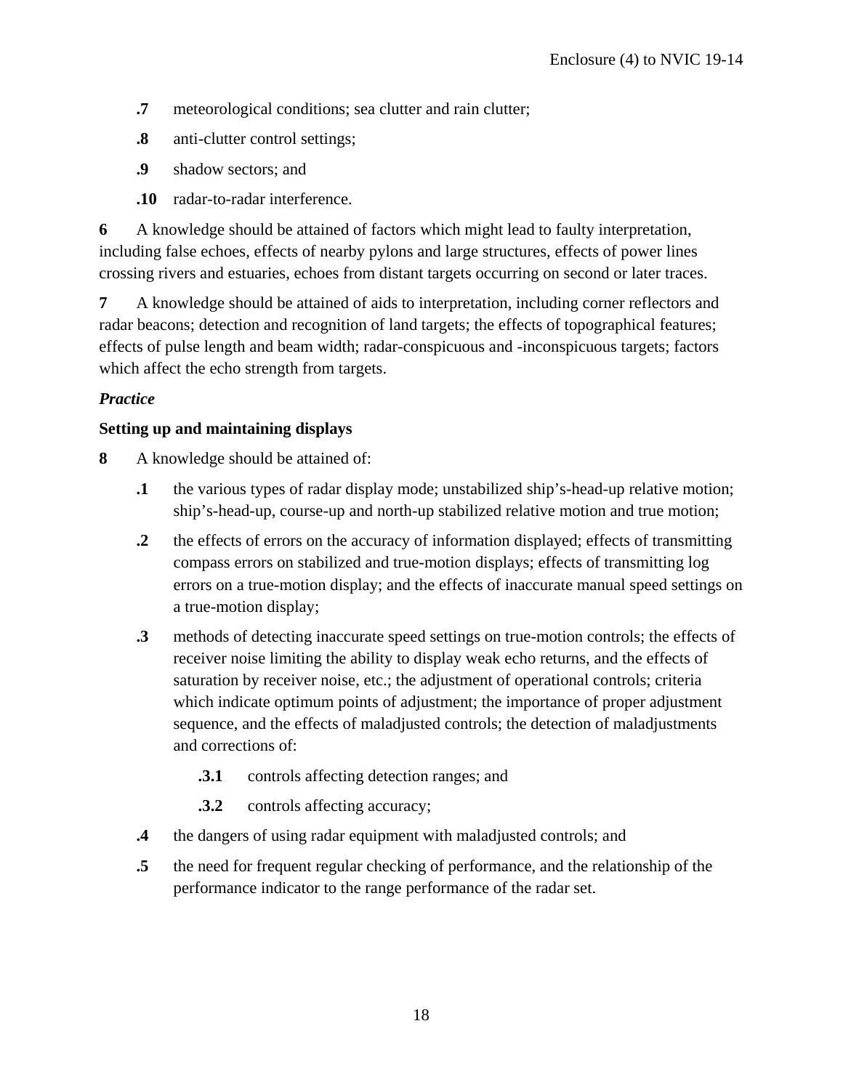- **.7** meteorological conditions; sea clutter and rain clutter;
- **.8** anti-clutter control settings;
- **.9** shadow sectors; and
- **.10** radar-to-radar interference.

**6** A knowledge should be attained of factors which might lead to faulty interpretation, including false echoes, effects of nearby pylons and large structures, effects of power lines crossing rivers and estuaries, echoes from distant targets occurring on second or later traces.

**7** A knowledge should be attained of aids to interpretation, including corner reflectors and radar beacons; detection and recognition of land targets; the effects of topographical features; effects of pulse length and beam width; radar-conspicuous and -inconspicuous targets; factors which affect the echo strength from targets.

## *Practice*

## **Setting up and maintaining displays**

- **8** A knowledge should be attained of:
	- **.1** the various types of radar display mode; unstabilized ship's-head-up relative motion; ship's-head-up, course-up and north-up stabilized relative motion and true motion;
	- **.2** the effects of errors on the accuracy of information displayed; effects of transmitting compass errors on stabilized and true-motion displays; effects of transmitting log errors on a true-motion display; and the effects of inaccurate manual speed settings on a true-motion display;
	- **.3** methods of detecting inaccurate speed settings on true-motion controls; the effects of receiver noise limiting the ability to display weak echo returns, and the effects of saturation by receiver noise, etc.; the adjustment of operational controls; criteria which indicate optimum points of adjustment; the importance of proper adjustment sequence, and the effects of maladjusted controls; the detection of maladjustments and corrections of:
		- **.3.1** controls affecting detection ranges; and
		- **.3.2** controls affecting accuracy;
	- **.4** the dangers of using radar equipment with maladjusted controls; and
	- **.5** the need for frequent regular checking of performance, and the relationship of the performance indicator to the range performance of the radar set.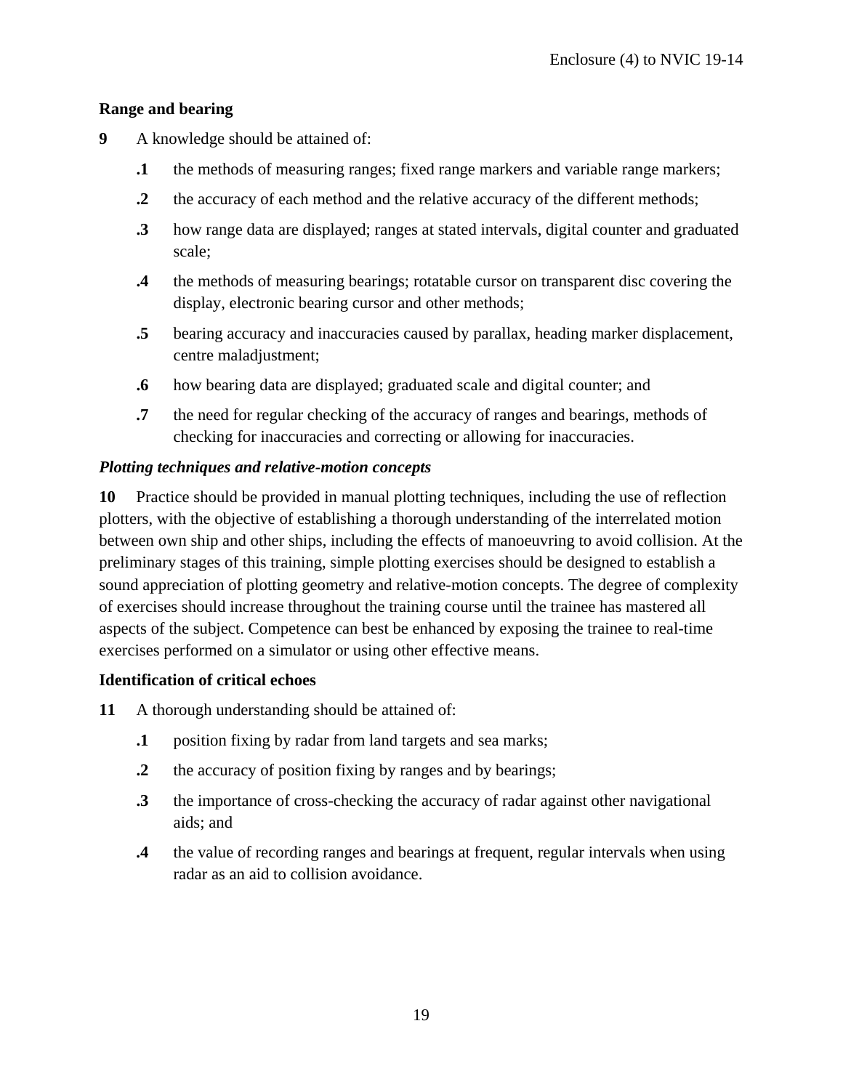## **Range and bearing**

- **9** A knowledge should be attained of:
	- **.1** the methods of measuring ranges; fixed range markers and variable range markers;
	- **.2** the accuracy of each method and the relative accuracy of the different methods;
	- **.3** how range data are displayed; ranges at stated intervals, digital counter and graduated scale;
	- **.4** the methods of measuring bearings; rotatable cursor on transparent disc covering the display, electronic bearing cursor and other methods;
	- **.5** bearing accuracy and inaccuracies caused by parallax, heading marker displacement, centre maladjustment;
	- **.6** how bearing data are displayed; graduated scale and digital counter; and
	- **.7** the need for regular checking of the accuracy of ranges and bearings, methods of checking for inaccuracies and correcting or allowing for inaccuracies.

## *Plotting techniques and relative-motion concepts*

**10** Practice should be provided in manual plotting techniques, including the use of reflection plotters, with the objective of establishing a thorough understanding of the interrelated motion between own ship and other ships, including the effects of manoeuvring to avoid collision. At the preliminary stages of this training, simple plotting exercises should be designed to establish a sound appreciation of plotting geometry and relative-motion concepts. The degree of complexity of exercises should increase throughout the training course until the trainee has mastered all aspects of the subject. Competence can best be enhanced by exposing the trainee to real-time exercises performed on a simulator or using other effective means.

## **Identification of critical echoes**

**11** A thorough understanding should be attained of:

- **.1** position fixing by radar from land targets and sea marks;
- **.2** the accuracy of position fixing by ranges and by bearings;
- **.3** the importance of cross-checking the accuracy of radar against other navigational aids; and
- **.4** the value of recording ranges and bearings at frequent, regular intervals when using radar as an aid to collision avoidance.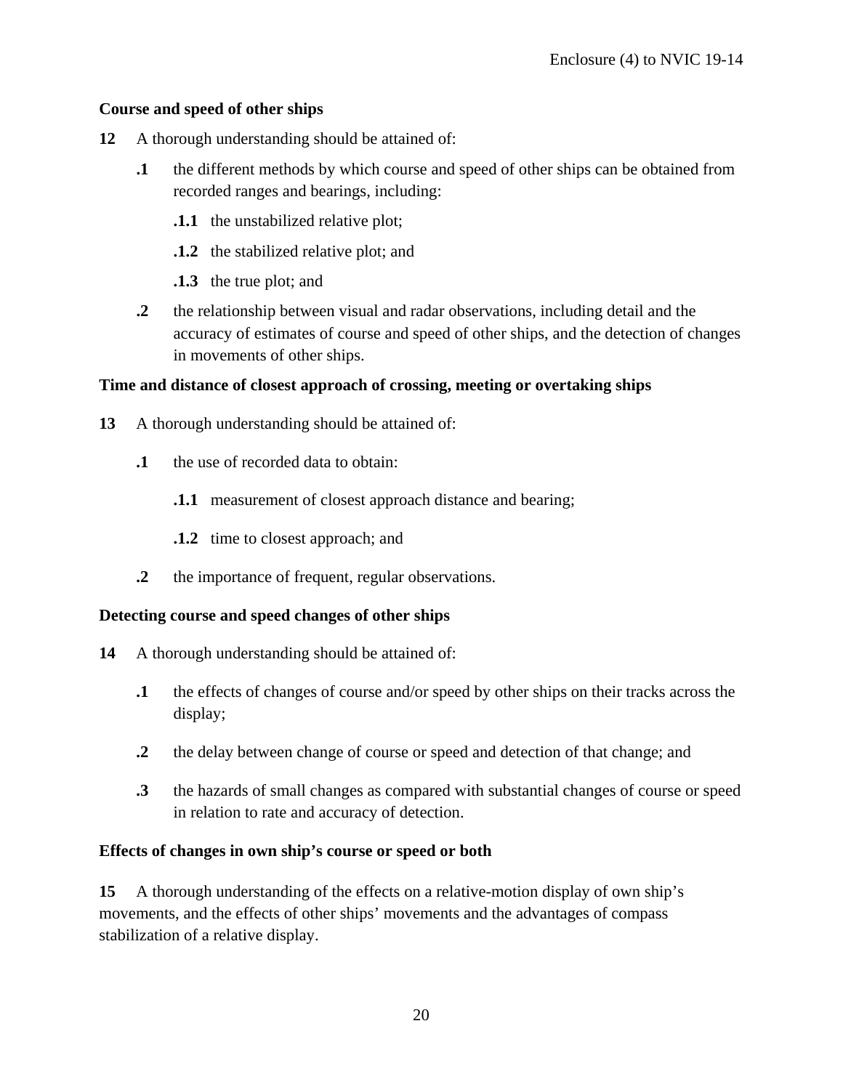## **Course and speed of other ships**

- **12** A thorough understanding should be attained of:
	- **.1** the different methods by which course and speed of other ships can be obtained from recorded ranges and bearings, including:
		- **.1.1** the unstabilized relative plot;
		- **.1.2** the stabilized relative plot; and
		- **.1.3** the true plot; and
	- **.2** the relationship between visual and radar observations, including detail and the accuracy of estimates of course and speed of other ships, and the detection of changes in movements of other ships.

#### **Time and distance of closest approach of crossing, meeting or overtaking ships**

- **13** A thorough understanding should be attained of:
	- **.1** the use of recorded data to obtain:
		- **.1.1** measurement of closest approach distance and bearing;
		- **.1.2** time to closest approach; and
	- **.2** the importance of frequent, regular observations.

#### **Detecting course and speed changes of other ships**

- **14** A thorough understanding should be attained of:
	- **.1** the effects of changes of course and/or speed by other ships on their tracks across the display;
	- **.2** the delay between change of course or speed and detection of that change; and
	- **.3** the hazards of small changes as compared with substantial changes of course or speed in relation to rate and accuracy of detection.

#### **Effects of changes in own ship's course or speed or both**

**15** A thorough understanding of the effects on a relative-motion display of own ship's movements, and the effects of other ships' movements and the advantages of compass stabilization of a relative display.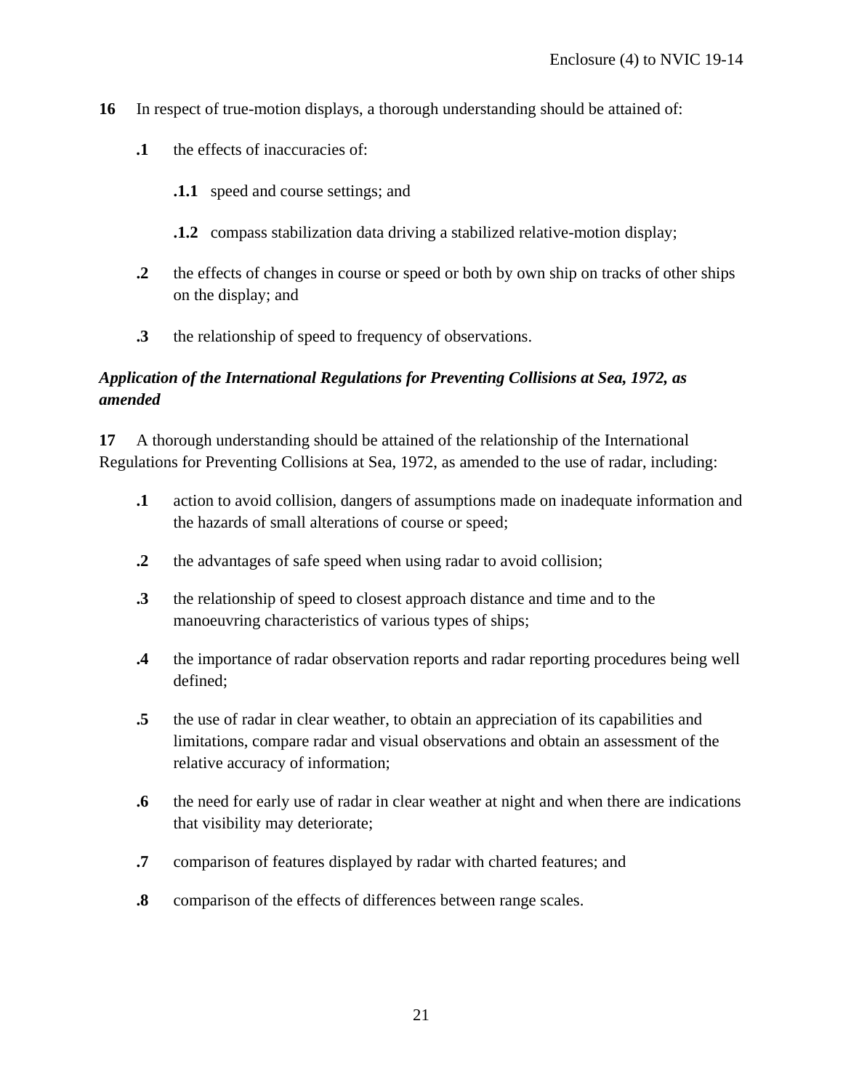- **16** In respect of true-motion displays, a thorough understanding should be attained of:
	- **.1** the effects of inaccuracies of:
		- **.1.1** speed and course settings; and
		- **.1.2** compass stabilization data driving a stabilized relative-motion display;
	- **.2** the effects of changes in course or speed or both by own ship on tracks of other ships on the display; and
	- **.3** the relationship of speed to frequency of observations.

## *Application of the International Regulations for Preventing Collisions at Sea, 1972, as amended*

**17** A thorough understanding should be attained of the relationship of the International Regulations for Preventing Collisions at Sea, 1972, as amended to the use of radar, including:

- **.1** action to avoid collision, dangers of assumptions made on inadequate information and the hazards of small alterations of course or speed;
- **.2** the advantages of safe speed when using radar to avoid collision;
- **.3** the relationship of speed to closest approach distance and time and to the manoeuvring characteristics of various types of ships;
- **.4** the importance of radar observation reports and radar reporting procedures being well defined;
- **.5** the use of radar in clear weather, to obtain an appreciation of its capabilities and limitations, compare radar and visual observations and obtain an assessment of the relative accuracy of information;
- **.6** the need for early use of radar in clear weather at night and when there are indications that visibility may deteriorate;
- **.7** comparison of features displayed by radar with charted features; and
- **.8** comparison of the effects of differences between range scales.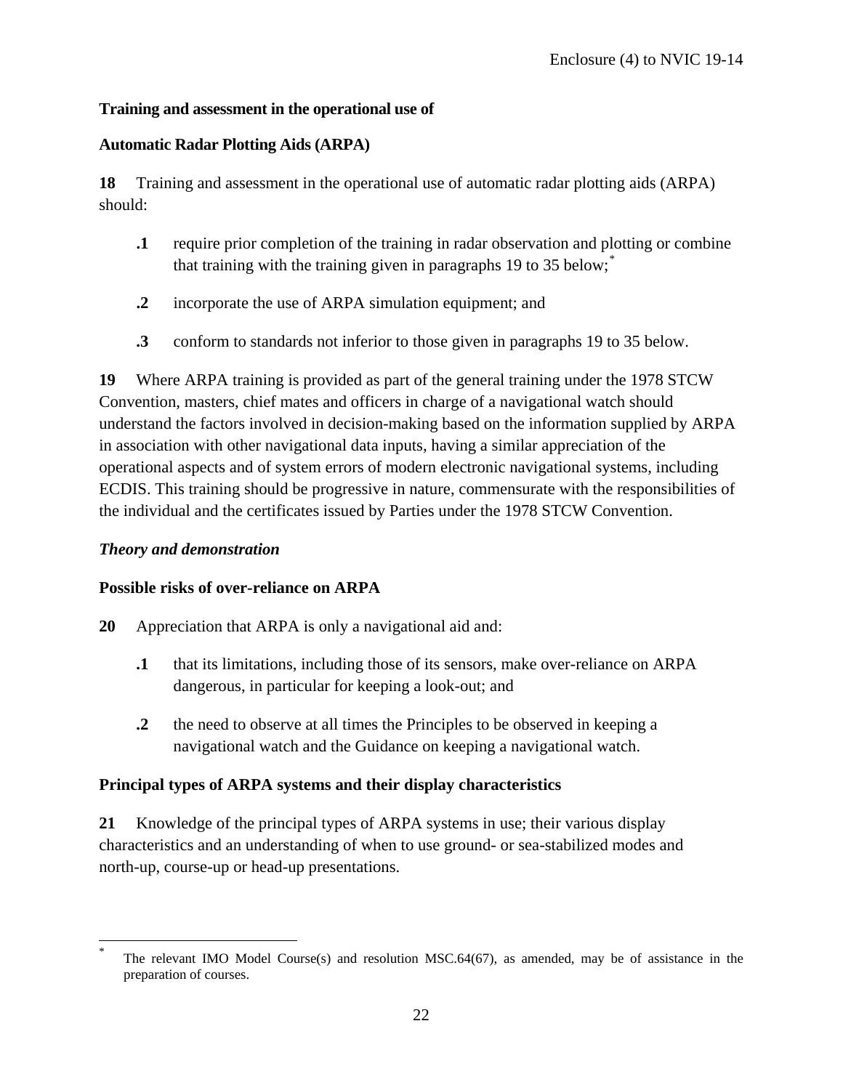## <span id="page-49-0"></span>**Training and assessment in the operational use of**

## **Automatic Radar Plotting Aids (ARPA)**

**18** Training and assessment in the operational use of automatic radar plotting aids (ARPA) should:

- **.1** require prior completion of the training in radar observation and plotting or combine that training with the training given in paragraphs 19 to 35 below;
- **.2** incorporate the use of ARPA simulation equipment; and
- **.3** conform to standards not inferior to those given in paragraphs 19 to 35 below.

**19** Where ARPA training is provided as part of the general training under the 1978 STCW Convention, masters, chief mates and officers in charge of a navigational watch should understand the factors involved in decision-making based on the information supplied by ARPA in association with other navigational data inputs, having a similar appreciation of the operational aspects and of system errors of modern electronic navigational systems, including ECDIS. This training should be progressive in nature, commensurate with the responsibilities of the individual and the certificates issued by Parties under the 1978 STCW Convention.

## *Theory and demonstration*

## **Possible risks of over-reliance on ARPA**

**20** Appreciation that ARPA is only a navigational aid and:

- **.1** that its limitations, including those of its sensors, make over-reliance on ARPA dangerous, in particular for keeping a look-out; and
- **.2** the need to observe at all times the Principles to be observed in keeping a navigational watch and the Guidance on keeping a navigational watch.

## **Principal types of ARPA systems and their display characteristics**

**21** Knowledge of the principal types of ARPA systems in use; their various display characteristics and an understanding of when to use ground- or sea-stabilized modes and north-up, course-up or head-up presentations.

The relevant IMO Model Course(s) and resolution MSC.64(67), as amended, may be of assistance in the preparation of courses.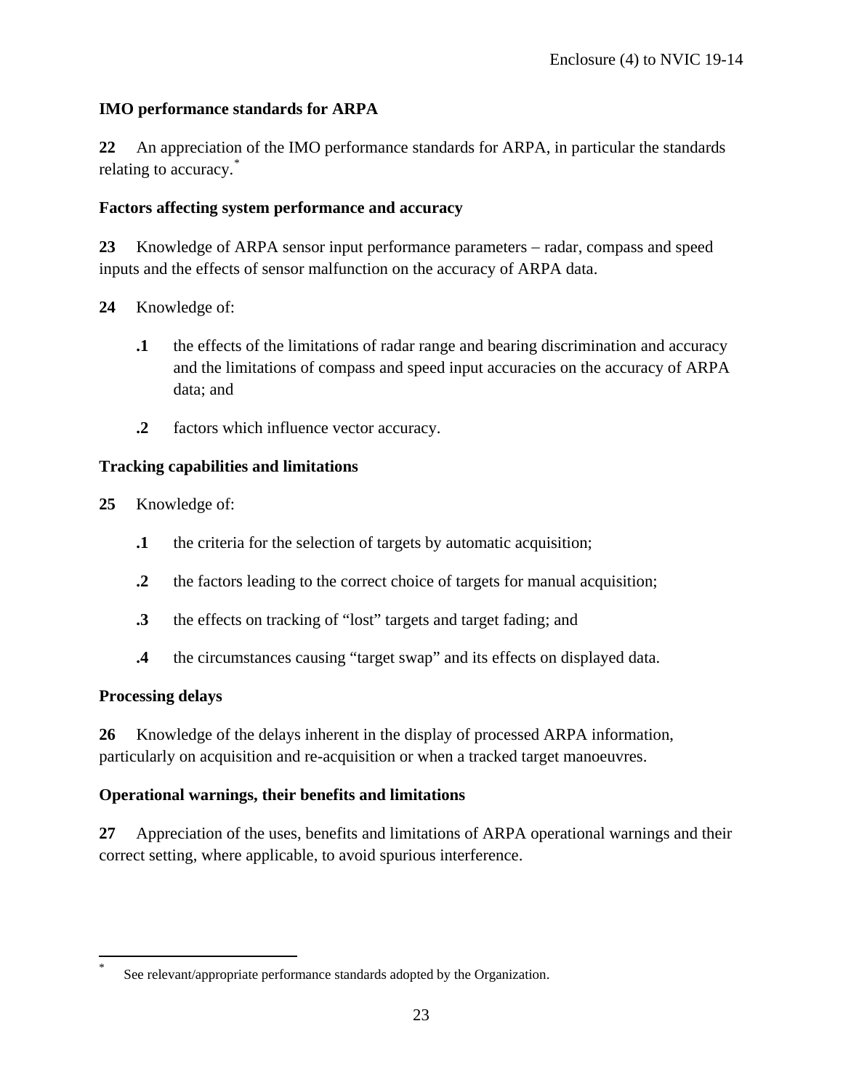## <span id="page-50-0"></span>**IMO performance standards for ARPA**

**22** An appreciation of the IMO performance standards for ARPA, in particular the standards relating to accuracy.[\\*](#page-50-0)

## **Factors affecting system performance and accuracy**

**23** Knowledge of ARPA sensor input performance parameters − radar, compass and speed inputs and the effects of sensor malfunction on the accuracy of ARPA data.

- **24** Knowledge of:
	- **.1** the effects of the limitations of radar range and bearing discrimination and accuracy and the limitations of compass and speed input accuracies on the accuracy of ARPA data; and
	- **.2** factors which influence vector accuracy.

## **Tracking capabilities and limitations**

- **25** Knowledge of:
	- **.1** the criteria for the selection of targets by automatic acquisition;
	- **.2** the factors leading to the correct choice of targets for manual acquisition;
	- **.3** the effects on tracking of "lost" targets and target fading; and
	- **.4** the circumstances causing "target swap" and its effects on displayed data.

## **Processing delays**

**26** Knowledge of the delays inherent in the display of processed ARPA information, particularly on acquisition and re-acquisition or when a tracked target manoeuvres.

## **Operational warnings, their benefits and limitations**

**27** Appreciation of the uses, benefits and limitations of ARPA operational warnings and their correct setting, where applicable, to avoid spurious interference.

<sup>\*</sup> See relevant/appropriate performance standards adopted by the Organization.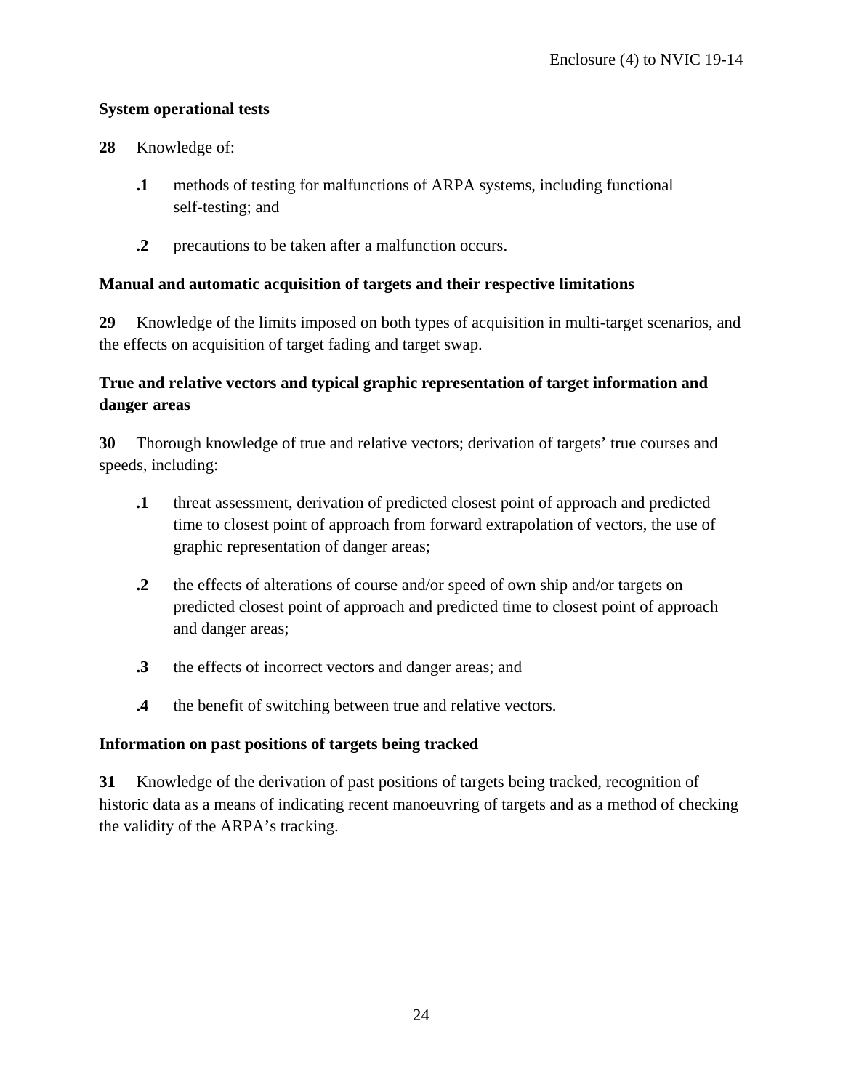## **System operational tests**

**28** Knowledge of:

- **.1** methods of testing for malfunctions of ARPA systems, including functional self-testing; and
- **2** precautions to be taken after a malfunction occurs.

## **Manual and automatic acquisition of targets and their respective limitations**

**29** Knowledge of the limits imposed on both types of acquisition in multi-target scenarios, and the effects on acquisition of target fading and target swap.

## **True and relative vectors and typical graphic representation of target information and danger areas**

**30** Thorough knowledge of true and relative vectors; derivation of targets' true courses and speeds, including:

- **.1** threat assessment, derivation of predicted closest point of approach and predicted time to closest point of approach from forward extrapolation of vectors, the use of graphic representation of danger areas;
- **.2** the effects of alterations of course and/or speed of own ship and/or targets on predicted closest point of approach and predicted time to closest point of approach and danger areas;
- **.3** the effects of incorrect vectors and danger areas; and
- **.4** the benefit of switching between true and relative vectors.

## **Information on past positions of targets being tracked**

**31** Knowledge of the derivation of past positions of targets being tracked, recognition of historic data as a means of indicating recent manoeuvring of targets and as a method of checking the validity of the ARPA's tracking.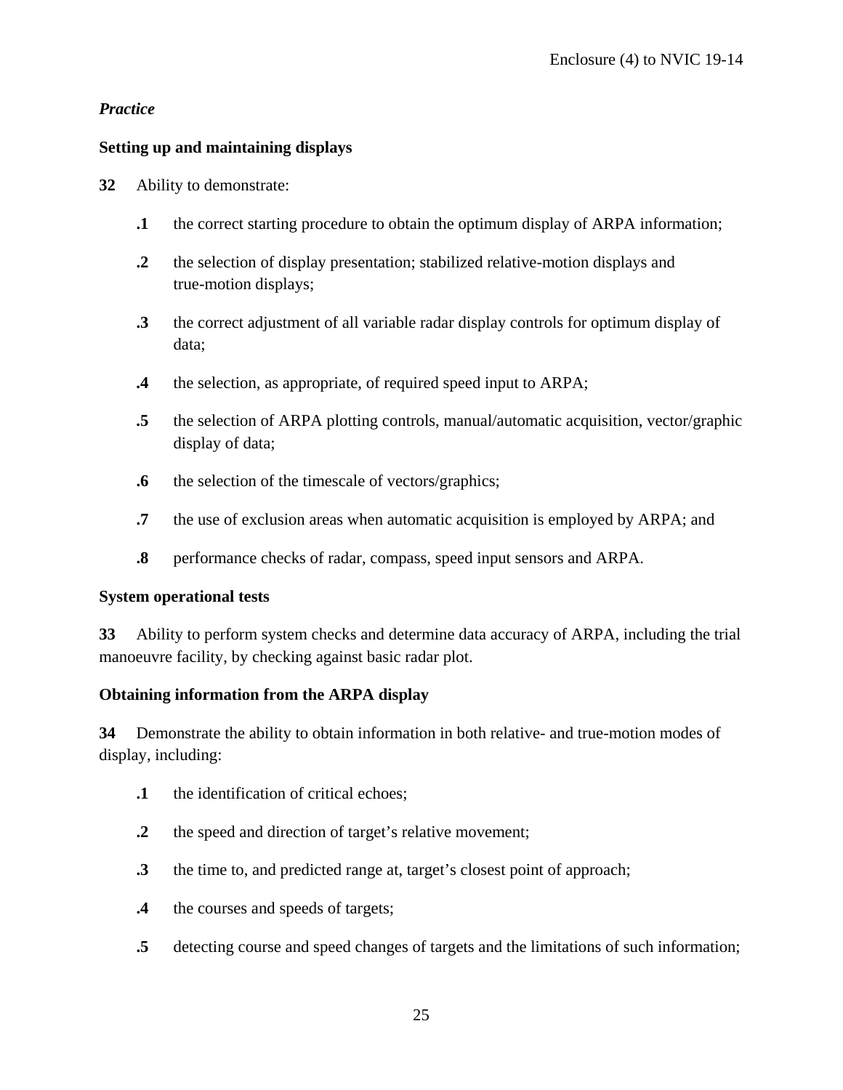## *Practice*

## **Setting up and maintaining displays**

- **32** Ability to demonstrate:
	- **.1** the correct starting procedure to obtain the optimum display of ARPA information;
	- **.2** the selection of display presentation; stabilized relative-motion displays and true-motion displays;
	- **.3** the correct adjustment of all variable radar display controls for optimum display of data;
	- **.4** the selection, as appropriate, of required speed input to ARPA;
	- **.5** the selection of ARPA plotting controls, manual/automatic acquisition, vector/graphic display of data;
	- **.6** the selection of the timescale of vectors/graphics;
	- **.7** the use of exclusion areas when automatic acquisition is employed by ARPA; and
	- **.8** performance checks of radar, compass, speed input sensors and ARPA.

## **System operational tests**

**33** Ability to perform system checks and determine data accuracy of ARPA, including the trial manoeuvre facility, by checking against basic radar plot.

## **Obtaining information from the ARPA display**

**34** Demonstrate the ability to obtain information in both relative- and true-motion modes of display, including:

- **.1** the identification of critical echoes;
- **.2** the speed and direction of target's relative movement;
- **.3** the time to, and predicted range at, target's closest point of approach;
- **.4** the courses and speeds of targets;
- **.5** detecting course and speed changes of targets and the limitations of such information;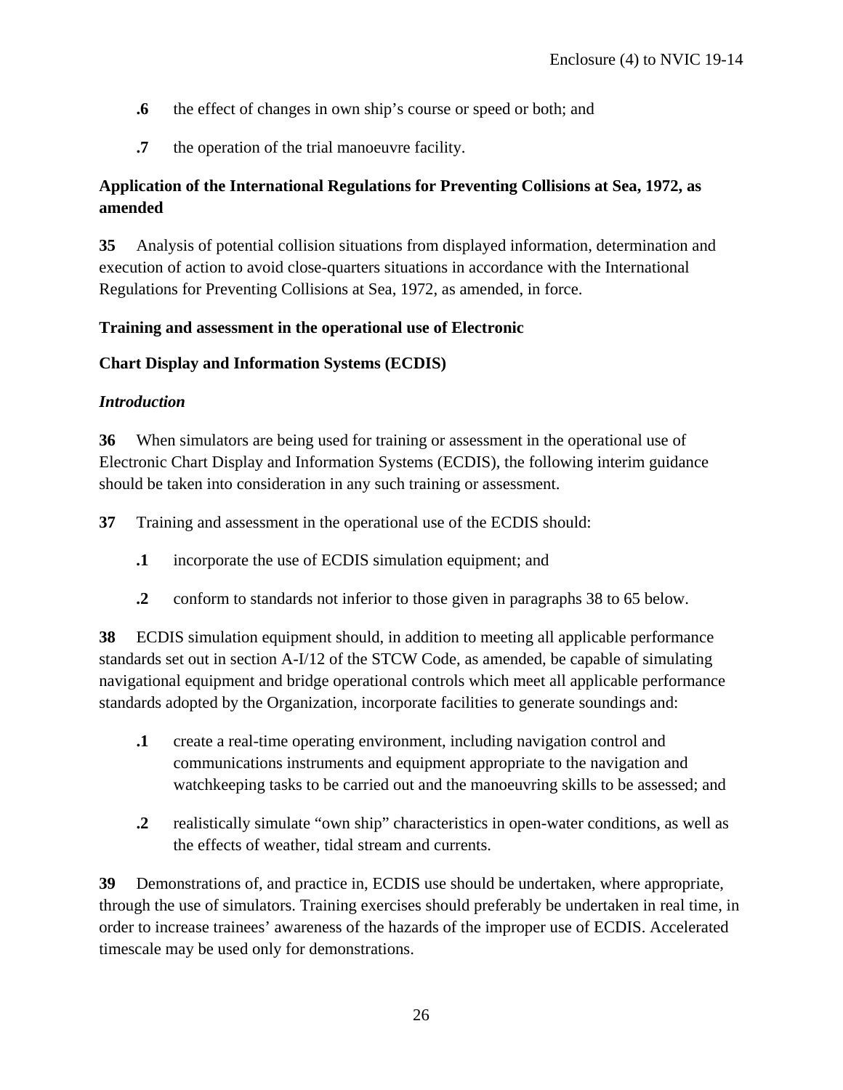- **.6** the effect of changes in own ship's course or speed or both; and
- **.7** the operation of the trial manoeuvre facility.

## **Application of the International Regulations for Preventing Collisions at Sea, 1972, as amended**

**35** Analysis of potential collision situations from displayed information, determination and execution of action to avoid close-quarters situations in accordance with the International Regulations for Preventing Collisions at Sea, 1972, as amended, in force.

## **Training and assessment in the operational use of Electronic**

## **Chart Display and Information Systems (ECDIS)**

## *Introduction*

**36** When simulators are being used for training or assessment in the operational use of Electronic Chart Display and Information Systems (ECDIS), the following interim guidance should be taken into consideration in any such training or assessment.

**37** Training and assessment in the operational use of the ECDIS should:

- **.1** incorporate the use of ECDIS simulation equipment; and
- **.2** conform to standards not inferior to those given in paragraphs 38 to 65 below.

**38** ECDIS simulation equipment should, in addition to meeting all applicable performance standards set out in section A-I/12 of the STCW Code, as amended, be capable of simulating navigational equipment and bridge operational controls which meet all applicable performance standards adopted by the Organization, incorporate facilities to generate soundings and:

- **.1** create a real-time operating environment, including navigation control and communications instruments and equipment appropriate to the navigation and watchkeeping tasks to be carried out and the manoeuvring skills to be assessed; and
- **.2** realistically simulate "own ship" characteristics in open-water conditions, as well as the effects of weather, tidal stream and currents.

**39** Demonstrations of, and practice in, ECDIS use should be undertaken, where appropriate, through the use of simulators. Training exercises should preferably be undertaken in real time, in order to increase trainees' awareness of the hazards of the improper use of ECDIS. Accelerated timescale may be used only for demonstrations.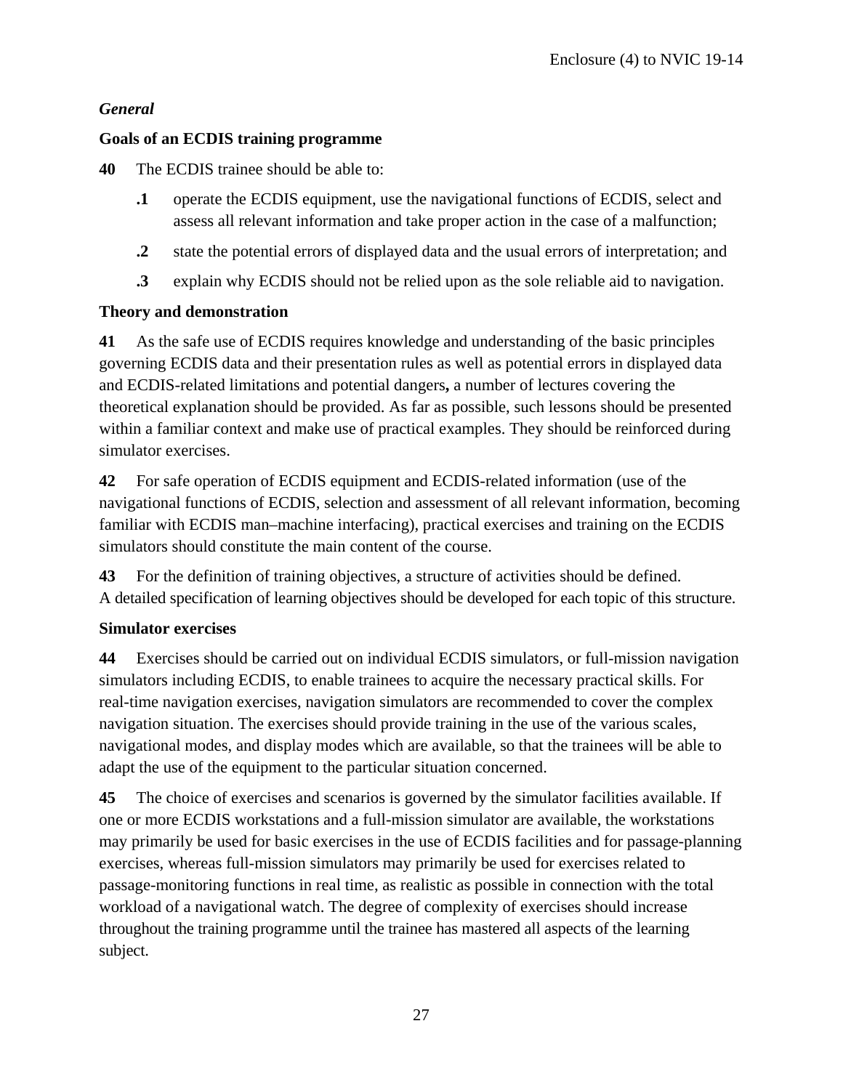## *General*

## **Goals of an ECDIS training programme**

**40** The ECDIS trainee should be able to:

- **.1** operate the ECDIS equipment, use the navigational functions of ECDIS, select and assess all relevant information and take proper action in the case of a malfunction;
- **.2** state the potential errors of displayed data and the usual errors of interpretation; and
- **.3** explain why ECDIS should not be relied upon as the sole reliable aid to navigation.

## **Theory and demonstration**

**41** As the safe use of ECDIS requires knowledge and understanding of the basic principles governing ECDIS data and their presentation rules as well as potential errors in displayed data and ECDIS-related limitations and potential dangers**,** a number of lectures covering the theoretical explanation should be provided. As far as possible, such lessons should be presented within a familiar context and make use of practical examples. They should be reinforced during simulator exercises.

**42** For safe operation of ECDIS equipment and ECDIS-related information (use of the navigational functions of ECDIS, selection and assessment of all relevant information, becoming familiar with ECDIS man–machine interfacing), practical exercises and training on the ECDIS simulators should constitute the main content of the course.

**43** For the definition of training objectives, a structure of activities should be defined. A detailed specification of learning objectives should be developed for each topic of this structure.

## **Simulator exercises**

**44** Exercises should be carried out on individual ECDIS simulators, or full-mission navigation simulators including ECDIS, to enable trainees to acquire the necessary practical skills. For real-time navigation exercises, navigation simulators are recommended to cover the complex navigation situation. The exercises should provide training in the use of the various scales, navigational modes, and display modes which are available, so that the trainees will be able to adapt the use of the equipment to the particular situation concerned.

**45** The choice of exercises and scenarios is governed by the simulator facilities available. If one or more ECDIS workstations and a full-mission simulator are available, the workstations may primarily be used for basic exercises in the use of ECDIS facilities and for passage-planning exercises, whereas full-mission simulators may primarily be used for exercises related to passage-monitoring functions in real time, as realistic as possible in connection with the total workload of a navigational watch. The degree of complexity of exercises should increase throughout the training programme until the trainee has mastered all aspects of the learning subject.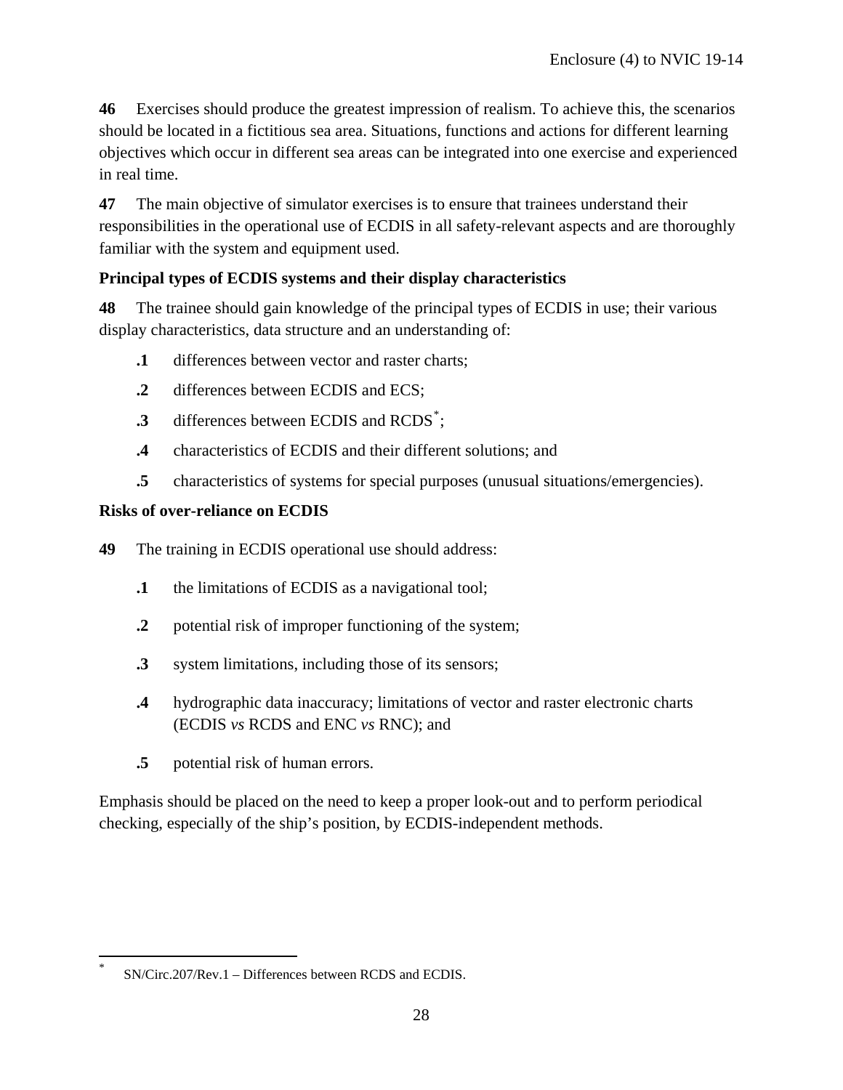<span id="page-55-0"></span>**46** Exercises should produce the greatest impression of realism. To achieve this, the scenarios should be located in a fictitious sea area. Situations, functions and actions for different learning objectives which occur in different sea areas can be integrated into one exercise and experienced in real time.

**47** The main objective of simulator exercises is to ensure that trainees understand their responsibilities in the operational use of ECDIS in all safety-relevant aspects and are thoroughly familiar with the system and equipment used.

## **Principal types of ECDIS systems and their display characteristics**

**48** The trainee should gain knowledge of the principal types of ECDIS in use; their various display characteristics, data structure and an understanding of:

- **.1** differences between vector and raster charts;
- **.2** differences between ECDIS and ECS;
- **.3** differences between ECDIS and RCDS<sup>[\\*](#page-55-0)</sup>;
- **.4** characteristics of ECDIS and their different solutions; and
- **.5** characteristics of systems for special purposes (unusual situations/emergencies).

## **Risks of over-reliance on ECDIS**

- **49** The training in ECDIS operational use should address:
	- **.1** the limitations of ECDIS as a navigational tool;
	- **.2** potential risk of improper functioning of the system;
	- **.3** system limitations, including those of its sensors;
	- **.4** hydrographic data inaccuracy; limitations of vector and raster electronic charts (ECDIS *vs* RCDS and ENC *vs* RNC); and
	- **.5** potential risk of human errors.

Emphasis should be placed on the need to keep a proper look-out and to perform periodical checking, especially of the ship's position, by ECDIS-independent methods.

<sup>\*</sup> SN/Circ.207/Rev.1 – Differences between RCDS and ECDIS.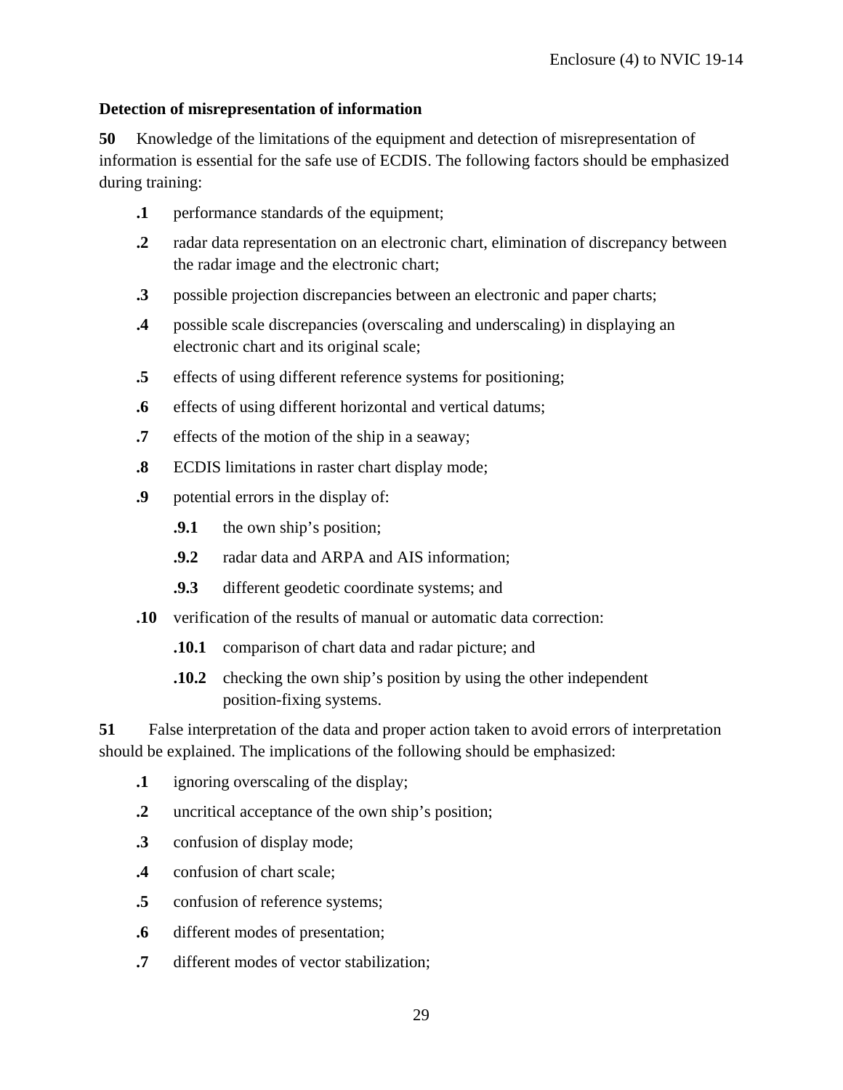## **Detection of misrepresentation of information**

**50** Knowledge of the limitations of the equipment and detection of misrepresentation of information is essential for the safe use of ECDIS. The following factors should be emphasized during training:

- **.1** performance standards of the equipment;
- **.2** radar data representation on an electronic chart, elimination of discrepancy between the radar image and the electronic chart;
- **.3** possible projection discrepancies between an electronic and paper charts;
- **.4** possible scale discrepancies (overscaling and underscaling) in displaying an electronic chart and its original scale;
- **.5** effects of using different reference systems for positioning;
- **.6** effects of using different horizontal and vertical datums;
- **.7** effects of the motion of the ship in a seaway;
- **.8** ECDIS limitations in raster chart display mode;
- **.9** potential errors in the display of:
	- **.9.1** the own ship's position;
	- **.9.2** radar data and ARPA and AIS information;
	- **.9.3** different geodetic coordinate systems; and
- **.10** verification of the results of manual or automatic data correction:
	- **.10.1** comparison of chart data and radar picture; and
	- **.10.2** checking the own ship's position by using the other independent position-fixing systems.

**51** False interpretation of the data and proper action taken to avoid errors of interpretation should be explained. The implications of the following should be emphasized:

- **.1** ignoring overscaling of the display;
- **.2** uncritical acceptance of the own ship's position;
- **.3** confusion of display mode;
- **.4** confusion of chart scale;
- **.5** confusion of reference systems;
- **.6** different modes of presentation;
- **.7** different modes of vector stabilization;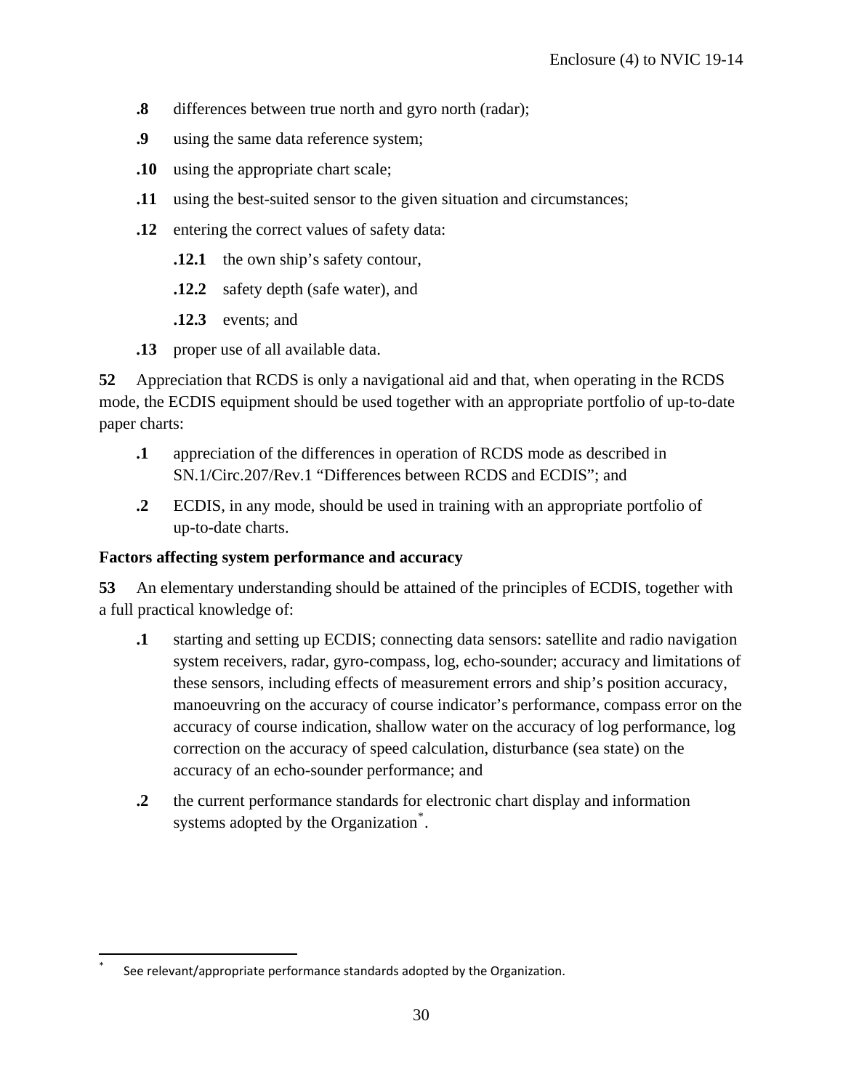- <span id="page-57-0"></span>**.8** differences between true north and gyro north (radar);
- **.9** using the same data reference system;
- **.10** using the appropriate chart scale;
- **.11** using the best-suited sensor to the given situation and circumstances;
- **.12** entering the correct values of safety data:
	- **.12.1** the own ship's safety contour,
	- **.12.2** safety depth (safe water), and
	- **.12.3** events; and
- **.13** proper use of all available data.

**52** Appreciation that RCDS is only a navigational aid and that, when operating in the RCDS mode, the ECDIS equipment should be used together with an appropriate portfolio of up-to-date paper charts:

- **.1** appreciation of the differences in operation of RCDS mode as described in SN.1/Circ.207/Rev.1 "Differences between RCDS and ECDIS"; and
- **.2** ECDIS, in any mode, should be used in training with an appropriate portfolio of up-to-date charts.

## **Factors affecting system performance and accuracy**

**53** An elementary understanding should be attained of the principles of ECDIS, together with a full practical knowledge of:

- **.1** starting and setting up ECDIS; connecting data sensors: satellite and radio navigation system receivers, radar, gyro-compass, log, echo-sounder; accuracy and limitations of these sensors, including effects of measurement errors and ship's position accuracy, manoeuvring on the accuracy of course indicator's performance, compass error on the accuracy of course indication, shallow water on the accuracy of log performance, log correction on the accuracy of speed calculation, disturbance (sea state) on the accuracy of an echo-sounder performance; and
- **.2** the current performance standards for electronic chart display and information systems adopted by the Organization<sup>[\\*](#page-57-0)</sup>.

See relevant/appropriate performance standards adopted by the Organization.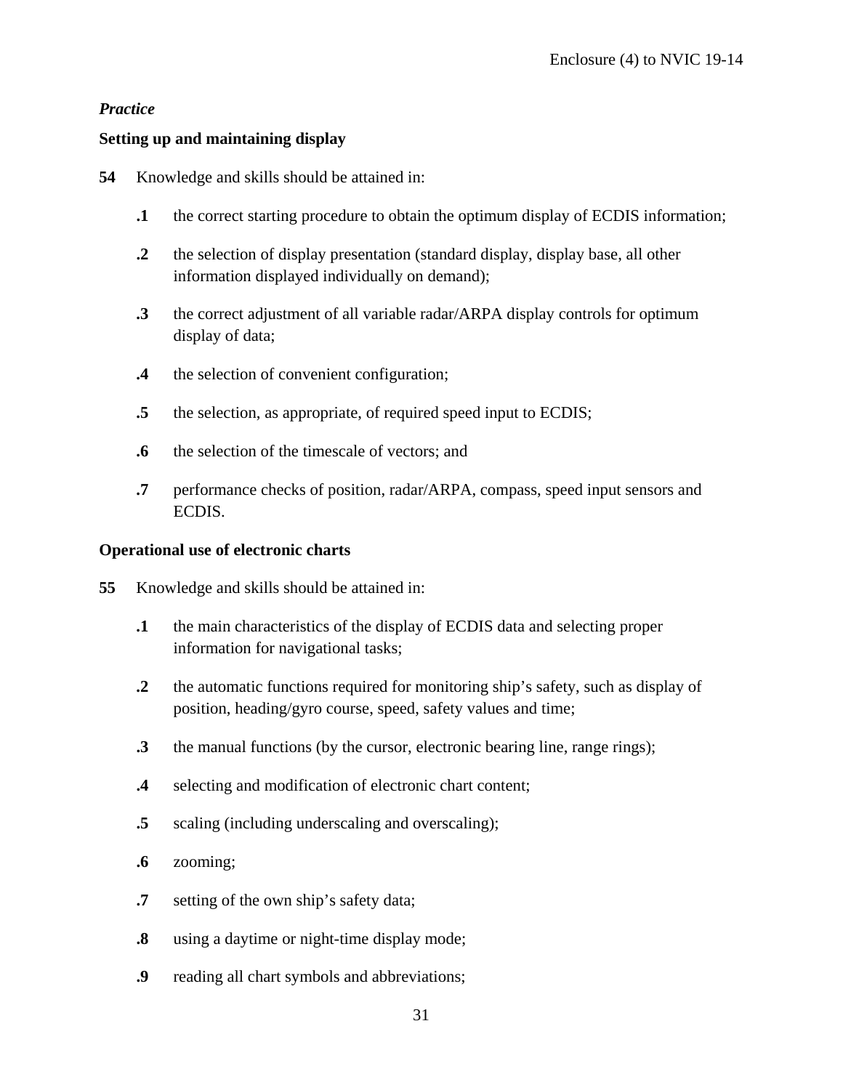## *Practice*

#### **Setting up and maintaining display**

- **54** Knowledge and skills should be attained in:
	- **.1** the correct starting procedure to obtain the optimum display of ECDIS information;
	- **.2** the selection of display presentation (standard display, display base, all other information displayed individually on demand);
	- **.3** the correct adjustment of all variable radar/ARPA display controls for optimum display of data;
	- **.4** the selection of convenient configuration;
	- **.5** the selection, as appropriate, of required speed input to ECDIS;
	- **.6** the selection of the timescale of vectors; and
	- **.7** performance checks of position, radar/ARPA, compass, speed input sensors and ECDIS.

#### **Operational use of electronic charts**

- **55** Knowledge and skills should be attained in:
	- **.1** the main characteristics of the display of ECDIS data and selecting proper information for navigational tasks;
	- **.2** the automatic functions required for monitoring ship's safety, such as display of position, heading/gyro course, speed, safety values and time;
	- **.3** the manual functions (by the cursor, electronic bearing line, range rings);
	- **.4** selecting and modification of electronic chart content;
	- **.5** scaling (including underscaling and overscaling);
	- **.6** zooming;
	- **.7** setting of the own ship's safety data;
	- **.8** using a daytime or night-time display mode;
	- **.9** reading all chart symbols and abbreviations;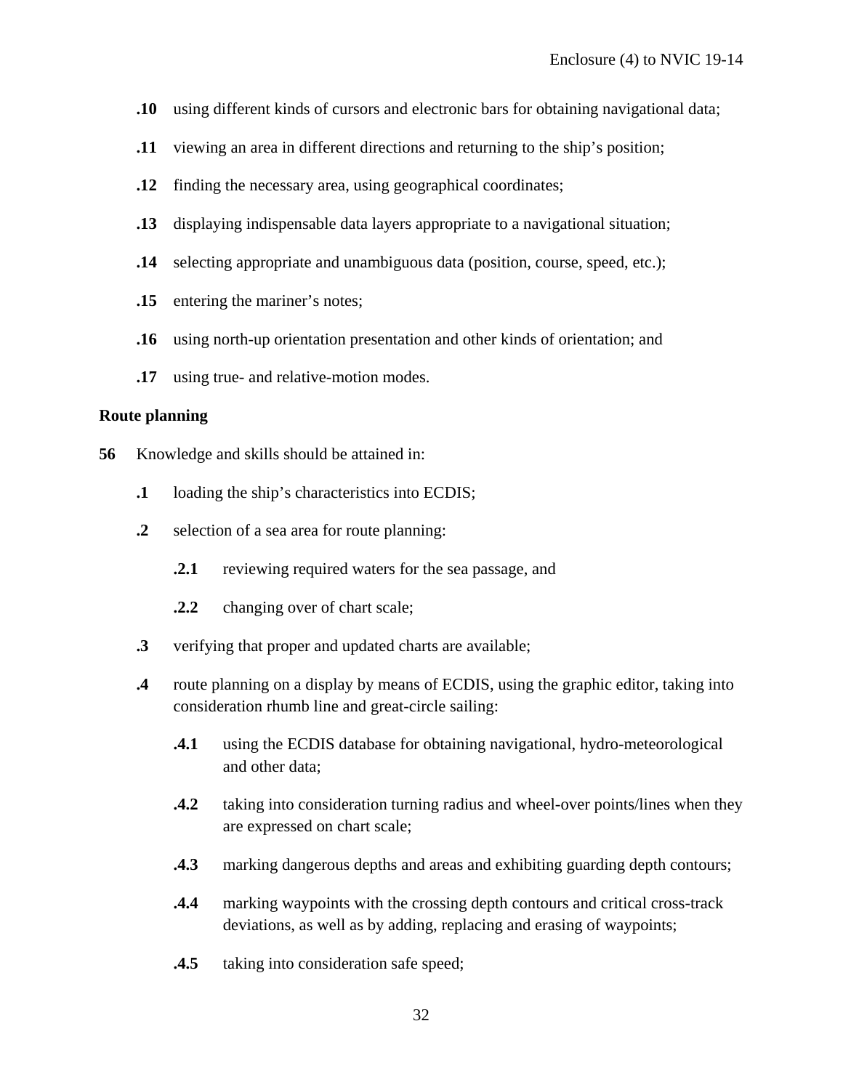- **.10** using different kinds of cursors and electronic bars for obtaining navigational data;
- **.11** viewing an area in different directions and returning to the ship's position;
- **.12** finding the necessary area, using geographical coordinates;
- **.13** displaying indispensable data layers appropriate to a navigational situation;
- **.14** selecting appropriate and unambiguous data (position, course, speed, etc.);
- **.15** entering the mariner's notes;
- **.16** using north-up orientation presentation and other kinds of orientation; and
- **.17** using true- and relative-motion modes.

#### **Route planning**

- **56** Knowledge and skills should be attained in:
	- **.1** loading the ship's characteristics into ECDIS;
	- **.2** selection of a sea area for route planning:
		- **2.1** reviewing required waters for the sea passage, and
		- **.2.2** changing over of chart scale;
	- **.3** verifying that proper and updated charts are available;
	- **.4** route planning on a display by means of ECDIS, using the graphic editor, taking into consideration rhumb line and great-circle sailing:
		- **.4.1** using the ECDIS database for obtaining navigational, hydro-meteorological and other data;
		- **.4.2** taking into consideration turning radius and wheel-over points/lines when they are expressed on chart scale;
		- **.4.3** marking dangerous depths and areas and exhibiting guarding depth contours;
		- **.4.4** marking waypoints with the crossing depth contours and critical cross-track deviations, as well as by adding, replacing and erasing of waypoints;
		- **.4.5** taking into consideration safe speed;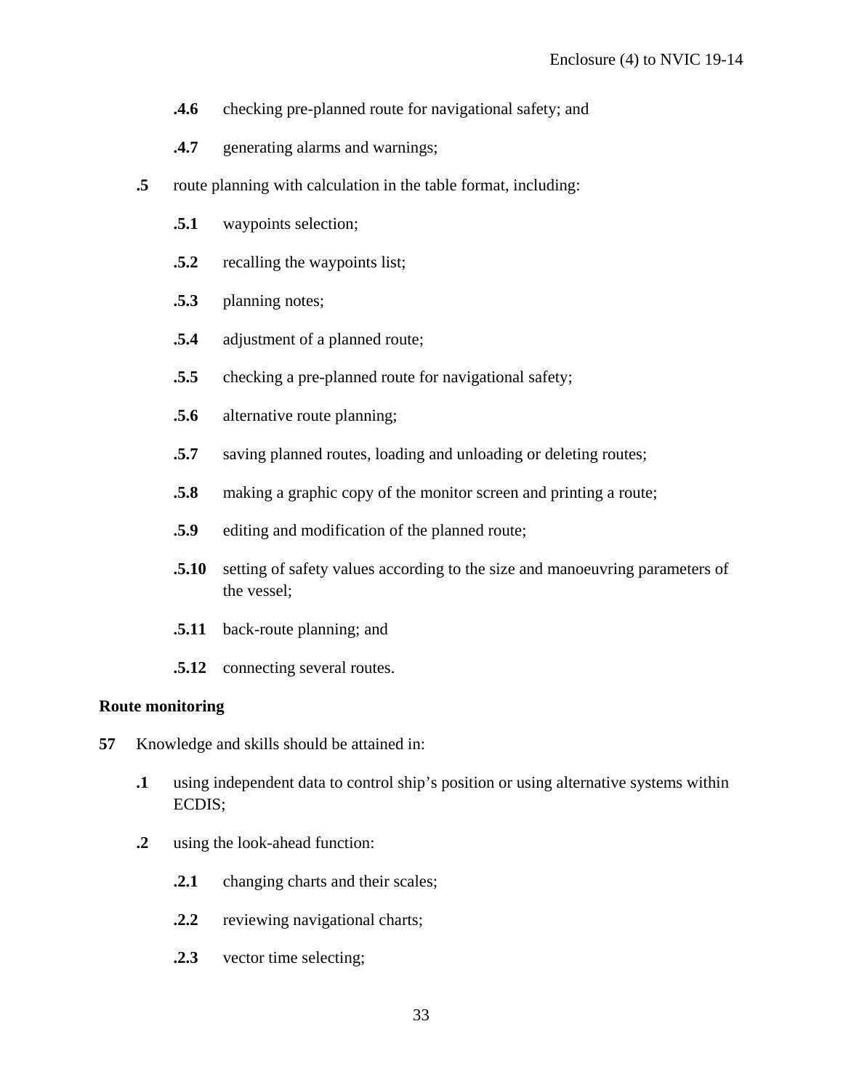- **.4.6** checking pre-planned route for navigational safety; and
- **.4.7** generating alarms and warnings;
- **.5** route planning with calculation in the table format, including:
	- **.5.1** waypoints selection;
	- **.5.2** recalling the waypoints list;
	- **.5.3** planning notes;
	- **.5.4** adjustment of a planned route;
	- **.5.5** checking a pre-planned route for navigational safety;
	- **.5.6** alternative route planning;
	- **.5.7** saving planned routes, loading and unloading or deleting routes;
	- **.5.8** making a graphic copy of the monitor screen and printing a route;
	- **.5.9** editing and modification of the planned route;
	- **.5.10** setting of safety values according to the size and manoeuvring parameters of the vessel;
	- **.5.11** back-route planning; and
	- **.5.12** connecting several routes.

#### **Route monitoring**

- **57** Knowledge and skills should be attained in:
	- **.1** using independent data to control ship's position or using alternative systems within ECDIS;
	- **.2** using the look-ahead function:
		- **.2.1** changing charts and their scales;
		- **2.2** reviewing navigational charts;
		- **.2.3** vector time selecting;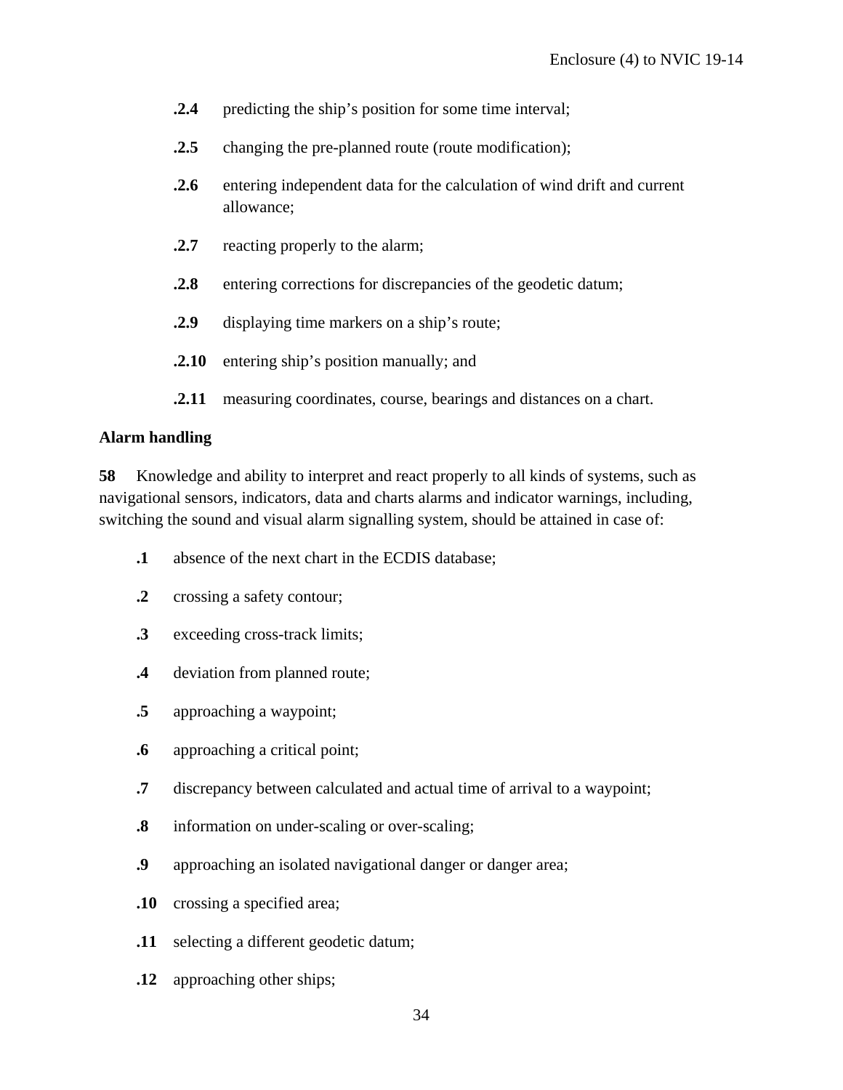- **2.4** predicting the ship's position for some time interval;
- **.2.5** changing the pre-planned route (route modification);
- **.2.6** entering independent data for the calculation of wind drift and current allowance;
- **2.7** reacting properly to the alarm;
- **2.8** entering corrections for discrepancies of the geodetic datum;
- **.2.9** displaying time markers on a ship's route;
- **.2.10** entering ship's position manually; and
- **.2.11** measuring coordinates, course, bearings and distances on a chart.

#### **Alarm handling**

**58** Knowledge and ability to interpret and react properly to all kinds of systems, such as navigational sensors, indicators, data and charts alarms and indicator warnings, including, switching the sound and visual alarm signalling system, should be attained in case of:

- **.1** absence of the next chart in the ECDIS database;
- **.2** crossing a safety contour;
- **.3** exceeding cross-track limits;
- **.4** deviation from planned route;
- **.5** approaching a waypoint;
- **.6** approaching a critical point;
- **.7** discrepancy between calculated and actual time of arrival to a waypoint;
- **.8** information on under-scaling or over-scaling;
- **.9** approaching an isolated navigational danger or danger area;
- **.10** crossing a specified area;
- **.11** selecting a different geodetic datum;
- **.12** approaching other ships;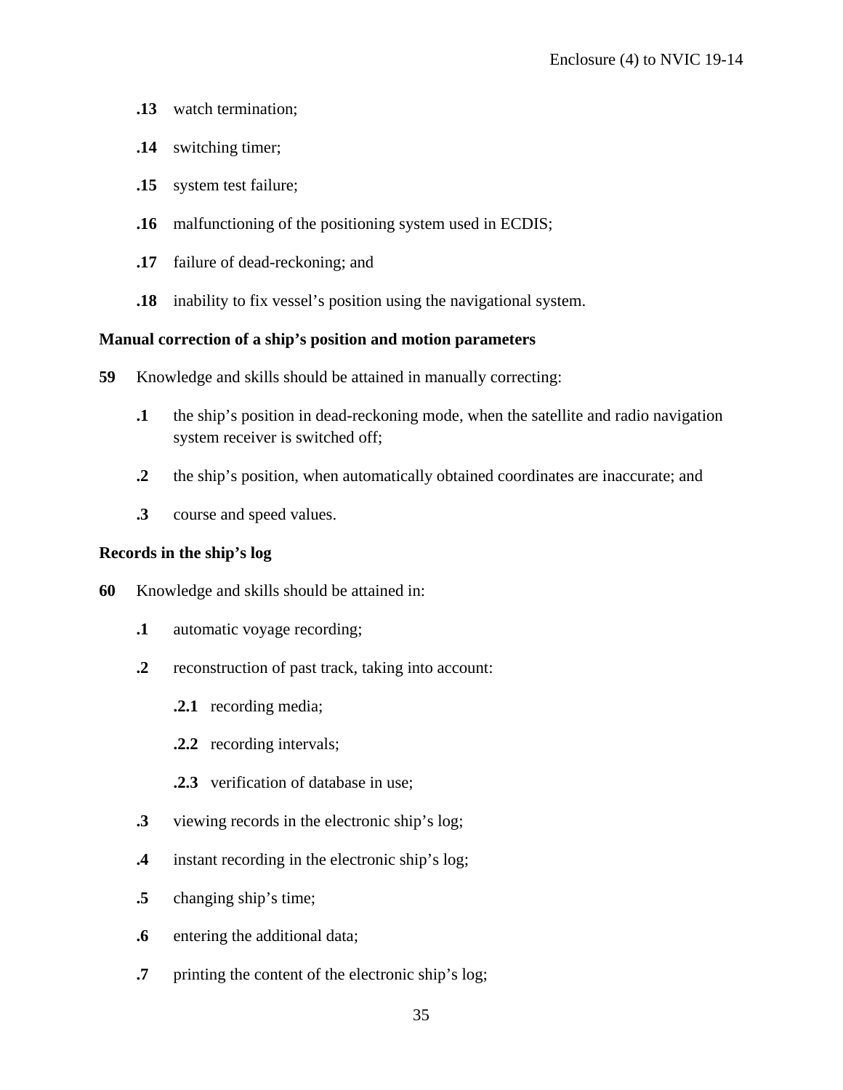- **.13** watch termination;
- **.14** switching timer;
- **.15** system test failure;
- **.16** malfunctioning of the positioning system used in ECDIS;
- **.17** failure of dead-reckoning; and
- **.18** inability to fix vessel's position using the navigational system.

#### **Manual correction of a ship's position and motion parameters**

- **59** Knowledge and skills should be attained in manually correcting:
	- **.1** the ship's position in dead-reckoning mode, when the satellite and radio navigation system receiver is switched off;
	- **.2** the ship's position, when automatically obtained coordinates are inaccurate; and
	- **.3** course and speed values.

#### **Records in the ship's log**

- **60** Knowledge and skills should be attained in:
	- **.1** automatic voyage recording;
	- **.2** reconstruction of past track, taking into account:
		- **.2.1** recording media;
		- **.2.2** recording intervals;
		- **.2.3** verification of database in use;
	- **.3** viewing records in the electronic ship's log;
	- **.4** instant recording in the electronic ship's log;
	- **.5** changing ship's time;
	- **.6** entering the additional data;
	- **.7** printing the content of the electronic ship's log;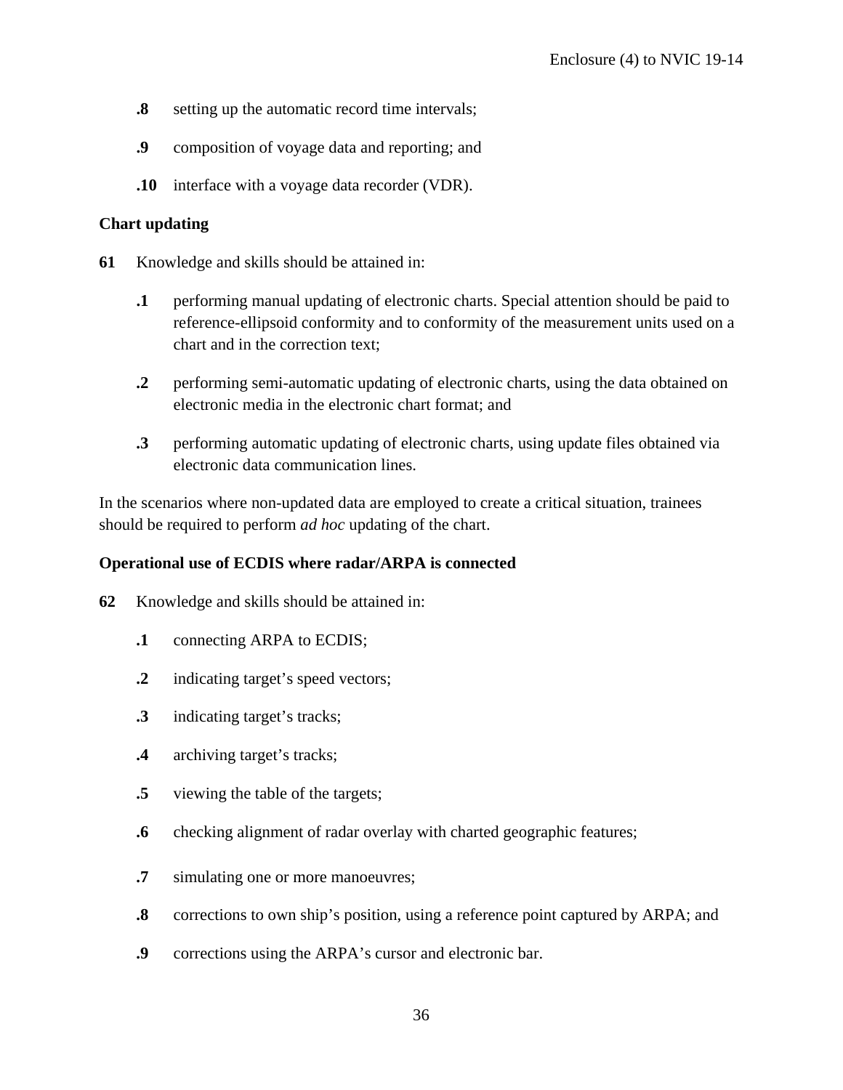- **.8** setting up the automatic record time intervals;
- **.9** composition of voyage data and reporting; and
- **.10** interface with a voyage data recorder (VDR).

#### **Chart updating**

- **61** Knowledge and skills should be attained in:
	- **.1** performing manual updating of electronic charts. Special attention should be paid to reference-ellipsoid conformity and to conformity of the measurement units used on a chart and in the correction text;
	- **.2** performing semi-automatic updating of electronic charts, using the data obtained on electronic media in the electronic chart format; and
	- **.3** performing automatic updating of electronic charts, using update files obtained via electronic data communication lines.

In the scenarios where non-updated data are employed to create a critical situation, trainees should be required to perform *ad hoc* updating of the chart.

#### **Operational use of ECDIS where radar/ARPA is connected**

- **62** Knowledge and skills should be attained in:
	- **.1** connecting ARPA to ECDIS;
	- **.2** indicating target's speed vectors;
	- **.3** indicating target's tracks;
	- **.4** archiving target's tracks;
	- **.5** viewing the table of the targets;
	- **.6** checking alignment of radar overlay with charted geographic features;
	- **.7** simulating one or more manoeuvres;
	- **.8** corrections to own ship's position, using a reference point captured by ARPA; and
	- **.9** corrections using the ARPA's cursor and electronic bar.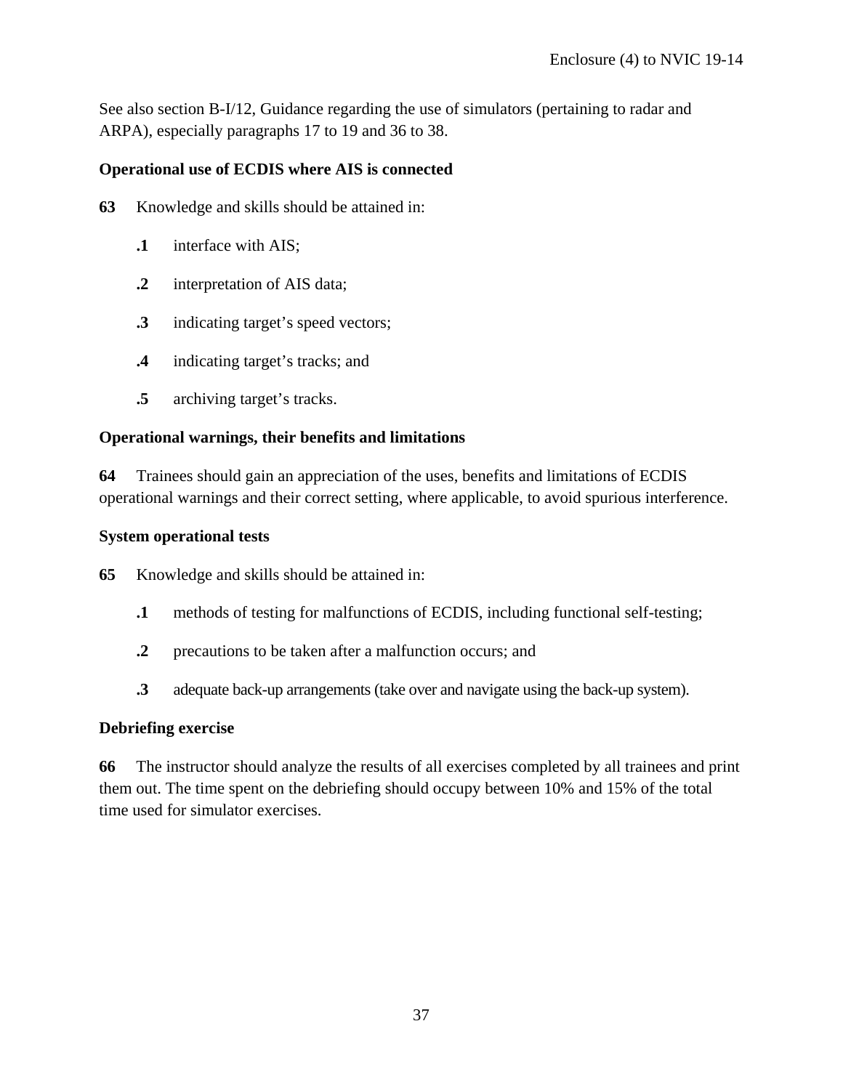See also section B-I/12, Guidance regarding the use of simulators (pertaining to radar and ARPA), especially paragraphs 17 to 19 and 36 to 38.

## **Operational use of ECDIS where AIS is connected**

- **63** Knowledge and skills should be attained in:
	- **.1** interface with AIS;
	- **.2** interpretation of AIS data;
	- **.3** indicating target's speed vectors;
	- **.4** indicating target's tracks; and
	- **.5** archiving target's tracks.

## **Operational warnings, their benefits and limitations**

**64** Trainees should gain an appreciation of the uses, benefits and limitations of ECDIS operational warnings and their correct setting, where applicable, to avoid spurious interference.

#### **System operational tests**

**65** Knowledge and skills should be attained in:

- **.1** methods of testing for malfunctions of ECDIS, including functional self-testing;
- **.2** precautions to be taken after a malfunction occurs; and
- **.3** adequate back-up arrangements (take over and navigate using the back-up system).

## **Debriefing exercise**

**66** The instructor should analyze the results of all exercises completed by all trainees and print them out. The time spent on the debriefing should occupy between 10% and 15% of the total time used for simulator exercises.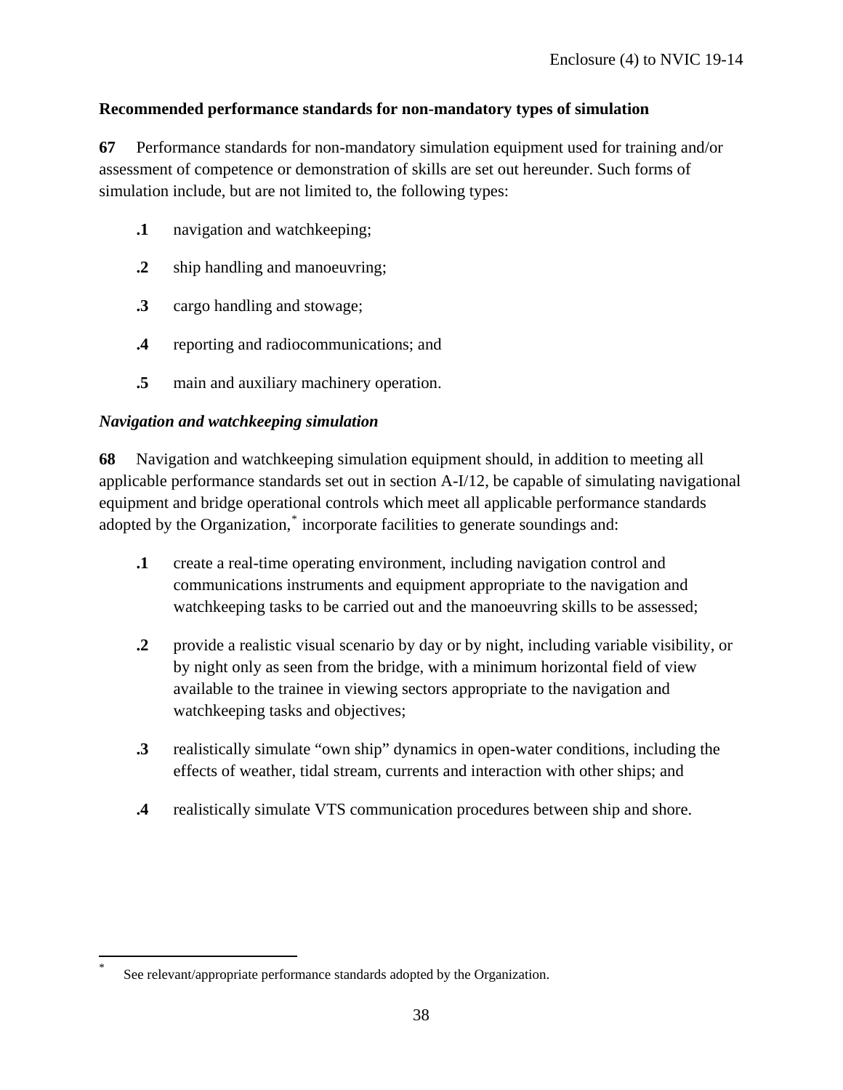## <span id="page-65-0"></span>**Recommended performance standards for non-mandatory types of simulation**

**67** Performance standards for non-mandatory simulation equipment used for training and/or assessment of competence or demonstration of skills are set out hereunder. Such forms of simulation include, but are not limited to, the following types:

- **.1** navigation and watchkeeping;
- **.2** ship handling and manoeuvring;
- **.3** cargo handling and stowage;
- **.4** reporting and radiocommunications; and
- **.5** main and auxiliary machinery operation.

## *Navigation and watchkeeping simulation*

**68** Navigation and watchkeeping simulation equipment should, in addition to meeting all applicable performance standards set out in section A-I/12, be capable of simulating navigational equipment and bridge operational controls which meet all applicable performance standards adopted by the Organization,<sup>[\\*](#page-65-0)</sup> incorporate facilities to generate soundings and:

- **.1** create a real-time operating environment, including navigation control and communications instruments and equipment appropriate to the navigation and watchkeeping tasks to be carried out and the manoeuvring skills to be assessed;
- **.2** provide a realistic visual scenario by day or by night, including variable visibility, or by night only as seen from the bridge, with a minimum horizontal field of view available to the trainee in viewing sectors appropriate to the navigation and watchkeeping tasks and objectives;
- **.3** realistically simulate "own ship" dynamics in open-water conditions, including the effects of weather, tidal stream, currents and interaction with other ships; and
- **.4** realistically simulate VTS communication procedures between ship and shore.

<sup>\*</sup> See relevant/appropriate performance standards adopted by the Organization.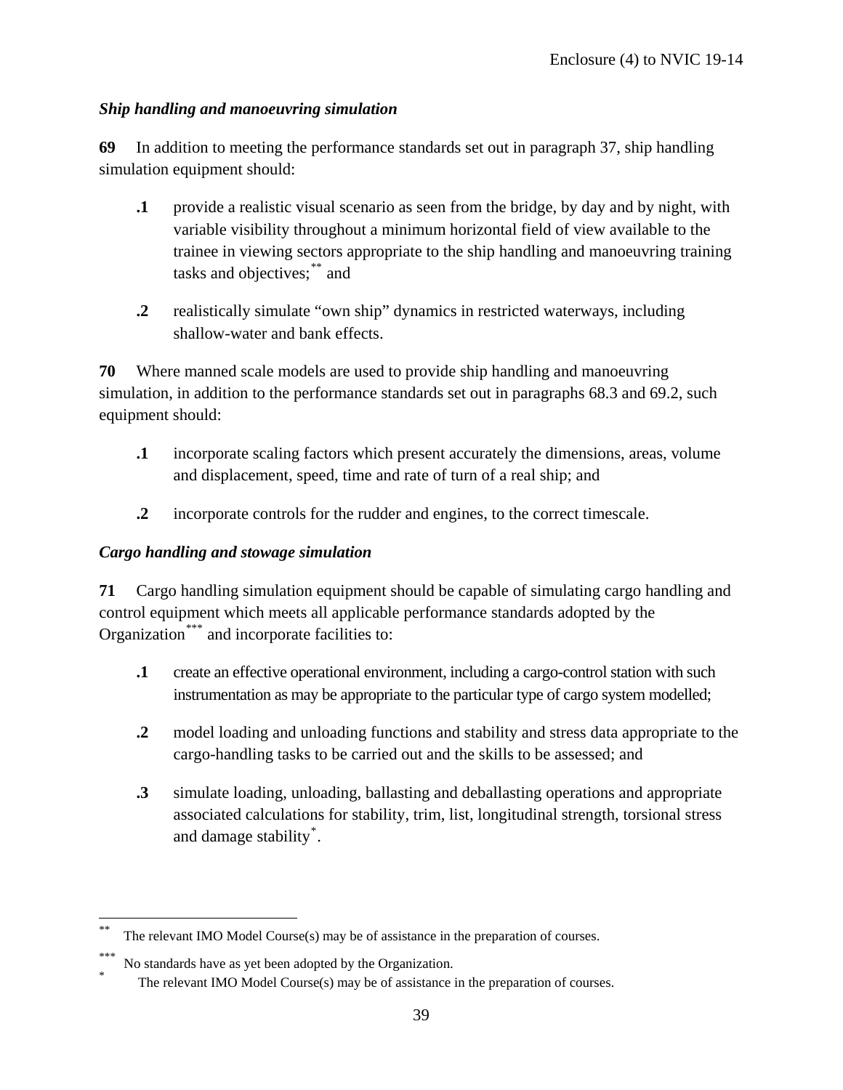## <span id="page-66-0"></span>*Ship handling and manoeuvring simulation*

**69** In addition to meeting the performance standards set out in paragraph 37, ship handling simulation equipment should:

- **.1** provide a realistic visual scenario as seen from the bridge, by day and by night, with variable visibility throughout a minimum horizontal field of view available to the trainee in viewing sectors appropriate to the ship handling and manoeuvring training tasks and objectives;[\\*\\*](#page-66-0) and
- **.2** realistically simulate "own ship" dynamics in restricted waterways, including shallow-water and bank effects.

**70** Where manned scale models are used to provide ship handling and manoeuvring simulation, in addition to the performance standards set out in paragraphs 68.3 and 69.2, such equipment should:

- **.1** incorporate scaling factors which present accurately the dimensions, areas, volume and displacement, speed, time and rate of turn of a real ship; and
- **.2** incorporate controls for the rudder and engines, to the correct timescale.

## *Cargo handling and stowage simulation*

**71** Cargo handling simulation equipment should be capable of simulating cargo handling and control equipment which meets all applicable performance standards adopted by the Organization[\\*\\*\\*](#page-66-0) and incorporate facilities to:

- **.1** create an effective operational environment, including a cargo-control station with such instrumentation as may be appropriate to the particular type of cargo system modelled;
- **.2** model loading and unloading functions and stability and stress data appropriate to the cargo-handling tasks to be carried out and the skills to be assessed; and
- **.3** simulate loading, unloading, ballasting and deballasting operations and appropriate associated calculations for stability, trim, list, longitudinal strength, torsional stress and damage stability<sup>[\\*](#page-66-0)</sup>.

The relevant IMO Model Course(s) may be of assistance in the preparation of courses.

<sup>\*\*\*</sup> No standards have as yet been adopted by the Organization.

The relevant IMO Model Course(s) may be of assistance in the preparation of courses.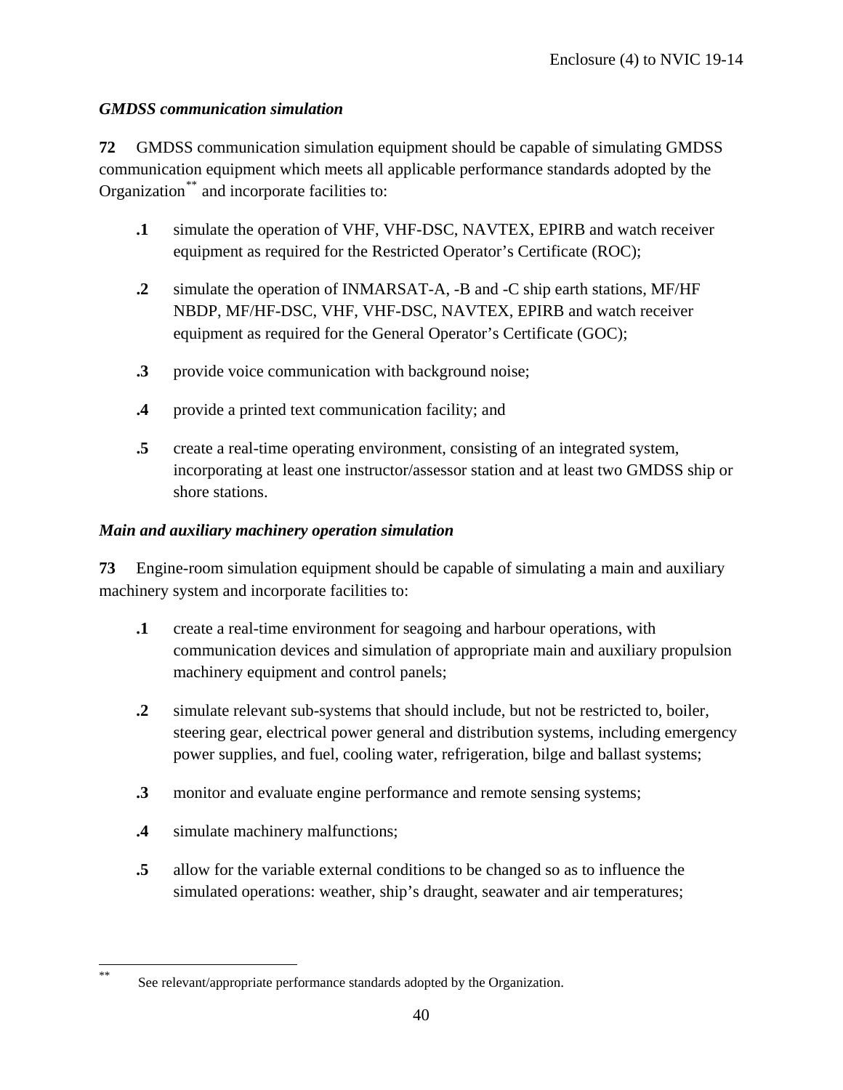## <span id="page-67-0"></span>*GMDSS communication simulation*

**72** GMDSS communication simulation equipment should be capable of simulating GMDSS communication equipment which meets all applicable performance standards adopted by the Organization<sup>[\\*\\*](#page-67-0)</sup> and incorporate facilities to:

- **.1** simulate the operation of VHF, VHF-DSC, NAVTEX, EPIRB and watch receiver equipment as required for the Restricted Operator's Certificate (ROC);
- **.2** simulate the operation of INMARSAT-A, -B and -C ship earth stations, MF/HF NBDP, MF/HF-DSC, VHF, VHF-DSC, NAVTEX, EPIRB and watch receiver equipment as required for the General Operator's Certificate (GOC);
- **.3** provide voice communication with background noise;
- **.4** provide a printed text communication facility; and
- **.5** create a real-time operating environment, consisting of an integrated system, incorporating at least one instructor/assessor station and at least two GMDSS ship or shore stations.

## *Main and auxiliary machinery operation simulation*

**73** Engine-room simulation equipment should be capable of simulating a main and auxiliary machinery system and incorporate facilities to:

- **.1** create a real-time environment for seagoing and harbour operations, with communication devices and simulation of appropriate main and auxiliary propulsion machinery equipment and control panels;
- **.2** simulate relevant sub-systems that should include, but not be restricted to, boiler, steering gear, electrical power general and distribution systems, including emergency power supplies, and fuel, cooling water, refrigeration, bilge and ballast systems;
- **.3** monitor and evaluate engine performance and remote sensing systems;
- **.4** simulate machinery malfunctions;

**.5** allow for the variable external conditions to be changed so as to influence the simulated operations: weather, ship's draught, seawater and air temperatures;

<sup>\*\*</sup> See relevant/appropriate performance standards adopted by the Organization.